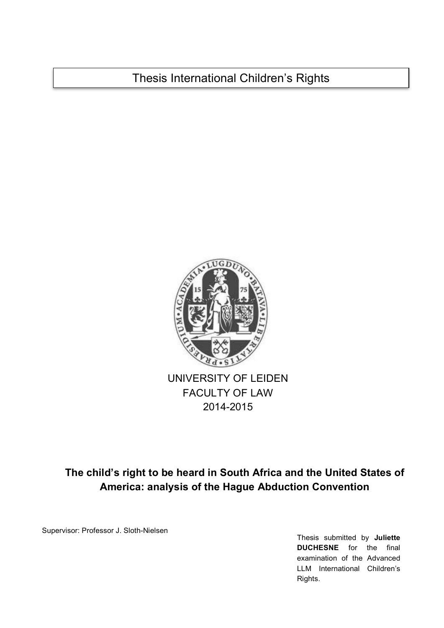Thesis International Children's Rights



# **The child's right to be heard in South Africa and the United States of America: analysis of the Hague Abduction Convention**

Supervisor: Professor J. Sloth-Nielsen

Thesis submitted by **Juliette DUCHESNE** for the final examination of the Advanced LLM International Children's Rights.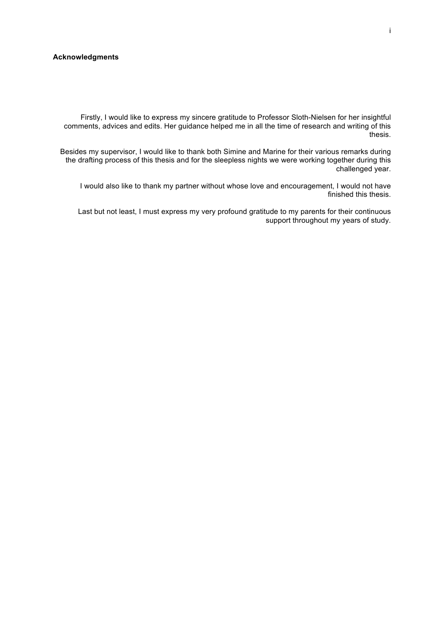### **Acknowledgments**

Firstly, I would like to express my sincere gratitude to Professor Sloth-Nielsen for her insightful comments, advices and edits. Her guidance helped me in all the time of research and writing of this thesis.

Besides my supervisor, I would like to thank both Simine and Marine for their various remarks during the drafting process of this thesis and for the sleepless nights we were working together during this challenged year.

I would also like to thank my partner without whose love and encouragement, I would not have finished this thesis.

Last but not least, I must express my very profound gratitude to my parents for their continuous support throughout my years of study.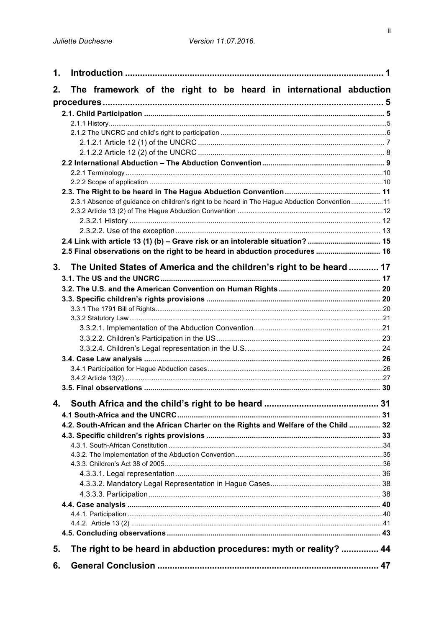| 1.             |                                                                                               |  |
|----------------|-----------------------------------------------------------------------------------------------|--|
| 2.             | The framework of the right to be heard in international abduction                             |  |
|                |                                                                                               |  |
|                |                                                                                               |  |
|                |                                                                                               |  |
|                |                                                                                               |  |
|                |                                                                                               |  |
|                |                                                                                               |  |
|                |                                                                                               |  |
|                |                                                                                               |  |
|                |                                                                                               |  |
|                | 2.3.1 Absence of guidance on children's right to be heard in The Hague Abduction Convention11 |  |
|                |                                                                                               |  |
|                |                                                                                               |  |
|                |                                                                                               |  |
|                | 2.4 Link with article 13 (1) (b) - Grave risk or an intolerable situation?  15                |  |
|                | 2.5 Final observations on the right to be heard in abduction procedures  16                   |  |
| 3 <sub>1</sub> | The United States of America and the children's right to be heard  17                         |  |
|                |                                                                                               |  |
|                |                                                                                               |  |
|                |                                                                                               |  |
|                |                                                                                               |  |
|                |                                                                                               |  |
|                |                                                                                               |  |
|                |                                                                                               |  |
|                |                                                                                               |  |
|                |                                                                                               |  |
|                |                                                                                               |  |
|                |                                                                                               |  |
|                |                                                                                               |  |
| 4.             |                                                                                               |  |
|                |                                                                                               |  |
|                | 4.2. South-African and the African Charter on the Rights and Welfare of the Child  32         |  |
|                |                                                                                               |  |
|                |                                                                                               |  |
|                |                                                                                               |  |
|                |                                                                                               |  |
|                |                                                                                               |  |
|                |                                                                                               |  |
|                |                                                                                               |  |
|                |                                                                                               |  |
|                |                                                                                               |  |
|                |                                                                                               |  |
| 5.             | The right to be heard in abduction procedures: myth or reality?  44                           |  |
| 6.             |                                                                                               |  |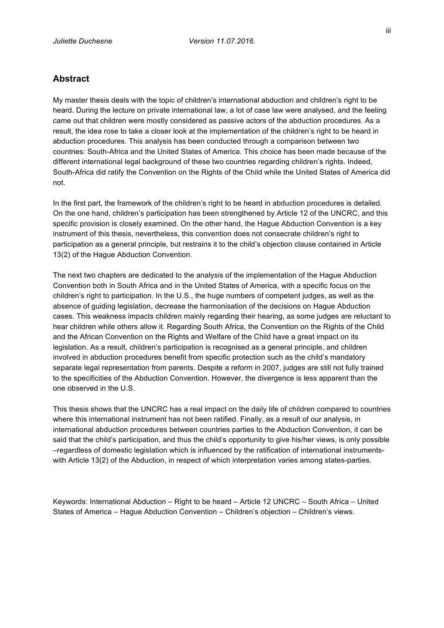## **Abstract**

My master thesis deals with the topic of children's international abduction and children's right to be heard. During the lecture on private international law, a lot of case law were analysed, and the feeling came out that children were mostly considered as passive actors of the abduction procedures. As a result, the idea rose to take a closer look at the implementation of the children's right to be heard in abduction procedures. This analysis has been conducted through a comparison between two countries: South-Africa and the United States of America. This choice has been made because of the different international legal background of these two countries regarding children's rights. Indeed, South-Africa did ratify the Convention on the Rights of the Child while the United States of America did not.

In the first part, the framework of the children's right to be heard in abduction procedures is detailed. On the one hand, children's participation has been strengthened by Article 12 of the UNCRC, and this specific provision is closely examined. On the other hand, the Hague Abduction Convention is a key instrument of this thesis, nevertheless, this convention does not consecrate children's right to participation as a general principle, but restrains it to the child's objection clause contained in Article 13(2) of the Hague Abduction Convention.

The next two chapters are dedicated to the analysis of the implementation of the Hague Abduction Convention both in South Africa and in the United States of America, with a specific focus on the children's right to participation. In the U.S., the huge numbers of competent judges, as well as the absence of guiding legislation, decrease the harmonisation of the decisions on Hague Abduction cases. This weakness impacts children mainly regarding their hearing, as some judges are reluctant to hear children while others allow it. Regarding South Africa, the Convention on the Rights of the Child and the African Convention on the Rights and Welfare of the Child have a great impact on its legislation. As a result, children's participation is recognised as a general principle, and children involved in abduction procedures benefit from specific protection such as the child's mandatory separate legal representation from parents. Despite a reform in 2007, judges are still not fully trained to the specificities of the Abduction Convention. However, the divergence is less apparent than the one observed in the U.S.

This thesis shows that the UNCRC has a real impact on the daily life of children compared to countries where this international instrument has not been ratified. Finally, as a result of our analysis, in international abduction procedures between countries parties to the Abduction Convention, it can be said that the child's participation, and thus the child's opportunity to give his/her views, is only possible –regardless of domestic legislation which is influenced by the ratification of international instrumentswith Article 13(2) of the Abduction, in respect of which interpretation varies among states-parties.

Keywords: International Abduction – Right to be heard – Article 12 UNCRC – South Africa – United States of America – Hague Abduction Convention – Children's objection – Children's views.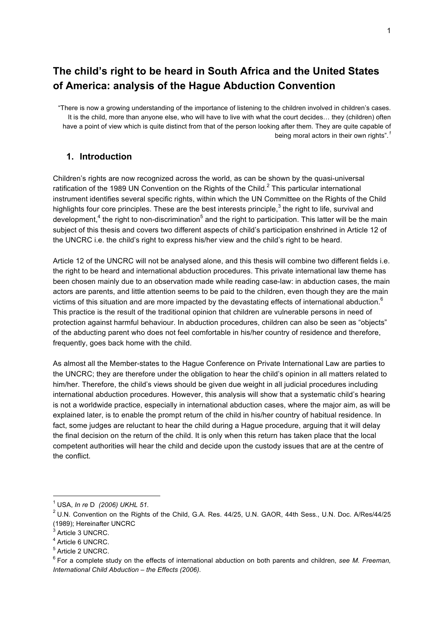# **The child's right to be heard in South Africa and the United States of America: analysis of the Hague Abduction Convention**

"There is now a growing understanding of the importance of listening to the children involved in children's cases. It is the child, more than anyone else, who will have to live with what the court decides… they (children) often have a point of view which is quite distinct from that of the person looking after them. They are quite capable of being moral actors in their own rights". *1*

## **1. Introduction**

Children's rights are now recognized across the world, as can be shown by the quasi-universal ratification of the 1989 UN Convention on the Rights of the Child. $^2$  This particular international instrument identifies several specific rights, within which the UN Committee on the Rights of the Child highlights four core principles. These are the best interests principle.<sup>3</sup> the right to life, survival and development,<sup>4</sup> the right to non-discrimination<sup>5</sup> and the right to participation. This latter will be the main subject of this thesis and covers two different aspects of child's participation enshrined in Article 12 of the UNCRC i.e. the child's right to express his/her view and the child's right to be heard.

Article 12 of the UNCRC will not be analysed alone, and this thesis will combine two different fields i.e. the right to be heard and international abduction procedures. This private international law theme has been chosen mainly due to an observation made while reading case-law: in abduction cases, the main actors are parents, and little attention seems to be paid to the children, even though they are the main victims of this situation and are more impacted by the devastating effects of international abduction.<sup>6</sup> This practice is the result of the traditional opinion that children are vulnerable persons in need of protection against harmful behaviour. In abduction procedures, children can also be seen as "objects" of the abducting parent who does not feel comfortable in his/her country of residence and therefore, frequently, goes back home with the child.

As almost all the Member-states to the Hague Conference on Private International Law are parties to the UNCRC; they are therefore under the obligation to hear the child's opinion in all matters related to him/her. Therefore, the child's views should be given due weight in all judicial procedures including international abduction procedures. However, this analysis will show that a systematic child's hearing is not a worldwide practice, especially in international abduction cases, where the major aim, as will be explained later, is to enable the prompt return of the child in his/her country of habitual residence. In fact, some judges are reluctant to hear the child during a Hague procedure, arguing that it will delay the final decision on the return of the child. It is only when this return has taken place that the local competent authorities will hear the child and decide upon the custody issues that are at the centre of the conflict.

 <sup>1</sup> USA, *In re* <sup>D</sup>*(2006) UKHL 51.*

<sup>&</sup>lt;sup>2</sup> U.N. Convention on the Rights of the Child, G.A. Res. 44/25, U.N. GAOR, 44th Sess., U.N. Doc. A/Res/44/25 (1989); Hereinafter UNCRC

<sup>&</sup>lt;sup>3</sup> Article 3 UNCRC.

<sup>4</sup> Article 6 UNCRC.

<sup>5</sup> Article 2 UNCRC.

<sup>6</sup> For a complete study on the effects of international abduction on both parents and children, *see M. Freeman, International Child Abduction – the Effects (2006).*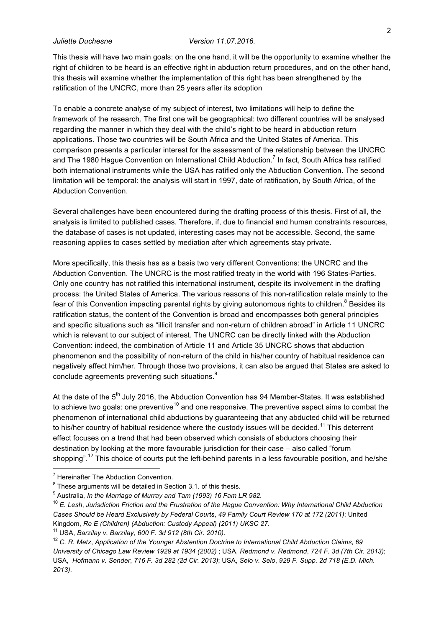This thesis will have two main goals: on the one hand, it will be the opportunity to examine whether the right of children to be heard is an effective right in abduction return procedures, and on the other hand, this thesis will examine whether the implementation of this right has been strengthened by the ratification of the UNCRC, more than 25 years after its adoption

To enable a concrete analyse of my subject of interest, two limitations will help to define the framework of the research. The first one will be geographical: two different countries will be analysed regarding the manner in which they deal with the child's right to be heard in abduction return applications. Those two countries will be South Africa and the United States of America. This comparison presents a particular interest for the assessment of the relationship between the UNCRC and The 1980 Hague Convention on International Child Abduction.<sup>7</sup> In fact, South Africa has ratified both international instruments while the USA has ratified only the Abduction Convention. The second limitation will be temporal: the analysis will start in 1997, date of ratification, by South Africa, of the Abduction Convention.

Several challenges have been encountered during the drafting process of this thesis. First of all, the analysis is limited to published cases. Therefore, if, due to financial and human constraints resources, the database of cases is not updated, interesting cases may not be accessible. Second, the same reasoning applies to cases settled by mediation after which agreements stay private.

More specifically, this thesis has as a basis two very different Conventions: the UNCRC and the Abduction Convention. The UNCRC is the most ratified treaty in the world with 196 States-Parties. Only one country has not ratified this international instrument, despite its involvement in the drafting process: the United States of America. The various reasons of this non-ratification relate mainly to the fear of this Convention impacting parental rights by giving autonomous rights to children.<sup>8</sup> Besides its ratification status, the content of the Convention is broad and encompasses both general principles and specific situations such as "illicit transfer and non-return of children abroad" in Article 11 UNCRC which is relevant to our subject of interest. The UNCRC can be directly linked with the Abduction Convention: indeed, the combination of Article 11 and Article 35 UNCRC shows that abduction phenomenon and the possibility of non-return of the child in his/her country of habitual residence can negatively affect him/her. Through those two provisions, it can also be argued that States are asked to conclude agreements preventing such situations.<sup>9</sup>

At the date of the 5<sup>th</sup> July 2016, the Abduction Convention has 94 Member-States. It was established to achieve two goals: one preventive<sup>10</sup> and one responsive. The preventive aspect aims to combat the phenomenon of international child abductions by guaranteeing that any abducted child will be returned to his/her country of habitual residence where the custody issues will be decided.<sup>11</sup> This deterrent effect focuses on a trend that had been observed which consists of abductors choosing their destination by looking at the more favourable jurisdiction for their case – also called "forum shopping".<sup>12</sup> This choice of courts put the left-behind parents in a less favourable position, and he/she

 <sup>7</sup> Hereinafter The Abduction Convention.

 $8$  These arguments will be detailed in Section 3.1. of this thesis.

<sup>9</sup> Australia, *In the Marriage of Murray and Tam (1993) 16 Fam LR 982.*

<sup>10</sup> *E. Lesh*, *Jurisdiction Friction and the Frustration of the Hague Convention: Why International Child Abduction Cases Should be Heard Exclusively by Federal Courts*, *49 Family Court Review 170 at 172 (2011)*; United Kingdom, *Re E (Children) (Abduction: Custody Appeal) (2011) UKSC 27*. 11 USA, *Barzilay v. Barzilay, 600 F. 3d 912 (8th Cir. 2010).*

<sup>12</sup> *C. R. Metz*, *Application of the Younger Abstention Doctrine to International Child Abduction Claims*, *69 University of Chicago Law Review 1929 at 1934 (2002)* ; USA, *Redmond v. Redmond*, *724 F. 3d (7th Cir. 2013)*; USA, *Hofmann v. Sender*, *716 F. 3d 282 (2d Cir. 2013)*; USA, *Selo v. Selo*, *929 F. Supp. 2d 718 (E.D. Mich. 2013)*.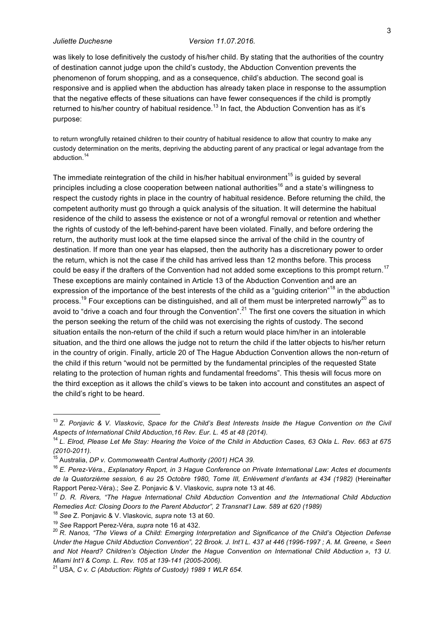was likely to lose definitively the custody of his/her child. By stating that the authorities of the country of destination cannot judge upon the child's custody, the Abduction Convention prevents the phenomenon of forum shopping, and as a consequence, child's abduction. The second goal is responsive and is applied when the abduction has already taken place in response to the assumption that the negative effects of these situations can have fewer consequences if the child is promptly returned to his/her country of habitual residence.<sup>13</sup> In fact, the Abduction Convention has as it's purpose:

to return wrongfully retained children to their country of habitual residence to allow that country to make any custody determination on the merits, depriving the abducting parent of any practical or legal advantage from the abduction.<sup>14</sup>

The immediate reintegration of the child in his/her habitual environment<sup>15</sup> is guided by several principles including a close cooperation between national authorities<sup>16</sup> and a state's willingness to respect the custody rights in place in the country of habitual residence. Before returning the child, the competent authority must go through a quick analysis of the situation. It will determine the habitual residence of the child to assess the existence or not of a wrongful removal or retention and whether the rights of custody of the left-behind-parent have been violated. Finally, and before ordering the return, the authority must look at the time elapsed since the arrival of the child in the country of destination. If more than one year has elapsed, then the authority has a discretionary power to order the return, which is not the case if the child has arrived less than 12 months before. This process could be easy if the drafters of the Convention had not added some exceptions to this prompt return.<sup>17</sup> These exceptions are mainly contained in Article 13 of the Abduction Convention and are an expression of the importance of the best interests of the child as a "guiding criterion"<sup>18</sup> in the abduction process.<sup>19</sup> Four exceptions can be distinguished, and all of them must be interpreted narrowly<sup>20</sup> as to avoid to "drive a coach and four through the Convention".<sup>21</sup> The first one covers the situation in which the person seeking the return of the child was not exercising the rights of custody. The second situation entails the non-return of the child if such a return would place him/her in an intolerable situation, and the third one allows the judge not to return the child if the latter objects to his/her return in the country of origin. Finally, article 20 of The Hague Abduction Convention allows the non-return of the child if this return "would not be permitted by the fundamental principles of the requested State relating to the protection of human rights and fundamental freedoms". This thesis will focus more on the third exception as it allows the child's views to be taken into account and constitutes an aspect of the child's right to be heard.

 <sup>13</sup> *Z. Ponjavic & V. Vlaskovic*, *Space for the Child's Best Interests Inside the Hague Convention on the Civil Aspects of International Child Abduction*,*16 Rev. Eur. L. 45 at 48 (2014).*

<sup>14</sup> *L. Elrod, Please Let Me Stay: Hearing the Voice of the Child in Abduction Cases, 63 Okla L. Rev. 663 at 675 (2010-2011).*

<sup>&</sup>lt;sup>15</sup> Australia, *DP v. Commonwealth Central Authority (2001) HCA 39.*<br><sup>16</sup> *E. Perez-Véra., Explanatory Report, in 3 Hague Conference on Private International Law: Actes et documents de la Quatorzième session, 6 au 25 Octobre 1980, Tome III, Enlèvement d'enfants at 434 (1982)* (Hereinafter Rapport Perez-Véra).; *See Z. Ponjavic & V. Vlaskovic, supra note 13 at 46.* 17 *Rivers-Véral, See Z. Ponjavic & V. Vlaskovic, supra note 13 at 46.* 17 *D. R. Rivers, "The Hague International Child Abduction* 

*Remedies Act: Closing Doors to the Parent Abductor", 2 Transnat'I Law. 589 at 620 (1989)*

<sup>18</sup> *See* Z. Ponjavic & V. Vlaskovic*, supra* note 13 at 60.

<sup>&</sup>lt;sup>20</sup> R. Nanos, "The Views of a Child: Emerging Interpretation and Significance of the Child's Objection Defense *Under the Hague Child Abduction Convention", 22 Brook. J. Int'I L. 437 at 446 (1996-1997 ; A. M. Greene, « Seen*  and Not Heard? Children's Objection Under the Hague Convention on International Child Abduction », 13 U. *Miami Int'I & Comp. L. Rev. 105 at 139-141 (2005-2006).* 

<sup>21</sup> USA*, C v. C (Abduction: Rights of Custody) 1989 1 WLR 654.*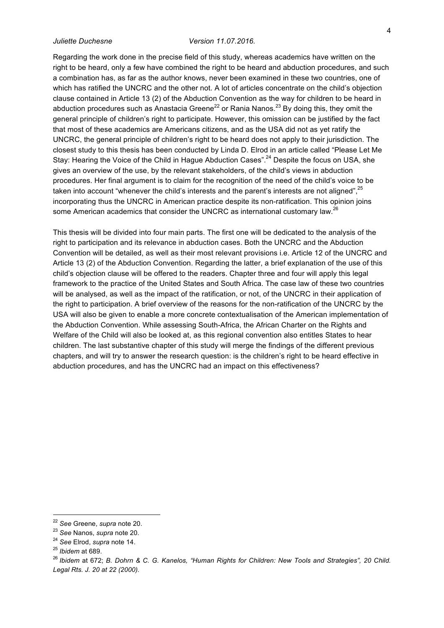Regarding the work done in the precise field of this study, whereas academics have written on the right to be heard, only a few have combined the right to be heard and abduction procedures, and such a combination has, as far as the author knows, never been examined in these two countries, one of which has ratified the UNCRC and the other not. A lot of articles concentrate on the child's objection clause contained in Article 13 (2) of the Abduction Convention as the way for children to be heard in abduction procedures such as Anastacia Greene $^{22}$  or Rania Nanos. $^{23}$  By doing this, they omit the general principle of children's right to participate. However, this omission can be justified by the fact that most of these academics are Americans citizens, and as the USA did not as yet ratify the UNCRC, the general principle of children's right to be heard does not apply to their jurisdiction. The closest study to this thesis has been conducted by Linda D. Elrod in an article called "Please Let Me Stay: Hearing the Voice of the Child in Hague Abduction Cases".<sup>24</sup> Despite the focus on USA, she gives an overview of the use, by the relevant stakeholders, of the child's views in abduction procedures. Her final argument is to claim for the recognition of the need of the child's voice to be taken into account "whenever the child's interests and the parent's interests are not aligned",<sup>25</sup> incorporating thus the UNCRC in American practice despite its non-ratification. This opinion joins some American academics that consider the UNCRC as international customary law.<sup>26</sup>

This thesis will be divided into four main parts. The first one will be dedicated to the analysis of the right to participation and its relevance in abduction cases. Both the UNCRC and the Abduction Convention will be detailed, as well as their most relevant provisions i.e. Article 12 of the UNCRC and Article 13 (2) of the Abduction Convention. Regarding the latter, a brief explanation of the use of this child's objection clause will be offered to the readers. Chapter three and four will apply this legal framework to the practice of the United States and South Africa. The case law of these two countries will be analysed, as well as the impact of the ratification, or not, of the UNCRC in their application of the right to participation. A brief overview of the reasons for the non-ratification of the UNCRC by the USA will also be given to enable a more concrete contextualisation of the American implementation of the Abduction Convention. While assessing South-Africa, the African Charter on the Rights and Welfare of the Child will also be looked at, as this regional convention also entitles States to hear children. The last substantive chapter of this study will merge the findings of the different previous chapters, and will try to answer the research question: is the children's right to be heard effective in abduction procedures, and has the UNCRC had an impact on this effectiveness?

 <sup>22</sup> *See* Greene, *supra* note 20.

<sup>&</sup>lt;sup>23</sup> See Nanos, supra note 20.<br><sup>24</sup> See Elrod, supra note 14.<br><sup>25</sup> Ibidem at 689.<br><sup>25</sup> Ibidem at 672; *B. Dohrn & C. G. Kanelos, "Human Rights for Children: New Tools and Strategies", 20 Child. Legal Rts. J. 20 at 22 (2000).*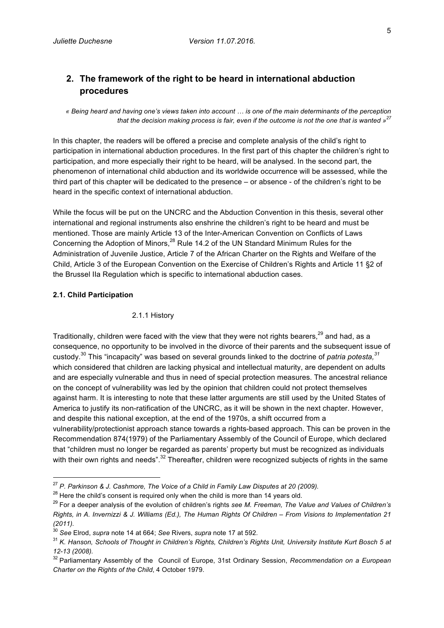## **2. The framework of the right to be heard in international abduction procedures**

*« Being heard and having one's views taken into account … is one of the main determinants of the perception that the decision making process is fair, even if the outcome is not the one that is wanted »<sup>27</sup>*

In this chapter, the readers will be offered a precise and complete analysis of the child's right to participation in international abduction procedures. In the first part of this chapter the children's right to participation, and more especially their right to be heard, will be analysed. In the second part, the phenomenon of international child abduction and its worldwide occurrence will be assessed, while the third part of this chapter will be dedicated to the presence – or absence - of the children's right to be heard in the specific context of international abduction.

While the focus will be put on the UNCRC and the Abduction Convention in this thesis, several other international and regional instruments also enshrine the children's right to be heard and must be mentioned. Those are mainly Article 13 of the Inter-American Convention on Conflicts of Laws Concerning the Adoption of Minors,<sup>28</sup> Rule 14.2 of the UN Standard Minimum Rules for the Administration of Juvenile Justice, Article 7 of the African Charter on the Rights and Welfare of the Child, Article 3 of the European Convention on the Exercise of Children's Rights and Article 11 §2 of the Brussel IIa Regulation which is specific to international abduction cases.

### **2.1. Child Participation**

#### 2.1.1 History

Traditionally, children were faced with the view that they were not rights bearers, $^{29}$  and had, as a consequence, no opportunity to be involved in the divorce of their parents and the subsequent issue of custody. <sup>30</sup> This "incapacity" was based on several grounds linked to the doctrine of *patria potesta, 31* which considered that children are lacking physical and intellectual maturity, are dependent on adults and are especially vulnerable and thus in need of special protection measures. The ancestral reliance on the concept of vulnerability was led by the opinion that children could not protect themselves against harm. It is interesting to note that these latter arguments are still used by the United States of America to justify its non-ratification of the UNCRC, as it will be shown in the next chapter. However, and despite this national exception, at the end of the 1970s, a shift occurred from a vulnerability/protectionist approach stance towards a rights-based approach. This can be proven in the Recommendation 874(1979) of the Parliamentary Assembly of the Council of Europe, which declared that "children must no longer be regarded as parents' property but must be recognized as individuals with their own rights and needs".<sup>32</sup> Thereafter, children were recognized subjects of rights in the same

 <sup>27</sup> *P. Parkinson & J. Cashmore, The Voice of a Child in Family Law Disputes at 20 (2009).*

<sup>&</sup>lt;sup>28</sup> Here the child's consent is required only when the child is more than 14 years old.<br><sup>29</sup> For a deeper analysis of the evolution of children's rights *see M. Freeman, The Value and Values of Children's Rights, in A. Invernizzi & J. Williams (Ed.), The Human Rights Of Children – From Visions to Implementation 21 (2011).*

<sup>&</sup>lt;sup>30</sup> See Elrod, *supra* note 14 at 664; See Rivers, *supra* note 17 at 592.<br><sup>31</sup> K. Hanson, Schools of Thought in Children's Rights, Children's Rights Unit, University Institute Kurt Bosch 5 at *12-13 (2008).*

<sup>32</sup> Parliamentary Assembly of the Council of Europe, 31st Ordinary Session, *Recommendation on a European Charter on the Rights of the Child*, 4 October 1979.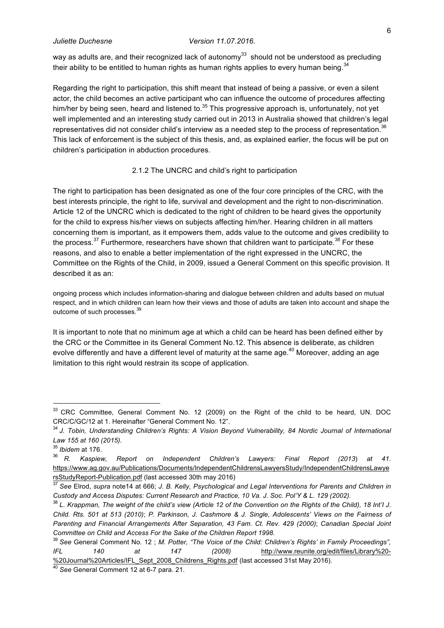way as adults are, and their recognized lack of autonomy<sup>33</sup> should not be understood as precluding their ability to be entitled to human rights as human rights applies to every human being. $^{34}$ 

Regarding the right to participation, this shift meant that instead of being a passive, or even a silent actor, the child becomes an active participant who can influence the outcome of procedures affecting him/her by being seen, heard and listened to.<sup>35</sup> This progressive approach is, unfortunately, not yet well implemented and an interesting study carried out in 2013 in Australia showed that children's legal representatives did not consider child's interview as a needed step to the process of representation. $^{36}$ This lack of enforcement is the subject of this thesis, and, as explained earlier, the focus will be put on children's participation in abduction procedures.

#### 2.1.2 The UNCRC and child's right to participation

The right to participation has been designated as one of the four core principles of the CRC, with the best interests principle, the right to life, survival and development and the right to non-discrimination. Article 12 of the UNCRC which is dedicated to the right of children to be heard gives the opportunity for the child to express his/her views on subjects affecting him/her. Hearing children in all matters concerning them is important, as it empowers them, adds value to the outcome and gives credibility to the process.<sup>37</sup> Furthermore, researchers have shown that children want to participate.<sup>38</sup> For these reasons, and also to enable a better implementation of the right expressed in the UNCRC, the Committee on the Rights of the Child, in 2009, issued a General Comment on this specific provision. It described it as an:

ongoing process which includes information-sharing and dialogue between children and adults based on mutual respect, and in which children can learn how their views and those of adults are taken into account and shape the outcome of such processes.<sup>39</sup>

It is important to note that no minimum age at which a child can be heard has been defined either by the CRC or the Committee in its General Comment No.12. This absence is deliberate, as children evolve differently and have a different level of maturity at the same age.<sup>40</sup> Moreover, adding an age limitation to this right would restrain its scope of application.

<sup>&</sup>lt;sup>33</sup> CRC Committee, General Comment No. 12 (2009) on the Right of the child to be heard, UN. DOC CRC/C/GC/12 at 1. Hereinafter "General Comment No. 12".

<sup>34</sup> *J. Tobin, Understanding Children's Rights: A Vision Beyond Vulnerability, 84 Nordic Journal of International Law 155 at 160 (2015).*

<sup>35</sup> *Ibidem* at 176.

<sup>36</sup> *R. Kaspiew, Report on Independent Children's Lawyers: Final Report (2013*) *at 41.*  https://www.ag.gov.au/Publications/Documents/IndependentChildrensLawyersStudy/IndependentChildrensLawye rsStudyReport-Publication.pdf (last accessed 30th may 2016) 37 *See* Elrod, *supra* note14 at 666; *J. B. Kelly, Psychological and Legal Interventions for Parents and Children in* 

*Custody and Access Disputes: Current Research and Practice, 10 Va. J. Soc. Pol'Y & L. 129 (2002).*

<sup>&</sup>lt;sup>38</sup> L. Krappman, The weight of the child's view (Article 12 of the Convention on the Rights of the Child), 18 Int'l J. *Child. Rts. 501 at 513 (2010)*; *P. Parkinson, J. Cashmore & J. Single, Adolescents' Views on the Fairness of Parenting and Financial Arrangements After Separation, 43 Fam. Ct. Rev. 429 (2000)*; *Canadian Special Joint Committee on Child and Access For the Sake of the Children Report 1998.*

<sup>39</sup> *See* General Comment No. 12 ; *M. Potter, "The Voice of the Child: Children's Rights' in Family Proceedings", IFL 140 at 147 (2008)* http://www.reunite.org/edit/files/Library%20- %20Journal%20Articles/IFL\_Sept\_2008\_Childrens\_Rights.pdf (last accessed 31st May 2016). 40 *See* General Comment 12 at 6-7 para. 21.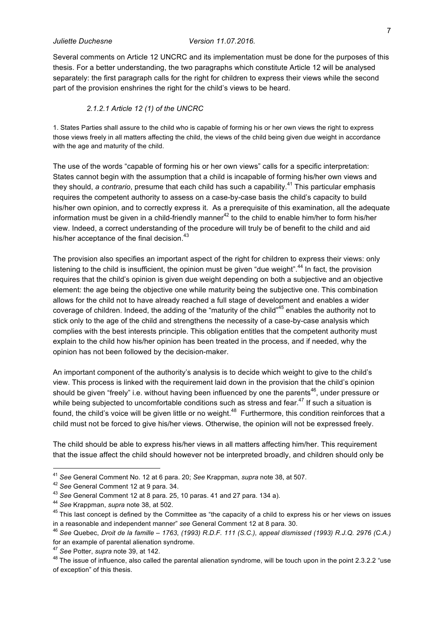Several comments on Article 12 UNCRC and its implementation must be done for the purposes of this thesis. For a better understanding, the two paragraphs which constitute Article 12 will be analysed separately: the first paragraph calls for the right for children to express their views while the second part of the provision enshrines the right for the child's views to be heard.

#### *2.1.2.1 Article 12 (1) of the UNCRC*

1. States Parties shall assure to the child who is capable of forming his or her own views the right to express those views freely in all matters affecting the child, the views of the child being given due weight in accordance with the age and maturity of the child.

The use of the words "capable of forming his or her own views" calls for a specific interpretation: States cannot begin with the assumption that a child is incapable of forming his/her own views and they should, *a contrario*, presume that each child has such a capability.<sup>41</sup> This particular emphasis requires the competent authority to assess on a case-by-case basis the child's capacity to build his/her own opinion, and to correctly express it. As a prerequisite of this examination, all the adequate information must be given in a child-friendly manner<sup>42</sup> to the child to enable him/her to form his/her view. Indeed, a correct understanding of the procedure will truly be of benefit to the child and aid his/her acceptance of the final decision.<sup>43</sup>

The provision also specifies an important aspect of the right for children to express their views: only listening to the child is insufficient, the opinion must be given "due weight".<sup>44</sup> In fact, the provision requires that the child's opinion is given due weight depending on both a subjective and an objective element: the age being the objective one while maturity being the subjective one. This combination allows for the child not to have already reached a full stage of development and enables a wider coverage of children. Indeed, the adding of the "maturity of the child"<sup>45</sup> enables the authority not to stick only to the age of the child and strengthens the necessity of a case-by-case analysis which complies with the best interests principle. This obligation entitles that the competent authority must explain to the child how his/her opinion has been treated in the process, and if needed, why the opinion has not been followed by the decision-maker.

An important component of the authority's analysis is to decide which weight to give to the child's view. This process is linked with the requirement laid down in the provision that the child's opinion should be given "freely" i.e. without having been influenced by one the parents<sup>46</sup>, under pressure or while being subjected to uncomfortable conditions such as stress and fear. $^{47}$  If such a situation is found, the child's voice will be given little or no weight.<sup>48</sup> Furthermore, this condition reinforces that a child must not be forced to give his/her views. Otherwise, the opinion will not be expressed freely.

The child should be able to express his/her views in all matters affecting him/her. This requirement that the issue affect the child should however not be interpreted broadly, and children should only be

<sup>&</sup>lt;sup>41</sup> See General Comment No. 12 at 6 para. 20; See Krappman, *supra* note 38, at 507.<br><sup>42</sup> See General Comment 12 at 9 para. 34.<br><sup>43</sup> See General Comment 12 at 8 para. 25, 10 paras. 41 and 27 para. 134 a).<br><sup>44</sup> See Krappm

<sup>&</sup>lt;sup>45</sup> This last concept is defined by the Committee as "the capacity of a child to express his or her views on issues in a reasonable and independent manner" *see* General Comment 12 at 8 para. 30. 46 *See* Quebec, *Droit de la famille – <sup>1763</sup>*, *(1993) R.D.F. 111 (S.C.), appeal dismissed (1993) R.J.Q. 2976 (C.A.)*

for an example of parental alienation syndrome.

<sup>&</sup>lt;sup>47</sup> See Potter, *supra* note 39, at 142.<br><sup>48</sup> The issue of influence, also called the parental alienation syndrome, will be touch upon in the point 2.3.2.2 "use of exception" of this thesis.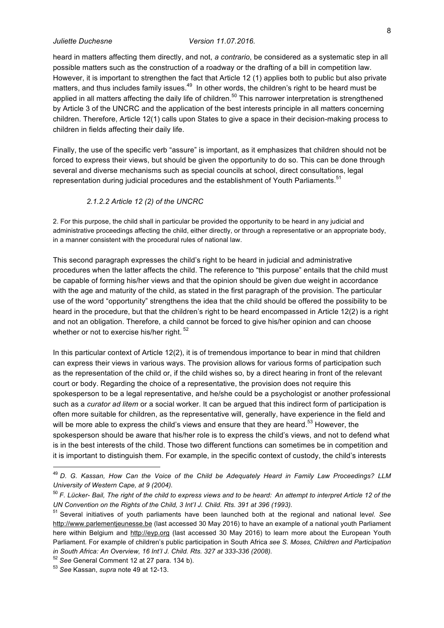heard in matters affecting them directly, and not, *a contrario*, be considered as a systematic step in all possible matters such as the construction of a roadway or the drafting of a bill in competition law. However, it is important to strengthen the fact that Article 12 (1) applies both to public but also private matters, and thus includes family issues.<sup>49</sup> In other words, the children's right to be heard must be applied in all matters affecting the daily life of children.<sup>50</sup> This narrower interpretation is strengthened by Article 3 of the UNCRC and the application of the best interests principle in all matters concerning children. Therefore, Article 12(1) calls upon States to give a space in their decision-making process to children in fields affecting their daily life.

Finally, the use of the specific verb "assure" is important, as it emphasizes that children should not be forced to express their views, but should be given the opportunity to do so. This can be done through several and diverse mechanisms such as special councils at school, direct consultations, legal representation during judicial procedures and the establishment of Youth Parliaments.<sup>51</sup>

#### *2.1.2.2 Article 12 (2) of the UNCRC*

2. For this purpose, the child shall in particular be provided the opportunity to be heard in any judicial and administrative proceedings affecting the child, either directly, or through a representative or an appropriate body, in a manner consistent with the procedural rules of national law.

This second paragraph expresses the child's right to be heard in judicial and administrative procedures when the latter affects the child. The reference to "this purpose" entails that the child must be capable of forming his/her views and that the opinion should be given due weight in accordance with the age and maturity of the child, as stated in the first paragraph of the provision. The particular use of the word "opportunity" strengthens the idea that the child should be offered the possibility to be heard in the procedure, but that the children's right to be heard encompassed in Article 12(2) is a right and not an obligation. Therefore, a child cannot be forced to give his/her opinion and can choose whether or not to exercise his/her right.<sup>52</sup>

In this particular context of Article 12(2), it is of tremendous importance to bear in mind that children can express their views in various ways. The provision allows for various forms of participation such as the representation of the child or, if the child wishes so, by a direct hearing in front of the relevant court or body. Regarding the choice of a representative, the provision does not require this spokesperson to be a legal representative, and he/she could be a psychologist or another professional such as a *curator ad litem* or a social worker. It can be argued that this indirect form of participation is often more suitable for children, as the representative will, generally, have experience in the field and will be more able to express the child's views and ensure that they are heard.<sup>53</sup> However, the spokesperson should be aware that his/her role is to express the child's views, and not to defend what is in the best interests of the child. Those two different functions can sometimes be in competition and it is important to distinguish them. For example, in the specific context of custody, the child's interests

 <sup>49</sup> *D. G. Kassan, How Can the Voice of the Child be Adequately Heard in Family Law Proceedings? LLM University of Western Cape, at 9 (2004).*

<sup>50</sup> *F. Lücker- Bail, The right of the child to express views and to be heard: An attempt to interpret Article 12 of the UN Convention on the Rights of the Child, 3 Int'I J. Child. Rts. 391 at 396 (1993).*

<sup>51</sup> Several initiatives of youth parliaments have been launched both at the regional and national lev*el. See*  http://www.parlementjeunesse.be (last accessed 30 May 2016) to have an example of a national youth Parliament here within Belgium and http://eyp.org (last accessed 30 May 2016) to learn more about the European Youth Parliament. For example of children's public participation in South Africa *see S. Moses, Children and Participation in South Africa: An Overview, 16 Int'I J. Child. Rts. 327 at 333-336 (2008).* 

<sup>52</sup> *See* General Comment 12 at 27 para. 134 b).

<sup>53</sup> *See* Kassan, *supra* note 49 at 12-13.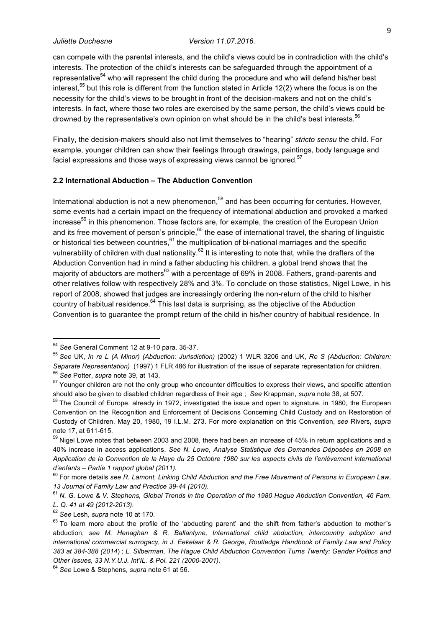can compete with the parental interests, and the child's views could be in contradiction with the child's interests. The protection of the child's interests can be safeguarded through the appointment of a representative<sup>54</sup> who will represent the child during the procedure and who will defend his/her best interest,<sup>55</sup> but this role is different from the function stated in Article 12(2) where the focus is on the necessity for the child's views to be brought in front of the decision-makers and not on the child's interests. In fact, where those two roles are exercised by the same person, the child's views could be drowned by the representative's own opinion on what should be in the child's best interests.<sup>56</sup>

Finally, the decision-makers should also not limit themselves to "hearing" *stricto sensu* the child. For example, younger children can show their feelings through drawings, paintings, body language and facial expressions and those ways of expressing views cannot be ignored.<sup>57</sup>

#### **2.2 International Abduction – The Abduction Convention**

International abduction is not a new phenomenon, $58$  and has been occurring for centuries. However, some events had a certain impact on the frequency of international abduction and provoked a marked increase<sup>59</sup> in this phenomenon. Those factors are, for example, the creation of the European Union and its free movement of person's principle,  $60$  the ease of international travel, the sharing of linguistic or historical ties between countries.<sup>61</sup> the multiplication of bi-national marriages and the specific vulnerability of children with dual nationality.<sup>62</sup> It is interesting to note that, while the drafters of the Abduction Convention had in mind a father abducting his children, a global trend shows that the majority of abductors are mothers<sup>63</sup> with a percentage of 69% in 2008. Fathers, grand-parents and other relatives follow with respectively 28% and 3%. To conclude on those statistics, Nigel Lowe, in his report of 2008, showed that judges are increasingly ordering the non-return of the child to his/her country of habitual residence.<sup>64</sup> This last data is surprising, as the objective of the Abduction Convention is to guarantee the prompt return of the child in his/her country of habitual residence. In

 <sup>54</sup> *See* General Comment 12 at 9-10 para. 35-37.

<sup>55</sup> *See* UK, *In re L (A Minor) (Abduction: Jurisdiction)* (2002) 1 WLR 3206 and UK, *Re S (Abduction: Children: Separate Representation)* (1997) 1 FLR 486 for illustration of the issue of separate representation for children.<br><sup>56</sup> *See* Potter, *supra* note 39, at 143.

<sup>&</sup>lt;sup>57</sup> Younger children are not the only group who encounter difficulties to express their views, and specific attention should also be given to disabled children regardless of their age ; *See* Krappman, *supra* note 38, at 507.

<sup>&</sup>lt;sup>58</sup> The Council of Europe, already in 1972, investigated the issue and open to signature, in 1980, the European Convention on the Recognition and Enforcement of Decisions Concerning Child Custody and on Restoration of Custody of Children, May 20, 1980, 19 I.L.M. 273. For more explanation on this Convention, *see* Rivers, *supra*  note 17, at 611-615.

 $59$  Nigel Lowe notes that between 2003 and 2008, there had been an increase of 45% in return applications and a 40% increase in access applications. *See N. Lowe, Analyse Statistique des Demandes Déposées en 2008 en Application de la Convention de la Haye du 25 Octobre 1980 sur les aspects civils de l'enlèvement international d'enfants – Partie 1 rapport global (2011).* 

<sup>60</sup> For more details *see R. Lamont, Linking Child Abduction and the Free Movement of Persons in European Law, 13 Journal of Family Law and Practice 39-44 (2010).*

<sup>61</sup> *N. G. Lowe & V. Stephens, Global Trends in the Operation of the 1980 Hague Abduction Convention, 46 Fam. L. Q. 41 at 49 (2012-2013).*

<sup>62</sup> *See* Lesh, *supra* note 10 at 170.

 $63$  To learn more about the profile of the 'abducting parent' and the shift from father's abduction to mother"s abduction, *see M. Henaghan & R. Ballantyne, International child abduction, intercountry adoption and international commercial surrogacy, in J. Eekelaar & R. George, Routledge Handbook of Family Law and Policy 383 at 384-388 (2014*) ; *L. Silberman, The Hague Child Abduction Convention Turns Twenty: Gender Politics and Other Issues, 33 N.Y.U.J. Int'IL. & Pol. 221 (2000-2001).*

<sup>64</sup> *See* Lowe & Stephens, *supra* note 61 at 56.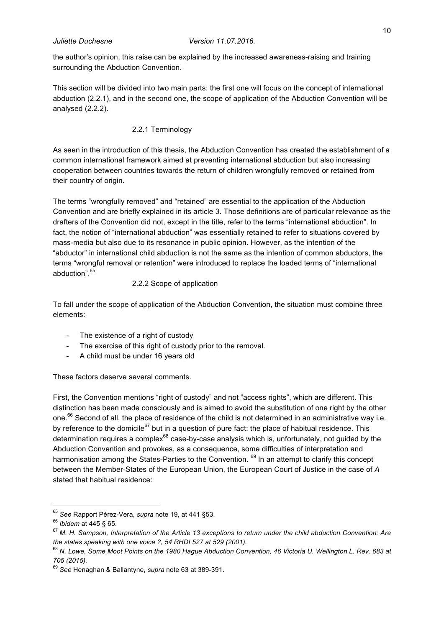the author's opinion, this raise can be explained by the increased awareness-raising and training surrounding the Abduction Convention.

This section will be divided into two main parts: the first one will focus on the concept of international abduction (2.2.1), and in the second one, the scope of application of the Abduction Convention will be analysed (2.2.2).

### 2.2.1 Terminology

As seen in the introduction of this thesis, the Abduction Convention has created the establishment of a common international framework aimed at preventing international abduction but also increasing cooperation between countries towards the return of children wrongfully removed or retained from their country of origin.

The terms "wrongfully removed" and "retained" are essential to the application of the Abduction Convention and are briefly explained in its article 3. Those definitions are of particular relevance as the drafters of the Convention did not, except in the title, refer to the terms "international abduction". In fact, the notion of "international abduction" was essentially retained to refer to situations covered by mass-media but also due to its resonance in public opinion. However, as the intention of the "abductor" in international child abduction is not the same as the intention of common abductors, the terms "wrongful removal or retention" were introduced to replace the loaded terms of "international abduction".<sup>65</sup>

### 2.2.2 Scope of application

To fall under the scope of application of the Abduction Convention, the situation must combine three elements:

- The existence of a right of custody
- The exercise of this right of custody prior to the removal.
- A child must be under 16 years old

These factors deserve several comments.

First, the Convention mentions "right of custody" and not "access rights", which are different. This distinction has been made consciously and is aimed to avoid the substitution of one right by the other one.<sup>66</sup> Second of all, the place of residence of the child is not determined in an administrative way i.e. by reference to the domicile<sup>67</sup> but in a question of pure fact: the place of habitual residence. This determination requires a complex $^{68}$  case-by-case analysis which is, unfortunately, not quided by the Abduction Convention and provokes, as a consequence, some difficulties of interpretation and harmonisation among the States-Parties to the Convention. <sup>69</sup> In an attempt to clarify this concept between the Member-States of the European Union, the European Court of Justice in the case of *A* stated that habitual residence:

<sup>&</sup>lt;sup>65</sup> See Rapport Pérez-Vera, *supra* note 19, at 441 §53.<br><sup>66</sup> Ibidem at 445 § 65.<br><sup>67</sup> M. H. Sampson, Interpretation of the Article 13 exceptions to return under the child abduction Convention: Are *the states speaking with one voice ?, 54 RHDI 527 at 529 (2001).*

<sup>68</sup> *N. Lowe, Some Moot Points on the 1980 Hague Abduction Convention, 46 Victoria U. Wellington L. Rev. 683 at 705 (2015).*

<sup>69</sup> *See* Henaghan & Ballantyne, *supra* note 63 at 389-391.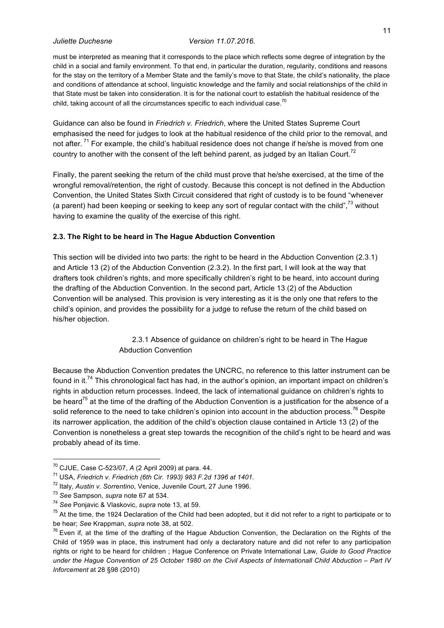must be interpreted as meaning that it corresponds to the place which reflects some degree of integration by the child in a social and family environment. To that end, in particular the duration, regularity, conditions and reasons for the stay on the territory of a Member State and the family's move to that State, the child's nationality, the place and conditions of attendance at school, linguistic knowledge and the family and social relationships of the child in that State must be taken into consideration. It is for the national court to establish the habitual residence of the child, taking account of all the circumstances specific to each individual case.<sup>70</sup>

Guidance can also be found in *Friedrich v. Friedrich*, where the United States Supreme Court emphasised the need for judges to look at the habitual residence of the child prior to the removal, and not after.<sup>71</sup> For example, the child's habitual residence does not change if he/she is moved from one country to another with the consent of the left behind parent, as judged by an Italian Court.<sup>72</sup>

Finally, the parent seeking the return of the child must prove that he/she exercised, at the time of the wrongful removal/retention, the right of custody. Because this concept is not defined in the Abduction Convention, the United States Sixth Circuit considered that right of custody is to be found "whenever (a parent) had been keeping or seeking to keep any sort of regular contact with the child",<sup>73</sup> without having to examine the quality of the exercise of this right.

### **2.3. The Right to be heard in The Hague Abduction Convention**

This section will be divided into two parts: the right to be heard in the Abduction Convention (2.3.1) and Article 13 (2) of the Abduction Convention (2.3.2). In the first part, I will look at the way that drafters took children's rights, and more specifically children's right to be heard, into account during the drafting of the Abduction Convention. In the second part, Article 13 (2) of the Abduction Convention will be analysed. This provision is very interesting as it is the only one that refers to the child's opinion, and provides the possibility for a judge to refuse the return of the child based on his/her objection.

> 2.3.1 Absence of guidance on children's right to be heard in The Hague Abduction Convention

Because the Abduction Convention predates the UNCRC, no reference to this latter instrument can be found in it.<sup>74</sup> This chronological fact has had, in the author's opinion, an important impact on children's rights in abduction return processes. Indeed, the lack of international guidance on children's rights to be heard<sup>75</sup> at the time of the drafting of the Abduction Convention is a justification for the absence of a solid reference to the need to take children's opinion into account in the abduction process.<sup>76</sup> Despite its narrower application, the addition of the child's objection clause contained in Article 13 (2) of the Convention is nonetheless a great step towards the recognition of the child's right to be heard and was probably ahead of its time.

<sup>&</sup>lt;sup>70</sup> CJUE, Case C-523/07, *A* (2 April 2009) at para. 44.<br><sup>71</sup> USA, *Friedrich v. Friedrich (6th Cir. 1993) 983 F.2d 1396 at 1401.* 

<sup>72</sup> Italy, *Austin v. Sorrentino*, Venice, Juvenile Court, 27 June 1996.

<sup>&</sup>lt;sup>73</sup> See Sampson, *supra* note 67 at 534.<br><sup>74</sup> See Ponjavic & Vlaskovic, *supra* note 13, at 59.<br><sup>75</sup> At the time, the 1924 Declaration of the Child had been adopted, but it did not refer to a right to participate or to be hear; *See* Krappman, *supra* note 38, at 502.<br><sup>76</sup> Even if, at the time of the drafting of the Hague Abduction Convention, the Declaration on the Rights of the

Child of 1959 was in place, this instrument had only a declaratory nature and did not refer to any participation rights or right to be heard for children ; Hague Conference on Private International Law, *Guide to Good Practice under the Hague Convention of 25 October 1980 on the Civil Aspects of Internationall Child Abduction – Part IV Inforcement* at 28 §98 (2010)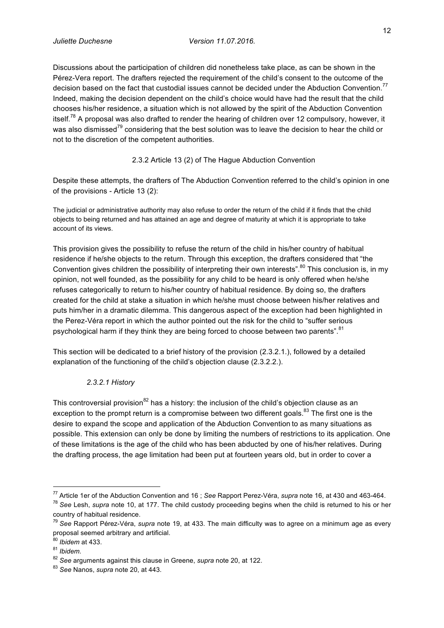Discussions about the participation of children did nonetheless take place, as can be shown in the Pérez-Vera report. The drafters rejected the requirement of the child's consent to the outcome of the decision based on the fact that custodial issues cannot be decided under the Abduction Convention.<sup>77</sup> Indeed, making the decision dependent on the child's choice would have had the result that the child chooses his/her residence, a situation which is not allowed by the spirit of the Abduction Convention itself.<sup>78</sup> A proposal was also drafted to render the hearing of children over 12 compulsory, however, it was also dismissed<sup>79</sup> considering that the best solution was to leave the decision to hear the child or not to the discretion of the competent authorities.

## 2.3.2 Article 13 (2) of The Hague Abduction Convention

Despite these attempts, the drafters of The Abduction Convention referred to the child's opinion in one of the provisions - Article 13 (2):

The judicial or administrative authority may also refuse to order the return of the child if it finds that the child objects to being returned and has attained an age and degree of maturity at which it is appropriate to take account of its views.

This provision gives the possibility to refuse the return of the child in his/her country of habitual residence if he/she objects to the return. Through this exception, the drafters considered that "the Convention gives children the possibility of interpreting their own interests".<sup>80</sup> This conclusion is, in my opinion, not well founded, as the possibility for any child to be heard is only offered when he/she refuses categorically to return to his/her country of habitual residence. By doing so, the drafters created for the child at stake a situation in which he/she must choose between his/her relatives and puts him/her in a dramatic dilemma. This dangerous aspect of the exception had been highlighted in the Perez-Véra report in which the author pointed out the risk for the child to "suffer serious psychological harm if they think they are being forced to choose between two parents".<sup>81</sup>

This section will be dedicated to a brief history of the provision (2.3.2.1.), followed by a detailed explanation of the functioning of the child's objection clause (2.3.2.2.).

## *2.3.2.1 History*

This controversial provision<sup>82</sup> has a history: the inclusion of the child's objection clause as an exception to the prompt return is a compromise between two different goals.<sup>83</sup> The first one is the desire to expand the scope and application of the Abduction Convention to as many situations as possible. This extension can only be done by limiting the numbers of restrictions to its application. One of these limitations is the age of the child who has been abducted by one of his/her relatives. During the drafting process, the age limitation had been put at fourteen years old, but in order to cover a

<sup>77</sup> Article 1er of the Abduction Convention and 16; See Rapport Perez-Véra, supra note 16, at 430 and 463-464.<br><sup>78</sup> See Lesh, supra note 10, at 177. The child custody proceeding begins when the child is returned to his or

country of habitual residence.

<sup>79</sup> *See* Rapport Pérez-Véra, *supra* note 19, at 433. The main difficulty was to agree on a minimum age as every proposal seemed arbitrary and artificial.

<sup>&</sup>lt;sup>80</sup> Ibidem at 433.<br><sup>81</sup> Ibidem.

<sup>82</sup> *See* arguments against this clause in Greene, *supra* note 20, at 122. 83 *See* Nanos, *supra* note 20, at 443.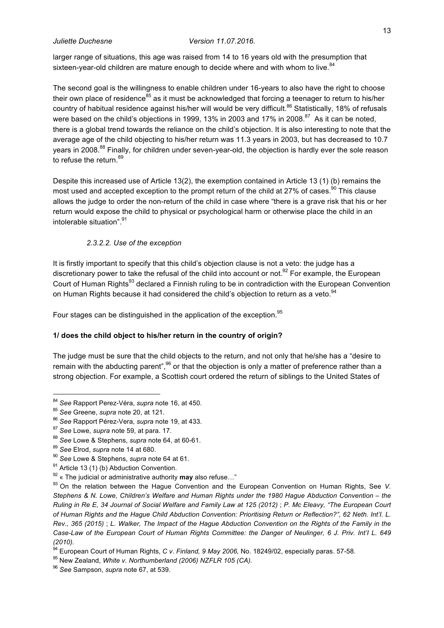larger range of situations, this age was raised from 14 to 16 years old with the presumption that sixteen-year-old children are mature enough to decide where and with whom to live.<sup>84</sup>

The second goal is the willingness to enable children under 16-years to also have the right to choose their own place of residence<sup>85</sup> as it must be acknowledged that forcing a teenager to return to his/her country of habitual residence against his/her will would be very difficult.<sup>86</sup> Statistically, 18% of refusals were based on the child's objections in 1999, 13% in 2003 and 17% in 2008.<sup>87</sup> As it can be noted, there is a global trend towards the reliance on the child's objection. It is also interesting to note that the average age of the child objecting to his/her return was 11.3 years in 2003, but has decreased to 10.7 years in 2008.<sup>88</sup> Finally, for children under seven-year-old, the objection is hardly ever the sole reason to refuse the return.<sup>89</sup>

Despite this increased use of Article 13(2), the exemption contained in Article 13 (1) (b) remains the most used and accepted exception to the prompt return of the child at 27% of cases. $^{90}$  This clause allows the judge to order the non-return of the child in case where "there is a grave risk that his or her return would expose the child to physical or psychological harm or otherwise place the child in an intolerable situation".<sup>91</sup>

### *2.3.2.2. Use of the exception*

It is firstly important to specify that this child's objection clause is not a veto: the judge has a discretionary power to take the refusal of the child into account or not.<sup>92</sup> For example, the European Court of Human Rights<sup>93</sup> declared a Finnish ruling to be in contradiction with the European Convention on Human Rights because it had considered the child's objection to return as a veto.<sup>94</sup>

Four stages can be distinguished in the application of the exception.<sup>95</sup>

### **1/ does the child object to his/her return in the country of origin?**

The judge must be sure that the child objects to the return, and not only that he/she has a "desire to remain with the abducting parent", $^{96}$  or that the objection is only a matter of preference rather than a strong objection. For example, a Scottish court ordered the return of siblings to the United States of

<sup>&</sup>lt;sup>84</sup> See Rapport Perez-Véra, *supra* note 16, at 450.<br><sup>85</sup> See Greene, *supra* note 20, at 121.

<sup>85</sup> *See* Greene, *supra* note 20, at 121. 86 *See* Rapport Pérez-Vera, *supra* note 19, at 433.

<sup>&</sup>lt;sup>87</sup> See Lowe, *supra* note 59, at para. 17.<br><sup>88</sup> See Lowe & Stephens, *supra* note 64, at 60-61.

<sup>&</sup>lt;sup>89</sup> See Elrod, *supra* note 14 at 680.<br><sup>90</sup> See Lowe & Stephens, *supra* note 64 at 61.<br><sup>91</sup> Article 13 (1) (b) Abduction Convention.

<sup>92</sup> « The judicial or administrative authority **may** also refuse…"

<sup>93</sup> On the relation between the Hague Convention and the European Convention on Human Rights, See *V. Stephens & N. Lowe, Children's Welfare and Human Rights under the 1980 Hague Abduction Convention – the Ruling in Re E, 34 Journal of Social Welfare and Family Law at 125 (2012)* ; *P. Mc Eleavy, "The European Court of Human Rights and the Hague Child Abduction Convention: Prioritising Return or Reflection?", 62 Neth. Int'I. L. Rev., 365 (2015)* ; *L. Walker, The Impact of the Hague Abduction Convention on the Rights of the Family in the Case-Law of the European Court of Human Rights Committee: the Danger of Neulinger, 6 J. Priv. Int'I L. 649 (2010).* 

<sup>&</sup>lt;sup>94</sup> European Court of Human Rights, *C v. Finland, 9 May 2006,* No. 18249/02, especially paras. 57-58.<br><sup>95</sup> New Zealand, *White v. Northumberland (2006) NZFLR 105 (CA).* 

<sup>96</sup> *See* Sampson, *supra* note 67, at 539.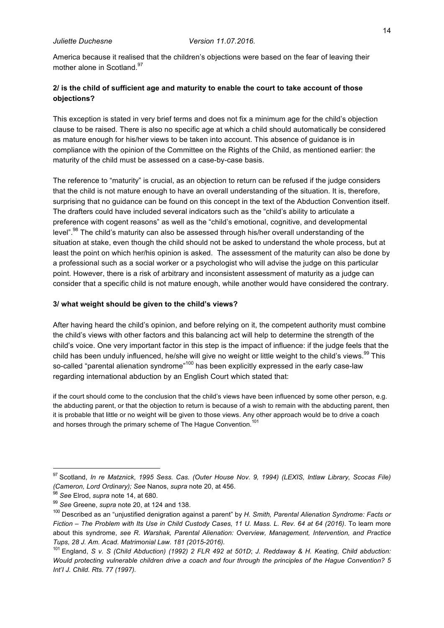America because it realised that the children's objections were based on the fear of leaving their mother alone in Scotland.<sup>97</sup>

## **2/ is the child of sufficient age and maturity to enable the court to take account of those objections?**

This exception is stated in very brief terms and does not fix a minimum age for the child's objection clause to be raised. There is also no specific age at which a child should automatically be considered as mature enough for his/her views to be taken into account. This absence of guidance is in compliance with the opinion of the Committee on the Rights of the Child, as mentioned earlier: the maturity of the child must be assessed on a case-by-case basis.

The reference to "maturity" is crucial, as an objection to return can be refused if the judge considers that the child is not mature enough to have an overall understanding of the situation. It is, therefore, surprising that no guidance can be found on this concept in the text of the Abduction Convention itself. The drafters could have included several indicators such as the "child's ability to articulate a preference with cogent reasons" as well as the "child's emotional, cognitive, and developmental level".<sup>98</sup> The child's maturity can also be assessed through his/her overall understanding of the situation at stake, even though the child should not be asked to understand the whole process, but at least the point on which her/his opinion is asked. The assessment of the maturity can also be done by a professional such as a social worker or a psychologist who will advise the judge on this particular point. However, there is a risk of arbitrary and inconsistent assessment of maturity as a judge can consider that a specific child is not mature enough, while another would have considered the contrary.

#### **3/ what weight should be given to the child's views?**

After having heard the child's opinion, and before relying on it, the competent authority must combine the child's views with other factors and this balancing act will help to determine the strength of the child's voice. One very important factor in this step is the impact of influence: if the judge feels that the child has been unduly influenced, he/she will give no weight or little weight to the child's views.<sup>99</sup> This so-called "parental alienation syndrome"<sup>100</sup> has been explicitly expressed in the early case-law regarding international abduction by an English Court which stated that:

if the court should come to the conclusion that the child's views have been influenced by some other person, e.g. the abducting parent, or that the objection to return is because of a wish to remain with the abducting parent, then it is probable that little or no weight will be given to those views. Any other approach would be to drive a coach and horses through the primary scheme of The Hague Convention.<sup>101</sup>

 <sup>97</sup> Scotland, *In re Matznick*, *1995 Sess. Cas. (Outer House Nov. 9, 1994) (LEXIS, Intlaw Library, Scocas File) (Cameron, Lord Ordinary); See* Nanos, *supra* note 20, at 456.

<sup>&</sup>lt;sup>98</sup> See Elrod, *supra* note 14, at 680.<br><sup>99</sup> See Greene, *supra* note 20, at 124 and 138.<br><sup>100</sup> Described as an "unjustified denigration against a parent" by *H. Smith, Parental Alienation Syndrome: Facts or Fiction – The Problem with Its Use in Child Custody Cases, 11 U. Mass. L. Rev. 64 at 64 (2016)*. To learn more about this syndrome, *see R. Warshak, Parental Alienation: Overview, Management, Intervention, and Practice Tups, 28 J. Am. Acad. Matrimonial Law. 181 (2015-2016).*

<sup>101</sup> England, *S v. S (Child Abduction) (1992) 2 FLR 492 at 501D*; *J. Reddaway & H. Keating, Child abduction: Would protecting vulnerable children drive a coach and four through the principles of the Hague Convention? 5 Int'I J. Child. Rts. 77 (1997).*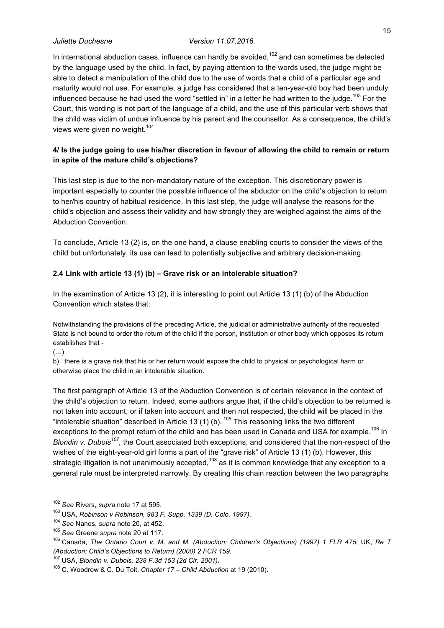In international abduction cases, influence can hardly be avoided,<sup>102</sup> and can sometimes be detected by the language used by the child. In fact, by paying attention to the words used, the judge might be able to detect a manipulation of the child due to the use of words that a child of a particular age and maturity would not use. For example, a judge has considered that a ten-year-old boy had been unduly influenced because he had used the word "settled in" in a letter he had written to the judge.<sup>103</sup> For the Court, this wording is not part of the language of a child, and the use of this particular verb shows that the child was victim of undue influence by his parent and the counsellor. As a consequence, the child's views were given no weight.<sup>104</sup>

## **4/ Is the judge going to use his/her discretion in favour of allowing the child to remain or return in spite of the mature child's objections?**

This last step is due to the non-mandatory nature of the exception. This discretionary power is important especially to counter the possible influence of the abductor on the child's objection to return to her/his country of habitual residence. In this last step, the judge will analyse the reasons for the child's objection and assess their validity and how strongly they are weighed against the aims of the Abduction Convention.

To conclude, Article 13 (2) is, on the one hand, a clause enabling courts to consider the views of the child but unfortunately, its use can lead to potentially subjective and arbitrary decision-making.

### **2.4 Link with article 13 (1) (b) – Grave risk or an intolerable situation?**

In the examination of Article 13 (2), it is interesting to point out Article 13 (1) (b) of the Abduction Convention which states that:

Notwithstanding the provisions of the preceding Article, the judicial or administrative authority of the requested State is not bound to order the return of the child if the person, institution or other body which opposes its return establishes that -

(…)

b) there is a grave risk that his or her return would expose the child to physical or psychological harm or otherwise place the child in an intolerable situation.

The first paragraph of Article 13 of the Abduction Convention is of certain relevance in the context of the child's objection to return. Indeed, some authors argue that, if the child's objection to be returned is not taken into account, or if taken into account and then not respected, the child will be placed in the "intolerable situation" described in Article 13 (1) (b).  $105$  This reasoning links the two different exceptions to the prompt return of the child and has been used in Canada and USA for example.<sup>106</sup> In *Blondin v. Dubois107,* the Court associated both exceptions, and considered that the non-respect of the wishes of the eight-year-old girl forms a part of the "grave risk" of Article 13 (1) (b). However, this strategic litigation is not unanimously accepted.<sup>108</sup> as it is common knowledge that any exception to a general rule must be interpreted narrowly. By creating this chain reaction between the two paragraphs

 <sup>102</sup> *See* Rivers, *supra* note 17 at 595.

<sup>103</sup> USA, *Robinson v Robinson, 983 F. Supp. 1339 (D. Colo. 1997).*

<sup>&</sup>lt;sup>105</sup> See Greene *supra* note 20 at 117.<br><sup>106</sup> Canada, *The Ontario Court v. M. and M. (Abduction: Children's Objections) (1997) 1 FLR 475; UK, Re T (Abduction: Child's Objections to Return) (2000) 2 FCR 159.*

<sup>107</sup> USA, *Blondin v. Dubois, 238 F.3d 153 (2d Cir. 2001).*

<sup>108</sup> C. Woodrow & C. Du Toit, *Chapter 17 – Child Abduction* at 19 (2010).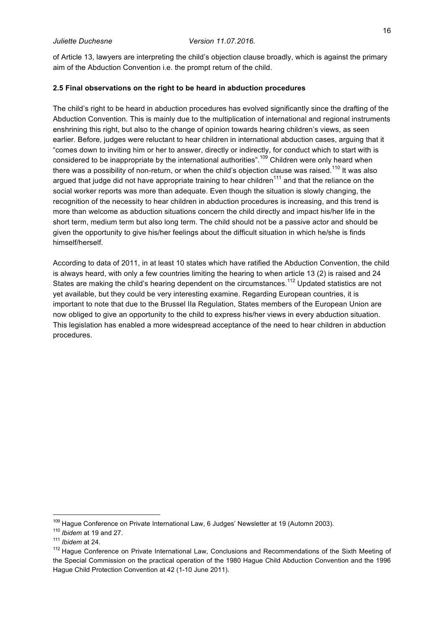of Article 13, lawyers are interpreting the child's objection clause broadly, which is against the primary aim of the Abduction Convention i.e. the prompt return of the child.

### **2.5 Final observations on the right to be heard in abduction procedures**

The child's right to be heard in abduction procedures has evolved significantly since the drafting of the Abduction Convention. This is mainly due to the multiplication of international and regional instruments enshrining this right, but also to the change of opinion towards hearing children's views, as seen earlier. Before, judges were reluctant to hear children in international abduction cases, arguing that it "comes down to inviting him or her to answer, directly or indirectly, for conduct which to start with is considered to be inappropriate by the international authorities".<sup>109</sup> Children were only heard when there was a possibility of non-return, or when the child's objection clause was raised.<sup>110</sup> It was also argued that judge did not have appropriate training to hear children $111$  and that the reliance on the social worker reports was more than adequate. Even though the situation is slowly changing, the recognition of the necessity to hear children in abduction procedures is increasing, and this trend is more than welcome as abduction situations concern the child directly and impact his/her life in the short term, medium term but also long term. The child should not be a passive actor and should be given the opportunity to give his/her feelings about the difficult situation in which he/she is finds himself/herself.

According to data of 2011, in at least 10 states which have ratified the Abduction Convention, the child is always heard, with only a few countries limiting the hearing to when article 13 (2) is raised and 24 States are making the child's hearing dependent on the circumstances.<sup>112</sup> Updated statistics are not yet available, but they could be very interesting examine. Regarding European countries, it is important to note that due to the Brussel IIa Regulation, States members of the European Union are now obliged to give an opportunity to the child to express his/her views in every abduction situation. This legislation has enabled a more widespread acceptance of the need to hear children in abduction procedures.

<sup>&</sup>lt;sup>109</sup> Hague Conference on Private International Law, 6 Judges' Newsletter at 19 (Automn 2003).

<sup>110</sup> *Ibidem* at 19 and 27.

<sup>111</sup> *Ibidem* at 24.

<sup>&</sup>lt;sup>112</sup> Hague Conference on Private International Law, Conclusions and Recommendations of the Sixth Meeting of the Special Commission on the practical operation of the 1980 Hague Child Abduction Convention and the 1996 Hague Child Protection Convention at 42 (1-10 June 2011).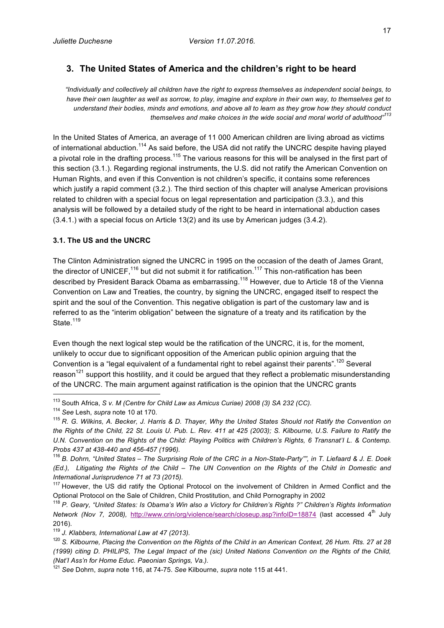## **3. The United States of America and the children's right to be heard**

*"Individually and collectively all children have the right to express themselves as independent social beings, to have their own laughter as well as sorrow, to play, imagine and explore in their own way, to themselves get to understand their bodies, minds and emotions, and above all to learn as they grow how they should conduct themselves and make choices in the wide social and moral world of adulthood"<sup>113</sup>*

In the United States of America, an average of 11 000 American children are living abroad as victims of international abduction.<sup>114</sup> As said before, the USA did not ratify the UNCRC despite having played a pivotal role in the drafting process.<sup>115</sup> The various reasons for this will be analysed in the first part of this section (3.1.). Regarding regional instruments, the U.S. did not ratify the American Convention on Human Rights, and even if this Convention is not children's specific, it contains some references which justify a rapid comment (3.2.). The third section of this chapter will analyse American provisions related to children with a special focus on legal representation and participation (3.3.), and this analysis will be followed by a detailed study of the right to be heard in international abduction cases (3.4.1.) with a special focus on Article 13(2) and its use by American judges (3.4.2).

#### **3.1. The US and the UNCRC**

The Clinton Administration signed the UNCRC in 1995 on the occasion of the death of James Grant, the director of UNICEF,<sup>116</sup> but did not submit it for ratification.<sup>117</sup> This non-ratification has been described by President Barack Obama as embarrassing.<sup>118</sup> However, due to Article 18 of the Vienna Convention on Law and Treaties, the country, by signing the UNCRC, engaged itself to respect the spirit and the soul of the Convention. This negative obligation is part of the customary law and is referred to as the "interim obligation" between the signature of a treaty and its ratification by the State.<sup>119</sup>

Even though the next logical step would be the ratification of the UNCRC, it is, for the moment, unlikely to occur due to significant opposition of the American public opinion arguing that the Convention is a "legal equivalent of a fundamental right to rebel against their parents".<sup>120</sup> Several reason<sup>121</sup> support this hostility, and it could be argued that they reflect a problematic misunderstanding of the UNCRC. The main argument against ratification is the opinion that the UNCRC grants

 <sup>113</sup> South Africa, *S v. M (Centre for Child Law as Amicus Curiae) 2008 (3) SA 232 (CC).*

<sup>&</sup>lt;sup>114</sup> See Lesh, *supra* note 10 at 170.<br><sup>115</sup> R. G. Wilkins, A. Becker, J. Harris & D. Thayer, Why the United States Should not Ratify the Convention on *the Rights of the Child, 22 St. Louis U. Pub. L. Rev. 411 at 425 (2003); S. Kilbourne, U.S. Failure to Ratify the*  U.N. Convention on the Rights of the Child: Playing Politics with Children's Rights, 6 Transnat'l L. & Contemp. *Probs 437 at 438-440 and 456-457 (1996).* 

<sup>116</sup> *B. Dohrn, "United States – The Surprising Role of the CRC in a Non-State-Party"", in T. Liefaard & J. E. Doek (Ed.), Litigating the Rights of the Child – The UN Convention on the Rights of the Child in Domestic and International Jurisprudence 71 at 73 (2015).*

<sup>&</sup>lt;sup>117</sup> However, the US did ratify the Optional Protocol on the involvement of Children in Armed Conflict and the Optional Protocol on the Sale of Children, Child Prostitution, and Child Pornography in 2002

<sup>&</sup>lt;sup>118</sup> P. Geary, "United States: Is Obama's Win also a Victory for Children's Rights ?" Children's Rights Information *Network (Nov 7, 2008), http://www.crin/org/violence/search/closeup.asp?infoID=18874 (last accessed 4<sup>th</sup> July* 2016).

<sup>119</sup> *J. Klabbers, International Law at 47 (2013).*

<sup>120</sup> *S. Kilbourne, Placing the Convention on the Rights of the Child in an American Context, 26 Hum. Rts. 27 at 28 (1999) citing D. PHILIPS, The Legal Impact of the (sic) United Nations Convention on the Rights of the Child, (Nat'I Ass'n for Home Educ. Paeonian Springs, Va.).*

<sup>121</sup> *See* Dohrn, *supra* note 116, at 74-75. *See* Kilbourne, *supra* note 115 at 441.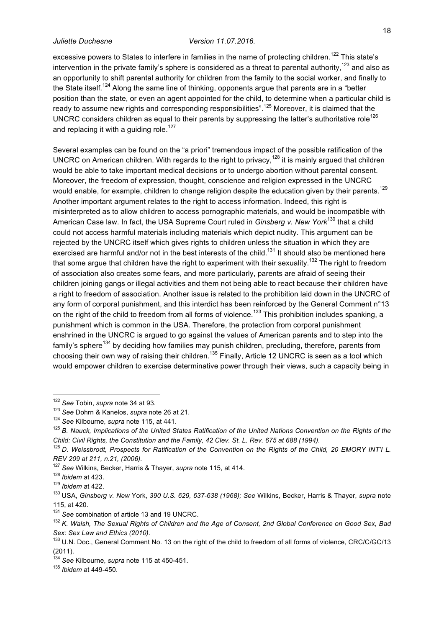excessive powers to States to interfere in families in the name of protecting children.<sup>122</sup> This state's intervention in the private family's sphere is considered as a threat to parental authority, $^{123}$  and also as an opportunity to shift parental authority for children from the family to the social worker, and finally to the State itself.<sup>124</sup> Along the same line of thinking, opponents argue that parents are in a "better" position than the state, or even an agent appointed for the child, to determine when a particular child is ready to assume new rights and corresponding responsibilities".<sup>125</sup> Moreover, it is claimed that the UNCRC considers children as equal to their parents by suppressing the latter's authoritative role<sup>126</sup> and replacing it with a guiding role.<sup>127</sup>

Several examples can be found on the "a priori" tremendous impact of the possible ratification of the UNCRC on American children. With regards to the right to privacy,<sup>128</sup> it is mainly argued that children would be able to take important medical decisions or to undergo abortion without parental consent. Moreover, the freedom of expression, thought, conscience and religion expressed in the UNCRC would enable, for example, children to change religion despite the education given by their parents.<sup>129</sup> Another important argument relates to the right to access information. Indeed, this right is misinterpreted as to allow children to access pornographic materials, and would be incompatible with American Case law. In fact, the USA Supreme Court ruled in *Ginsberg v. New York*<sup>130</sup> that a child could not access harmful materials including materials which depict nudity. This argument can be rejected by the UNCRC itself which gives rights to children unless the situation in which they are exercised are harmful and/or not in the best interests of the child.<sup>131</sup> It should also be mentioned here that some argue that children have the right to experiment with their sexuality.<sup>132</sup> The right to freedom of association also creates some fears, and more particularly, parents are afraid of seeing their children joining gangs or illegal activities and them not being able to react because their children have a right to freedom of association. Another issue is related to the prohibition laid down in the UNCRC of any form of corporal punishment, and this interdict has been reinforced by the General Comment n°13 on the right of the child to freedom from all forms of violence.<sup>133</sup> This prohibition includes spanking, a punishment which is common in the USA. Therefore, the protection from corporal punishment enshrined in the UNCRC is argued to go against the values of American parents and to step into the family's sphere<sup>134</sup> by deciding how families may punish children, precluding, therefore, parents from choosing their own way of raising their children.<sup>135</sup> Finally, Article 12 UNCRC is seen as a tool which would empower children to exercise determinative power through their views, such a capacity being in

<sup>122</sup> *See* Tobin, *supra* note 34 at 93. 123 *See* Dohrn & Kanelos, *supra* note 26 at 21.

<sup>124</sup> *See* Kilbourne, *supra* note 115, at 441.

<sup>125</sup> *B. Nauck, Implications of the United States Ratification of the United Nations Convention on the Rights of the Child: Civil Rights, the Constitution and the Family, 42 Clev. St. L. Rev. 675 at 688 (1994).*

<sup>&</sup>lt;sup>126</sup> D. Weissbrodt, Prospects for Ratification of the Convention on the Rights of the Child, 20 EMORY INT'I L. *REV 209 at 211, n.21, (2006).*

<sup>127</sup> *See* Wilkins, Becker, Harris & Thayer, *supra* note 115, at 414. 128 *Ibidem* at 423. 129 *Ibidem* at 422.

<sup>130</sup> USA, *Ginsberg v. New* York, *390 U.S. 629, 637-638 (1968); See* Wilkins, Becker, Harris & Thayer, *supra* note 115, at 420.

<sup>131</sup> *See* combination of article 13 and 19 UNCRC.

<sup>132</sup> *K. Walsh, The Sexual Rights of Children and the Age of Consent, 2nd Global Conference on Good Sex, Bad Sex: Sex Law and Ethics (2010).*

<sup>133</sup> U.N. Doc., General Comment No. 13 on the right of the child to freedom of all forms of violence, CRC/C/GC/13 (2011).

<sup>134</sup> *See* Kilbourne, *supra* note 115 at 450-451. 135 *Ibidem* at 449-450.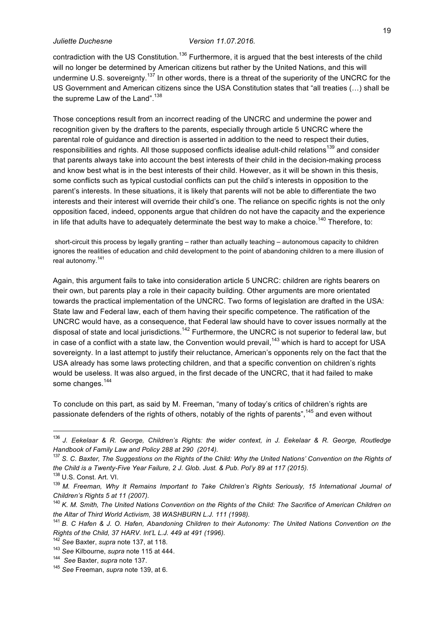contradiction with the US Constitution.<sup>136</sup> Furthermore, it is argued that the best interests of the child will no longer be determined by American citizens but rather by the United Nations, and this will undermine U.S. sovereignty.<sup>137</sup> In other words, there is a threat of the superiority of the UNCRC for the US Government and American citizens since the USA Constitution states that "all treaties (…) shall be the supreme Law of the Land".<sup>138</sup>

Those conceptions result from an incorrect reading of the UNCRC and undermine the power and recognition given by the drafters to the parents, especially through article 5 UNCRC where the parental role of guidance and direction is asserted in addition to the need to respect their duties, responsibilities and rights. All those supposed conflicts idealise adult-child relations<sup>139</sup> and consider that parents always take into account the best interests of their child in the decision-making process and know best what is in the best interests of their child. However, as it will be shown in this thesis, some conflicts such as typical custodial conflicts can put the child's interests in opposition to the parent's interests. In these situations, it is likely that parents will not be able to differentiate the two interests and their interest will override their child's one. The reliance on specific rights is not the only opposition faced, indeed, opponents argue that children do not have the capacity and the experience in life that adults have to adequately determinate the best way to make a choice.<sup>140</sup> Therefore, to:

short-circuit this process by legally granting – rather than actually teaching – autonomous capacity to children ignores the realities of education and child development to the point of abandoning children to a mere illusion of real autonomy.<sup>141</sup>

Again, this argument fails to take into consideration article 5 UNCRC: children are rights bearers on their own, but parents play a role in their capacity building. Other arguments are more orientated towards the practical implementation of the UNCRC. Two forms of legislation are drafted in the USA: State law and Federal law, each of them having their specific competence. The ratification of the UNCRC would have, as a consequence, that Federal law should have to cover issues normally at the disposal of state and local jurisdictions.<sup>142</sup> Furthermore, the UNCRC is not superior to federal law, but in case of a conflict with a state law, the Convention would prevail, $^{143}$  which is hard to accept for USA sovereignty. In a last attempt to justify their reluctance, American's opponents rely on the fact that the USA already has some laws protecting children, and that a specific convention on children's rights would be useless. It was also argued, in the first decade of the UNCRC, that it had failed to make some changes.<sup>144</sup>

To conclude on this part, as said by M. Freeman, "many of today's critics of children's rights are passionate defenders of the rights of others, notably of the rights of parents",<sup>145</sup> and even without

 <sup>136</sup> *J. Eekelaar & R. George, Children's Rights: the wider context, in J. Eekelaar & R. George, Routledge Handbook of Family Law and Policy 288 at 290 (2014).*

<sup>&</sup>lt;sup>137</sup> S. C. Baxter, The Suggestions on the Rights of the Child: Why the United Nations' Convention on the Rights of *the Child is a Twenty-Five Year Failure, 2 J. Glob. Just. & Pub. Pol'y 89 at 117 (2015).*

<sup>&</sup>lt;sup>138</sup> U.S. Const. Art. VI.<br><sup>139</sup> M. Freeman, Why It Remains Important to Take Children's Rights Seriously, 15 International Journal of *Children's Rights 5 at 11 (2007).*

<sup>&</sup>lt;sup>140</sup> K. M. Smith, The United Nations Convention on the Rights of the Child: The Sacrifice of American Children on *the Altar of Third World Activism, 38 WASHBURN L.J. 111 (1998).*

<sup>141</sup> *B. C Hafen & J. O. Hafen, Abandoning Children to their Autonomy: The United Nations Convention on the Rights of the Child, 37 HARV. Int'L L.J. 449 at 491 (1996).* 142 *See* Baxter, *supra* note 137, at 118.

<sup>143</sup> *See* Kilbourne, *supra* note 115 at 444. 144 *See* Baxter, *supra* note 137. 145 *See* Freeman, *supra* note 139, at 6.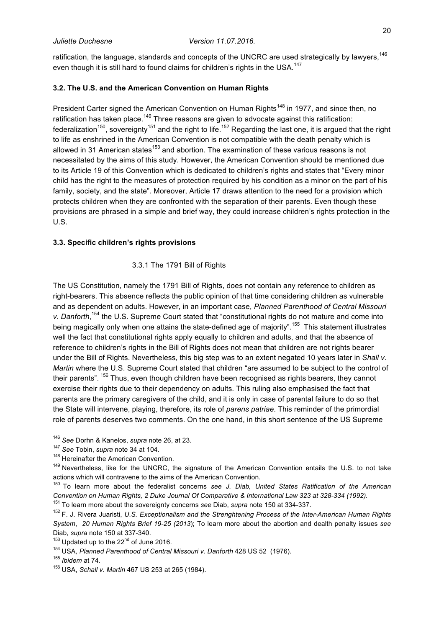ratification, the language, standards and concepts of the UNCRC are used strategically by lawyers, $^\mathrm{146}$ even though it is still hard to found claims for children's rights in the USA.<sup>147</sup>

## **3.2. The U.S. and the American Convention on Human Rights**

President Carter signed the American Convention on Human Rights<sup>148</sup> in 1977, and since then, no ratification has taken place.<sup>149</sup> Three reasons are given to advocate against this ratification: federalization<sup>150</sup>, sovereignty<sup>151</sup> and the right to life.<sup>152</sup> Regarding the last one, it is argued that the right to life as enshrined in the American Convention is not compatible with the death penalty which is allowed in 31 American states<sup>153</sup> and abortion. The examination of these various reasons is not necessitated by the aims of this study. However, the American Convention should be mentioned due to its Article 19 of this Convention which is dedicated to children's rights and states that "Every minor child has the right to the measures of protection required by his condition as a minor on the part of his family, society, and the state". Moreover, Article 17 draws attention to the need for a provision which protects children when they are confronted with the separation of their parents. Even though these provisions are phrased in a simple and brief way, they could increase children's rights protection in the U.S.

#### **3.3. Specific children's rights provisions**

### 3.3.1 The 1791 Bill of Rights

The US Constitution, namely the 1791 Bill of Rights, does not contain any reference to children as right-bearers. This absence reflects the public opinion of that time considering children as vulnerable and as dependent on adults. However, in an important case, *Planned Parenthood of Central Missouri*  v. Danforth,<sup>154</sup> the U.S. Supreme Court stated that "constitutional rights do not mature and come into being magically only when one attains the state-defined age of majority".<sup>155</sup> This statement illustrates well the fact that constitutional rights apply equally to children and adults, and that the absence of reference to children's rights in the Bill of Rights does not mean that children are not rights bearer under the Bill of Rights. Nevertheless, this big step was to an extent negated 10 years later in *Shall v. Martin* where the U.S. Supreme Court stated that children "are assumed to be subject to the control of their parents". <sup>156</sup> Thus, even though children have been recognised as rights bearers, they cannot exercise their rights due to their dependency on adults. This ruling also emphasised the fact that parents are the primary caregivers of the child, and it is only in case of parental failure to do so that the State will intervene, playing, therefore, its role of *parens patriae*. This reminder of the primordial role of parents deserves two comments. On the one hand, in this short sentence of the US Supreme

 <sup>146</sup> *See* Dorhn & Kanelos, *supra* note 26, at 23.

<sup>&</sup>lt;sup>147</sup> See Tobin, *supra* note 34 at 104.<br><sup>148</sup> Hereinafter the American Convention.<br><sup>149</sup> Nevertheless, like for the UNCRC, the signature of the American Convention entails the U.S. to not take actions which will contravene to the aims of the American Convention.

<sup>150</sup> To learn more about the federalist concerns *see J. Diab, United States Ratification of the American Convention on Human Rights, 2 Duke Journal Of Comparative & International Law 323 at 328-334 (1992).* 

<sup>&</sup>lt;sup>152</sup> F. J. Rivera Juaristi, U.S. Exceptionalism and the Strenghtening Process of the Inter-American Human Rights *System*, *20 Human Rights Brief 19-25 (2013*); To learn more about the abortion and dealth penalty issues *see* Diab, *supra* note 150 at 337-340.<br><sup>153</sup> Updated up to the 22<sup>nd</sup> of June 2016.<br><sup>154</sup> USA, *Planned Parenthood of Central Missouri v. Danforth* 428 US 52 (1976).

<sup>155</sup> *Ibidem* at 74.

<sup>156</sup> USA, *Schall v. Martin* 467 US 253 at 265 (1984).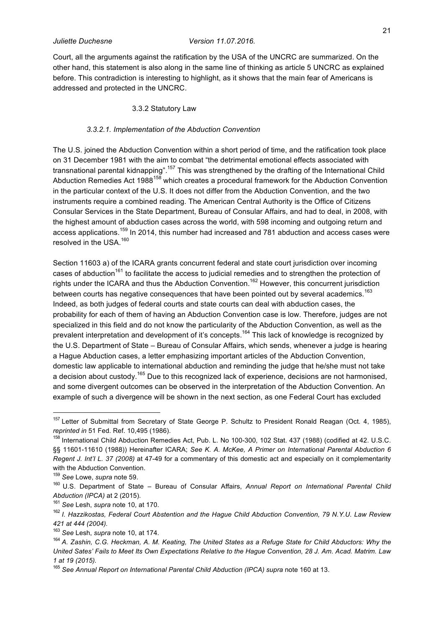Court, all the arguments against the ratification by the USA of the UNCRC are summarized. On the other hand, this statement is also along in the same line of thinking as article 5 UNCRC as explained before. This contradiction is interesting to highlight, as it shows that the main fear of Americans is addressed and protected in the UNCRC.

#### 3.3.2 Statutory Law

#### *3.3.2.1. Implementation of the Abduction Convention*

The U.S. joined the Abduction Convention within a short period of time, and the ratification took place on 31 December 1981 with the aim to combat "the detrimental emotional effects associated with transnational parental kidnapping".<sup>157</sup> This was strengthened by the drafting of the International Child Abduction Remedies Act 1988<sup>158</sup> which creates a procedural framework for the Abduction Convention in the particular context of the U.S. It does not differ from the Abduction Convention, and the two instruments require a combined reading. The American Central Authority is the Office of Citizens Consular Services in the State Department, Bureau of Consular Affairs, and had to deal, in 2008, with the highest amount of abduction cases across the world, with 598 incoming and outgoing return and access applications.<sup>159</sup> In 2014, this number had increased and 781 abduction and access cases were resolved in the USA  $160$ 

Section 11603 a) of the ICARA grants concurrent federal and state court jurisdiction over incoming cases of abduction<sup>161</sup> to facilitate the access to judicial remedies and to strengthen the protection of rights under the ICARA and thus the Abduction Convention.<sup>162</sup> However, this concurrent jurisdiction between courts has negative consequences that have been pointed out by several academics.<sup>163</sup> Indeed, as both judges of federal courts and state courts can deal with abduction cases, the probability for each of them of having an Abduction Convention case is low. Therefore, judges are not specialized in this field and do not know the particularity of the Abduction Convention, as well as the prevalent interpretation and development of it's concepts.<sup>164</sup> This lack of knowledge is recognized by the U.S. Department of State – Bureau of Consular Affairs, which sends, whenever a judge is hearing a Hague Abduction cases, a letter emphasizing important articles of the Abduction Convention, domestic law applicable to international abduction and reminding the judge that he/she must not take a decision about custody.<sup>165</sup> Due to this recognized lack of experience, decisions are not harmonised, and some divergent outcomes can be observed in the interpretation of the Abduction Convention. An example of such a divergence will be shown in the next section, as one Federal Court has excluded

<sup>&</sup>lt;sup>157</sup> Letter of Submittal from Secretary of State George P. Schultz to President Ronald Reagan (Oct. 4, 1985), *reprinted in* 51 Fed. Ref. 10,495 (1986).

<sup>&</sup>lt;sup>158</sup> International Child Abduction Remedies Act, Pub. L. No 100-300, 102 Stat. 437 (1988) (codified at 42. U.S.C. §§ 11601-11610 (1988)) Hereinafter ICARA; *See K. A. McKee, A Primer on International Parental Abduction 6 Regent J. Int'I L. 37 (2008)* at 47-49 for a commentary of this domestic act and especially on it complementarity with the Abduction Convention.

<sup>&</sup>lt;sup>159</sup> See Lowe, s*upra* note 59.<br><sup>160</sup> U.S. Department of State – Bureau of Consular Affairs, *Annual Report on International Parental Child Abduction (IPCA)* at 2 (2015). 161 *See* Lesh, *supra* note 10, at 170.

<sup>162</sup> *I. Hazzikostas, Federal Court Abstention and the Hague Child Abduction Convention, 79 N.Y.U. Law Review 421 at 444 (2004).* 

<sup>&</sup>lt;sup>163</sup> See Lesh, *supra* note 10, at 174.<br><sup>164</sup> A. Zashin, C.G. Heckman, A. M. Keating, The United States as a Refuge State for Child Abductors: Why the *United Sates' Fails to Meet Its Own Expectations Relative to the Hague Convention, 28 J. Am. Acad. Matrim. Law 1 at 19 (2015).*

<sup>165</sup> *See Annual Report on International Parental Child Abduction (IPCA) supra* note 160 at 13.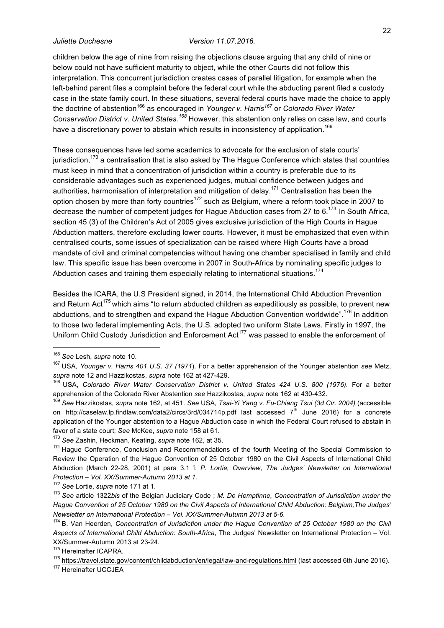children below the age of nine from raising the objections clause arguing that any child of nine or below could not have sufficient maturity to object, while the other Courts did not follow this interpretation. This concurrent jurisdiction creates cases of parallel litigation, for example when the left-behind parent files a complaint before the federal court while the abducting parent filed a custody case in the state family court. In these situations, several federal courts have made the choice to apply the doctrine of abstention<sup>166</sup> as encouraged in *Younger v. Harris*<sup>167</sup> or *Colorado River Water Conservation District v. United States.<sup>168</sup>* However, this abstention only relies on case law, and courts have a discretionary power to abstain which results in inconsistency of application.<sup>169</sup>

These consequences have led some academics to advocate for the exclusion of state courts' jurisdiction,<sup>170</sup> a centralisation that is also asked by The Hague Conference which states that countries must keep in mind that a concentration of jurisdiction within a country is preferable due to its considerable advantages such as experienced judges, mutual confidence between judges and authorities, harmonisation of interpretation and mitigation of delay.<sup>171</sup> Centralisation has been the option chosen by more than forty countries<sup>172</sup> such as Belgium, where a reform took place in 2007 to decrease the number of competent judges for Hague Abduction cases from 27 to 6.<sup>173</sup> In South Africa, section 45 (3) of the Children's Act of 2005 gives exclusive jurisdiction of the High Courts in Hague Abduction matters, therefore excluding lower courts. However, it must be emphasized that even within centralised courts, some issues of specialization can be raised where High Courts have a broad mandate of civil and criminal competencies without having one chamber specialised in family and child law. This specific issue has been overcome in 2007 in South-Africa by nominating specific judges to Abduction cases and training them especially relating to international situations.<sup>174</sup>

Besides the ICARA, the U.S President signed, in 2014, the International Child Abduction Prevention and Return Act<sup>175</sup> which aims "to return abducted children as expeditiously as possible, to prevent new abductions, and to strengthen and expand the Hague Abduction Convention worldwide".<sup>176</sup> In addition to those two federal implementing Acts, the U.S. adopted two uniform State Laws. Firstly in 1997, the Uniform Child Custody Jurisdiction and Enforcement Act<sup>177</sup> was passed to enable the enforcement of

<sup>&</sup>lt;sup>166</sup> See Lesh, *supra* note 10.<br><sup>167</sup> USA. *Younger v. Harris 401 U.S. 37 (1971*). For a better apprehension of the Younger abstention *see* Metz, *supra* note 12 and Hazzikostas, *supra* note 162 at 427-429. 168 USA, *Colorado River Water Conservation District v. United States 424 U.S. 800 (1976).* For a better

apprehension of the Colorado River Abstention see Hazzikostas, supra note 162 at 430-432.<br><sup>169</sup> See Hazzikostas, supra note 162, at 451. See USA, Tsai-Yi Yang v. Fu-Chiang Tsui (3d Cir. 2004) (accessible

on http://caselaw.lp.findlaw.com/data2/circs/3rd/034714p.pdf last accessed 7<sup>th</sup> June 2016) for a concrete application of the Younger abstention to a Hague Abduction case in which the Federal Court refused to abstain in favor of a state court; *See* McKee, *supra* note 158 at 61. 170 *See* Zashin, Heckman, Keating, *supra* note 162, at 35.

<sup>&</sup>lt;sup>171</sup> Hague Conference, Conclusion and Recommendations of the fourth Meeting of the Special Commission to Review the Operation of the Hague Convention of 25 October 1980 on the Civil Aspects of International Child Abduction (March 22-28, 2001) at para 3.1 î; *P. Lortie, Overview, The Judges' Newsletter on International Protection – Vol. XX/Summer-Autumn 2013 at 1.*

<sup>&</sup>lt;sup>172</sup> See Lortie, *supra* note 171 at 1.<br><sup>173</sup> See article 1322*bis* of the Belgian Judiciary Code ; *M. De Hemptinne, Concentration of Jurisdiction under the Hague Convention of 25 October 1980 on the Civil Aspects of International Child Abduction: Belgium,The Judges' Newsletter on International Protection – Vol. XX/Summer-Autumn 2013 at 5-6.*

<sup>174</sup> B. Van Heerden, *Concentration of Jurisdiction under the Hague Convention of 25 October 1980 on the Civil Aspects of International Child Abduction: South-Africa*, The Judges' Newsletter on International Protection – Vol. XX/Summer-Autumn 2013 at 23-24.

<sup>&</sup>lt;sup>175</sup> Hereinafter ICAPRA.

<sup>&</sup>lt;sup>176</sup> https://travel.state.gov/content/childabduction/en/legal/law-and-regulations.html (last accessed 6th June 2016).<br><sup>177</sup> Hereinafter UCCJEA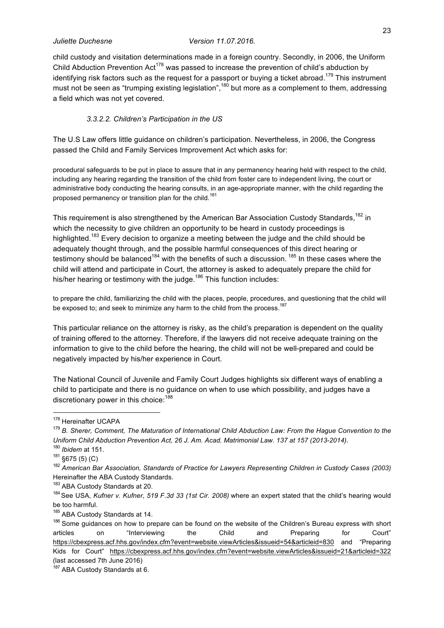child custody and visitation determinations made in a foreign country. Secondly, in 2006, the Uniform Child Abduction Prevention Act<sup>178</sup> was passed to increase the prevention of child's abduction by identifying risk factors such as the request for a passport or buying a ticket abroad.<sup>179</sup> This instrument must not be seen as "trumping existing legislation",<sup>180</sup> but more as a complement to them, addressing a field which was not yet covered.

#### *3.3.2.2. Children's Participation in the US*

The U.S Law offers little guidance on children's participation. Nevertheless, in 2006, the Congress passed the Child and Family Services Improvement Act which asks for:

procedural safeguards to be put in place to assure that in any permanency hearing held with respect to the child, including any hearing regarding the transition of the child from foster care to independent living, the court or administrative body conducting the hearing consults, in an age-appropriate manner, with the child regarding the proposed permanency or transition plan for the child.<sup>181</sup>

This requirement is also strengthened by the American Bar Association Custody Standards,<sup>182</sup> in which the necessity to give children an opportunity to be heard in custody proceedings is highlighted.<sup>183</sup> Every decision to organize a meeting between the judge and the child should be adequately thought through, and the possible harmful consequences of this direct hearing or testimony should be balanced<sup>184</sup> with the benefits of such a discussion.<sup>185</sup> In these cases where the child will attend and participate in Court, the attorney is asked to adequately prepare the child for his/her hearing or testimony with the judge.<sup>186</sup> This function includes:

to prepare the child, familiarizing the child with the places, people, procedures, and questioning that the child will be exposed to; and seek to minimize any harm to the child from the process.<sup>187</sup>

This particular reliance on the attorney is risky, as the child's preparation is dependent on the quality of training offered to the attorney. Therefore, if the lawyers did not receive adequate training on the information to give to the child before the hearing, the child will not be well-prepared and could be negatively impacted by his/her experience in Court.

The National Council of Juvenile and Family Court Judges highlights six different ways of enabling a child to participate and there is no guidance on when to use which possibility, and judges have a discretionary power in this choice:<sup>188</sup>

 <sup>178</sup> Hereinafter UCAPA

<sup>179</sup> *B. Sherer, Comment, The Maturation of International Child Abduction Law: From the Hague Convention to the Uniform Child Abduction Prevention Act, 26 J. Am. Acad. Matrimonial Law. 137 at 157 (2013-2014).* 

<sup>&</sup>lt;sup>180</sup> Ibidem at 151.<br><sup>181</sup> §675 (5) (C)<br><sup>182</sup> American Bar Association, Standards of Practice for Lawyers Representing Children in Custody Cases (2003) Hereinafter the ABA Custody Standards.

<sup>&</sup>lt;sup>183</sup> ABA Custody Standards at 20.<br><sup>184</sup> See USA, *Kufner v. Kufner*, *519 F.3d 33 (1st Cir. 2008)* where an expert stated that the child's hearing would be too harmful.

 $^{185}$  ABA Custody Standards at 14.<br><sup>186</sup> Some guidances on how to prepare can be found on the website of the Children's Bureau express with short articles on "Interviewing the Child and Preparing for Court" https://cbexpress.acf.hhs.gov/index.cfm?event=website.viewArticles&issueid=54&articleid=830 and "Preparing Kids for Court" https://cbexpress.acf.hhs.gov/index.cfm?event=website.viewArticles&issueid=21&articleid=322 (last accessed 7th June 2016)

<sup>187</sup> ABA Custody Standards at 6.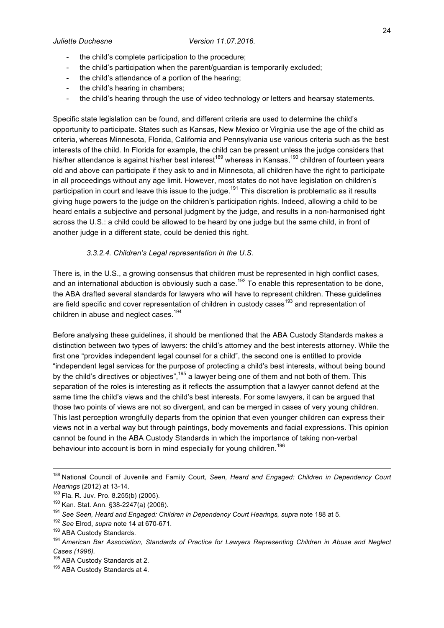- the child's complete participation to the procedure;
- the child's participation when the parent/guardian is temporarily excluded;
- the child's attendance of a portion of the hearing;
- the child's hearing in chambers;
- the child's hearing through the use of video technology or letters and hearsay statements.

Specific state legislation can be found, and different criteria are used to determine the child's opportunity to participate. States such as Kansas, New Mexico or Virginia use the age of the child as criteria, whereas Minnesota, Florida, California and Pennsylvania use various criteria such as the best interests of the child. In Florida for example, the child can be present unless the judge considers that his/her attendance is against his/her best interest<sup>189</sup> whereas in Kansas,<sup>190</sup> children of fourteen years old and above can participate if they ask to and in Minnesota, all children have the right to participate in all proceedings without any age limit. However, most states do not have legislation on children's participation in court and leave this issue to the judge.<sup>191</sup> This discretion is problematic as it results giving huge powers to the judge on the children's participation rights. Indeed, allowing a child to be heard entails a subjective and personal judgment by the judge, and results in a non-harmonised right across the U.S.: a child could be allowed to be heard by one judge but the same child, in front of another judge in a different state, could be denied this right.

### *3.3.2.4. Children's Legal representation in the U.S.*

There is, in the U.S., a growing consensus that children must be represented in high conflict cases, and an international abduction is obviously such a case.<sup>192</sup> To enable this representation to be done, the ABA drafted several standards for lawyers who will have to represent children. These guidelines are field specific and cover representation of children in custody cases<sup>193</sup> and representation of children in abuse and neglect cases.<sup>194</sup>

Before analysing these guidelines, it should be mentioned that the ABA Custody Standards makes a distinction between two types of lawyers: the child's attorney and the best interests attorney. While the first one "provides independent legal counsel for a child", the second one is entitled to provide "independent legal services for the purpose of protecting a child's best interests, without being bound by the child's directives or objectives",<sup>195</sup> a lawyer being one of them and not both of them. This separation of the roles is interesting as it reflects the assumption that a lawyer cannot defend at the same time the child's views and the child's best interests. For some lawyers, it can be argued that those two points of views are not so divergent, and can be merged in cases of very young children. This last perception wrongfully departs from the opinion that even younger children can express their views not in a verbal way but through paintings, body movements and facial expressions. This opinion cannot be found in the ABA Custody Standards in which the importance of taking non-verbal behaviour into account is born in mind especially for young children.<sup>196</sup>

 <sup>188</sup> National Council of Juvenile and Family Court, *Seen, Heard and Engaged: Children in Dependency Court Hearings* (2012) at 13-14.

<sup>189</sup> Fla. R. Juv. Pro. 8.255(b) (2005).

<sup>&</sup>lt;sup>190</sup> Kan. Stat. Ann. §38-2247(a) (2006).<br><sup>191</sup> See Seen, Heard and Engaged: Children in Dependency Court Hearings, supra note 188 at 5.<br><sup>192</sup> See Elrod, supra note 14 at 670-671.<br><sup>193</sup> ABA Custody Standards.<br><sup>194</sup> America *Cases (1996).*

 $195$  ABA Custody Standards at 2.<br> $196$  ABA Custody Standards at 4.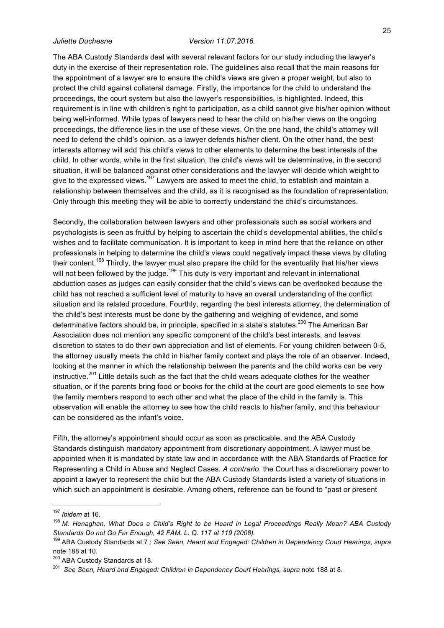The ABA Custody Standards deal with several relevant factors for our study including the lawyer's duty in the exercise of their representation role. The guidelines also recall that the main reasons for the appointment of a lawyer are to ensure the child's views are given a proper weight, but also to protect the child against collateral damage. Firstly, the importance for the child to understand the proceedings, the court system but also the lawyer's responsibilities, is highlighted. Indeed, this requirement is in line with children's right to participation, as a child cannot give his/her opinion without being well-informed. While types of lawyers need to hear the child on his/her views on the ongoing proceedings, the difference lies in the use of these views. On the one hand, the child's attorney will need to defend the child's opinion, as a lawyer defends his/her client. On the other hand, the best interests attorney will add this child's views to other elements to determine the best interests of the child. In other words, while in the first situation, the child's views will be determinative, in the second situation, it will be balanced against other considerations and the lawyer will decide which weight to give to the expressed views.<sup>197</sup> Lawyers are asked to meet the child, to establish and maintain a relationship between themselves and the child, as it is recognised as the foundation of representation. Only through this meeting they will be able to correctly understand the child's circumstances.

Secondly, the collaboration between lawyers and other professionals such as social workers and psychologists is seen as fruitful by helping to ascertain the child's developmental abilities, the child's wishes and to facilitate communication. It is important to keep in mind here that the reliance on other professionals in helping to determine the child's views could negatively impact these views by diluting their content.<sup>198</sup> Thirdly, the lawyer must also prepare the child for the eventuality that his/her views will not been followed by the judge.<sup>199</sup> This duty is very important and relevant in international abduction cases as judges can easily consider that the child's views can be overlooked because the child has not reached a sufficient level of maturity to have an overall understanding of the conflict situation and its related procedure. Fourthly, regarding the best interests attorney, the determination of the child's best interests must be done by the gathering and weighing of evidence, and some determinative factors should be, in principle, specified in a state's statutes.<sup>200</sup> The American Bar Association does not mention any specific component of the child's best interests, and leaves discretion to states to do their own appreciation and list of elements. For young children between 0-5, the attorney usually meets the child in his/her family context and plays the role of an observer. Indeed, looking at the manner in which the relationship between the parents and the child works can be very instructive.<sup>201</sup> Little details such as the fact that the child wears adequate clothes for the weather situation, or if the parents bring food or books for the child at the court are good elements to see how the family members respond to each other and what the place of the child in the family is. This observation will enable the attorney to see how the child reacts to his/her family, and this behaviour can be considered as the infant's voice.

Fifth, the attorney's appointment should occur as soon as practicable, and the ABA Custody Standards distinguish mandatory appointment from discretionary appointment. A lawyer must be appointed when it is mandated by state law and in accordance with the ABA Standards of Practice for Representing a Child in Abuse and Neglect Cases. *A contrario*, the Court has a discretionary power to appoint a lawyer to represent the child but the ABA Custody Standards listed a variety of situations in which such an appointment is desirable. Among others, reference can be found to "past or present

 <sup>197</sup> *Ibidem* at 16.

<sup>198</sup> *M. Henaghan, What Does a Child's Right to be Heard in Legal Proceedings Really Mean? ABA Custody Standards Do not Go Far Enough, 42 FAM. L. Q. 117 at 119 (2008).* 199 ABA Custody Standards at 7 ; *See Seen, Heard and Engaged: Children in Dependency Court Hearings*, *supra* 

note 188 at 10.

<sup>&</sup>lt;sup>200</sup> ABA Custody Standards at 18.

<sup>&</sup>lt;sup>201</sup> See Seen, Heard and Engaged: Children in Dependency Court Hearings, supra note 188 at 8.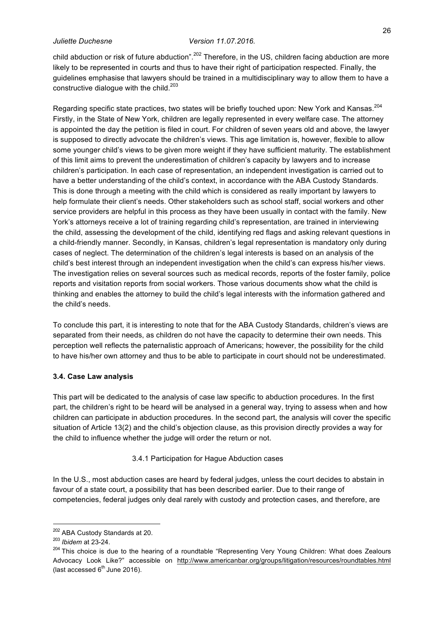child abduction or risk of future abduction".<sup>202</sup> Therefore, in the US, children facing abduction are more likely to be represented in courts and thus to have their right of participation respected. Finally, the guidelines emphasise that lawyers should be trained in a multidisciplinary way to allow them to have a constructive dialogue with the child.<sup>203</sup>

Regarding specific state practices, two states will be briefly touched upon: New York and Kansas.<sup>204</sup> Firstly, in the State of New York, children are legally represented in every welfare case. The attorney is appointed the day the petition is filed in court. For children of seven years old and above, the lawyer is supposed to directly advocate the children's views. This age limitation is, however, flexible to allow some younger child's views to be given more weight if they have sufficient maturity. The establishment of this limit aims to prevent the underestimation of children's capacity by lawyers and to increase children's participation. In each case of representation, an independent investigation is carried out to have a better understanding of the child's context, in accordance with the ABA Custody Standards. This is done through a meeting with the child which is considered as really important by lawyers to help formulate their client's needs. Other stakeholders such as school staff, social workers and other service providers are helpful in this process as they have been usually in contact with the family. New York's attorneys receive a lot of training regarding child's representation, are trained in interviewing the child, assessing the development of the child, identifying red flags and asking relevant questions in a child-friendly manner. Secondly, in Kansas, children's legal representation is mandatory only during cases of neglect. The determination of the children's legal interests is based on an analysis of the child's best interest through an independent investigation when the child's can express his/her views. The investigation relies on several sources such as medical records, reports of the foster family, police reports and visitation reports from social workers. Those various documents show what the child is thinking and enables the attorney to build the child's legal interests with the information gathered and the child's needs.

To conclude this part, it is interesting to note that for the ABA Custody Standards, children's views are separated from their needs, as children do not have the capacity to determine their own needs. This perception well reflects the paternalistic approach of Americans; however, the possibility for the child to have his/her own attorney and thus to be able to participate in court should not be underestimated.

#### **3.4. Case Law analysis**

This part will be dedicated to the analysis of case law specific to abduction procedures. In the first part, the children's right to be heard will be analysed in a general way, trying to assess when and how children can participate in abduction procedures. In the second part, the analysis will cover the specific situation of Article 13(2) and the child's objection clause, as this provision directly provides a way for the child to influence whether the judge will order the return or not.

#### 3.4.1 Participation for Hague Abduction cases

In the U.S., most abduction cases are heard by federal judges, unless the court decides to abstain in favour of a state court, a possibility that has been described earlier. Due to their range of competencies, federal judges only deal rarely with custody and protection cases, and therefore, are

 $^{202}$  ABA Custody Standards at 20.<br> $^{203}$  *lbidem* at 23-24.

<sup>&</sup>lt;sup>204</sup> This choice is due to the hearing of a roundtable "Representing Very Young Children: What does Zealours Advocacy Look Like?" accessible on http://www.americanbar.org/groups/litigation/resources/roundtables.html (last accessed  $6<sup>th</sup>$  June 2016).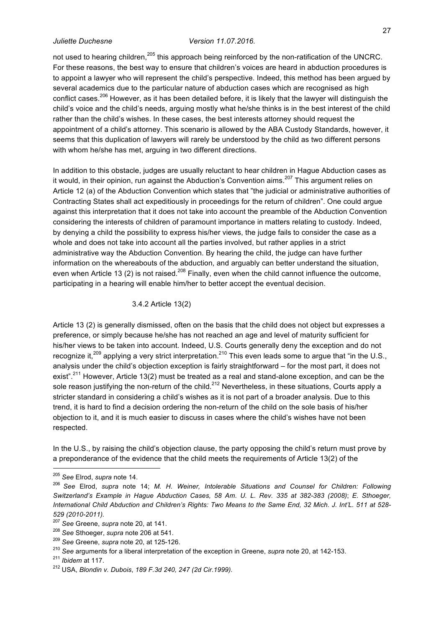not used to hearing children,<sup>205</sup> this approach being reinforced by the non-ratification of the UNCRC. For these reasons, the best way to ensure that children's voices are heard in abduction procedures is to appoint a lawyer who will represent the child's perspective. Indeed, this method has been argued by several academics due to the particular nature of abduction cases which are recognised as high conflict cases.<sup>206</sup> However, as it has been detailed before, it is likely that the lawyer will distinguish the child's voice and the child's needs, arguing mostly what he/she thinks is in the best interest of the child rather than the child's wishes. In these cases, the best interests attorney should request the appointment of a child's attorney. This scenario is allowed by the ABA Custody Standards, however, it seems that this duplication of lawyers will rarely be understood by the child as two different persons with whom he/she has met, arguing in two different directions.

In addition to this obstacle, judges are usually reluctant to hear children in Hague Abduction cases as it would, in their opinion, run against the Abduction's Convention aims.<sup>207</sup> This argument relies on Article 12 (a) of the Abduction Convention which states that "the judicial or administrative authorities of Contracting States shall act expeditiously in proceedings for the return of children". One could argue against this interpretation that it does not take into account the preamble of the Abduction Convention considering the interests of children of paramount importance in matters relating to custody. Indeed, by denying a child the possibility to express his/her views, the judge fails to consider the case as a whole and does not take into account all the parties involved, but rather applies in a strict administrative way the Abduction Convention. By hearing the child, the judge can have further information on the whereabouts of the abduction, and arguably can better understand the situation, even when Article 13 (2) is not raised.<sup>208</sup> Finally, even when the child cannot influence the outcome, participating in a hearing will enable him/her to better accept the eventual decision.

3.4.2 Article 13(2)

Article 13 (2) is generally dismissed, often on the basis that the child does not object but expresses a preference, or simply because he/she has not reached an age and level of maturity sufficient for his/her views to be taken into account. Indeed, U.S. Courts generally deny the exception and do not recognize it,<sup>209</sup> applying a very strict interpretation.<sup>210</sup> This even leads some to argue that "in the U.S., analysis under the child's objection exception is fairly straightforward – for the most part, it does not exist".<sup>211</sup> However, Article 13(2) must be treated as a real and stand-alone exception, and can be the sole reason justifying the non-return of the child.<sup>212</sup> Nevertheless, in these situations, Courts apply a stricter standard in considering a child's wishes as it is not part of a broader analysis. Due to this trend, it is hard to find a decision ordering the non-return of the child on the sole basis of his/her objection to it, and it is much easier to discuss in cases where the child's wishes have not been respected.

In the U.S., by raising the child's objection clause, the party opposing the child's return must prove by a preponderance of the evidence that the child meets the requirements of Article 13(2) of the

 <sup>205</sup> *See* Elrod, *supra* note 14.

<sup>206</sup> *See* Elrod, *supra* note 14; *M. H. Weiner, Intolerable Situations and Counsel for Children: Following Switzerland's Example in Hague Abduction Cases, 58 Am. U. L. Rev. 335 at 382-383 (2008)*; *E. Sthoeger, International Child Abduction and Children's Rights: Two Means to the Same End, 32 Mich. J. Int'L. 511 at 528- 529 (2010-2011).*

<sup>&</sup>lt;sup>208</sup> See Sthoeger, *supra* note 206 at 541.<br><sup>209</sup> See Greene, *supra* note 20, at 125-126.<br><sup>210</sup> See arguments for a liberal interpretation of the exception in Greene, *supra* note 20, at 142-153.

<sup>211</sup> *Ibidem* at 117. 212 USA, *Blondin v. Dubois*, *189 F.3d 240, 247 (2d Cir.1999).*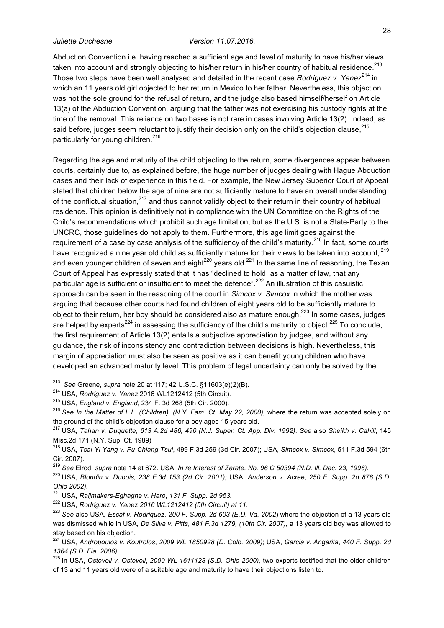28

Abduction Convention i.e. having reached a sufficient age and level of maturity to have his/her views taken into account and strongly objecting to his/her return in his/her country of habitual residence.<sup>213</sup> Those two steps have been well analysed and detailed in the recent case *Rodriguez v. Yanez<sup>214</sup>* in which an 11 years old girl objected to her return in Mexico to her father. Nevertheless, this objection was not the sole ground for the refusal of return, and the judge also based himself/herself on Article 13(a) of the Abduction Convention, arguing that the father was not exercising his custody rights at the time of the removal. This reliance on two bases is not rare in cases involving Article 13(2). Indeed, as said before, judges seem reluctant to justify their decision only on the child's objection clause, 215 particularly for young children.<sup>216</sup>

Regarding the age and maturity of the child objecting to the return, some divergences appear between courts, certainly due to, as explained before, the huge number of judges dealing with Hague Abduction cases and their lack of experience in this field. For example, the New Jersey Superior Court of Appeal stated that children below the age of nine are not sufficiently mature to have an overall understanding of the conflictual situation,<sup>217</sup> and thus cannot validly object to their return in their country of habitual residence. This opinion is definitively not in compliance with the UN Committee on the Rights of the Child's recommendations which prohibit such age limitation, but as the U.S. is not a State-Party to the UNCRC, those guidelines do not apply to them. Furthermore, this age limit goes against the requirement of a case by case analysis of the sufficiency of the child's maturity.<sup>218</sup> In fact, some courts have recognized a nine year old child as sufficiently mature for their views to be taken into account, <sup>219</sup> and even younger children of seven and eight $^{220}$  years old. $^{221}$  In the same line of reasoning, the Texan Court of Appeal has expressly stated that it has "declined to hold, as a matter of law, that any particular age is sufficient or insufficient to meet the defence".<sup>222</sup> An illustration of this casuistic approach can be seen in the reasoning of the court in *Simcox v. Simcox* in which the mother was arguing that because other courts had found children of eight years old to be sufficiently mature to object to their return, her boy should be considered also as mature enough.<sup>223</sup> In some cases, judges are helped by experts<sup>224</sup> in assessing the sufficiency of the child's maturity to object.<sup>225</sup> To conclude, the first requirement of Article 13(2) entails a subjective appreciation by judges, and without any guidance, the risk of inconsistency and contradiction between decisions is high. Nevertheless, this margin of appreciation must also be seen as positive as it can benefit young children who have developed an advanced maturity level. This problem of legal uncertainty can only be solved by the

<sup>215</sup> USA, *England v. England*, 234 F. 3d 268 (5th Cir. 2000).

<sup>222</sup> USA, *Rodriguez v. Yanez 2016 WL1212412 (5th Circuit) at 11.*

 <sup>213</sup> *See* Greene, *supra* note 20 at 117; 42 U.S.C. §11603(e)(2)(B).

<sup>214</sup> USA, *Rodriguez v. Yanez* 2016 WL1212412 (5th Circuit).

<sup>216</sup> *See In the Matter of L.L. (Children), (N.Y. Fam. Ct. May 22, 2000),* where the return was accepted solely on the ground of the child's objection clause for a boy aged 15 years old.

<sup>217</sup> USA, *Tahan v. Duquette*, *613 A.2d 486, 490 (N.J. Super. Ct. App. Div. 1992)*. *See* also *Sheikh v. Cahill*, 145 Misc.2d 171 (N.Y. Sup. Ct. 1989)

<sup>218</sup> USA, *Tsai-Yi Yang v. Fu-Chiang Tsui*, 499 F.3d 259 (3d Cir. 2007); USA, *Simcox v. Simcox*, 511 F.3d 594 (6th Cir. 2007).

<sup>219</sup> *See* Elrod, *supra* note 14 at 672. USA, *In re Interest of Zarate, No. 96 C 50394 (N.D. Ill. Dec. 23, 1996).*

<sup>220</sup> USA, *Blondin v. Dubois, 238 F.3d 153 (2d Cir. 2001);* USA, *Anderson v. Acree*, *250 F. Supp. 2d 876 (S.D. Ohio 2002).* 

<sup>221</sup> USA, *Raijmakers-Eghaghe v. Haro*, *131 F. Supp. 2d 953.*

<sup>223</sup> *See* also USA*, Escaf v. Rodriquez*, *200 F. Supp. 2d 603 (E.D. Va. 2002*) where the objection of a 13 years old was dismissed while in USA*, De Silva v. Pitts*, *481 F.3d 1279, (10th Cir. 2007),* a 13 years old boy was allowed to stay based on his objection.

<sup>224</sup> USA, *Andropoulos v. Koutrolos*, *2009 WL 1850928 (D. Colo. 2009)*; USA, *Garcia v. Angarita*, *440 F. Supp. 2d 1364 (S.D. Fla. 2006)*; 225 In USA, *Ostevoll v. Ostevoll*, *2000 WL 1611123 (S.D. Ohio 2000),* two experts testified that the older children

of 13 and 11 years old were of a suitable age and maturity to have their objections listen to.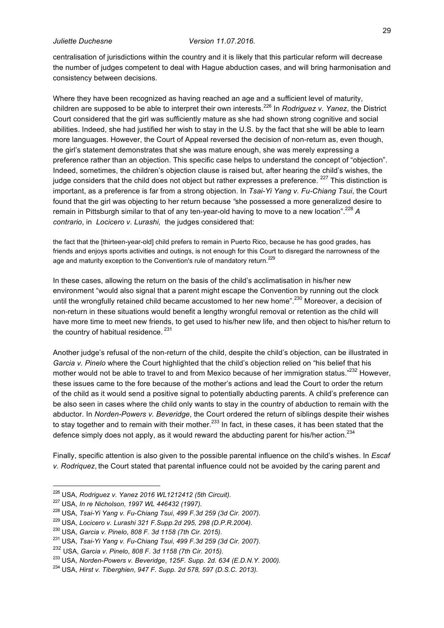centralisation of jurisdictions within the country and it is likely that this particular reform will decrease the number of judges competent to deal with Hague abduction cases, and will bring harmonisation and consistency between decisions.

Where they have been recognized as having reached an age and a sufficient level of maturity, children are supposed to be able to interpret their own interests.<sup>226</sup> In *Rodriguez v. Yanez*, the District Court considered that the girl was sufficiently mature as she had shown strong cognitive and social abilities. Indeed, she had justified her wish to stay in the U.S. by the fact that she will be able to learn more languages. However, the Court of Appeal reversed the decision of non-return as, even though, the girl's statement demonstrates that she was mature enough, she was merely expressing a preference rather than an objection. This specific case helps to understand the concept of "objection". Indeed, sometimes, the children's objection clause is raised but, after hearing the child's wishes, the judge considers that the child does not object but rather expresses a preference.  $227$  This distinction is important, as a preference is far from a strong objection. In *Tsai-Yi Yang v. Fu-Chiang Tsui*, the Court found that the girl was objecting to her return because *"*she possessed a more generalized desire to remain in Pittsburgh similar to that of any ten-year-old having to move to a new location".<sup>228</sup> *A contrario*, in *Locicero v. Lurashi,* the judges considered that:

the fact that the [thirteen-year-old] child prefers to remain in Puerto Rico, because he has good grades, has friends and enjoys sports activities and outings, is not enough for this Court to disregard the narrowness of the age and maturity exception to the Convention's rule of mandatory return.<sup>229</sup>

In these cases, allowing the return on the basis of the child's acclimatisation in his/her new environment "would also signal that a parent might escape the Convention by running out the clock until the wrongfully retained child became accustomed to her new home".<sup>230</sup> Moreover, a decision of non-return in these situations would benefit a lengthy wrongful removal or retention as the child will have more time to meet new friends, to get used to his/her new life, and then object to his/her return to the country of habitual residence.  $231$ 

Another judge's refusal of the non-return of the child, despite the child's objection, can be illustrated in *Garcia v. Pinelo* where the Court highlighted that the child's objection relied on "his belief that his mother would not be able to travel to and from Mexico because of her immigration status."<sup>232</sup> However, these issues came to the fore because of the mother's actions and lead the Court to order the return of the child as it would send a positive signal to potentially abducting parents. A child's preference can be also seen in cases where the child only wants to stay in the country of abduction to remain with the abductor. In *Norden-Powers v. Beveridge*, the Court ordered the return of siblings despite their wishes to stay together and to remain with their mother.<sup>233</sup> In fact, in these cases, it has been stated that the defence simply does not apply, as it would reward the abducting parent for his/her action. $^{234}$ 

Finally, specific attention is also given to the possible parental influence on the child's wishes. In *Escaf v. Rodriquez*, the Court stated that parental influence could not be avoided by the caring parent and

- 226 USA, *Rodriguez v. Yanez 2016 WL1212412 (5th Circuit).*
- <sup>227</sup> USA, *In re Nicholson, 1997 WL 446432 (1997).*

<sup>229</sup> USA, *Locicero v. Lurashi 321 F.Supp.2d 295, 298 (D.P.R.2004).*

<sup>228</sup> USA, *Tsai-Yi Yang v. Fu-Chiang Tsui*, *499 F.3d 259 (3d Cir. 2007).*

<sup>230</sup> USA, *Garcia v. Pinelo*, *808 F. 3d 1158 (7th Cir. 2015).*

<sup>231</sup> USA, *Tsai-Yi Yang v. Fu-Chiang Tsui*, *499 F.3d 259 (3d Cir. 2007).*

<sup>232</sup> USA, *Garcia v. Pinelo*, *808 F. 3d 1158 (7th Cir. 2015).*

<sup>233</sup> USA, *Norden-Powers v. Beveridge*, *125F. Supp. 2d. 634 (E.D.N.Y. 2000).*

<sup>234</sup> USA, *Hirst v. Tiberghien*, *947 F. Supp. 2d 578, 597 (D.S.C. 2013).*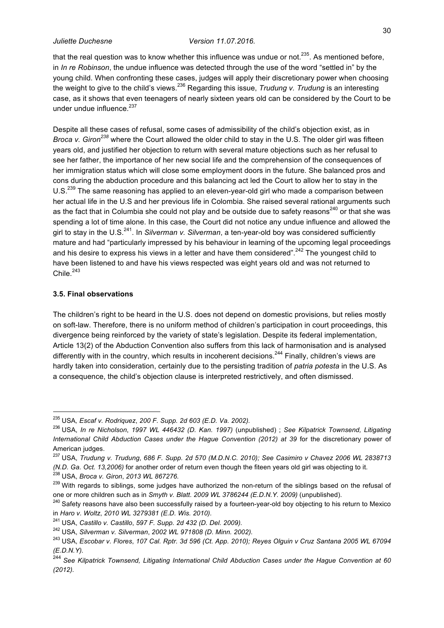that the real question was to know whether this influence was undue or not.<sup>235</sup>. As mentioned before. in *In re Robinson*, the undue influence was detected through the use of the word "settled in" by the young child. When confronting these cases, judges will apply their discretionary power when choosing the weight to give to the child's views. <sup>236</sup> Regarding this issue, *Trudung v. Trudung* is an interesting case, as it shows that even teenagers of nearly sixteen years old can be considered by the Court to be under undue influence.<sup>237</sup>

Despite all these cases of refusal, some cases of admissibility of the child's objection exist, as in *Broca v. Giron<sup>238</sup>* where the Court allowed the older child to stay in the U.S. The older girl was fifteen years old, and justified her objection to return with several mature objections such as her refusal to see her father, the importance of her new social life and the comprehension of the consequences of her immigration status which will close some employment doors in the future. She balanced pros and cons during the abduction procedure and this balancing act led the Court to allow her to stay in the U.S.<sup>239</sup> The same reasoning has applied to an eleven-year-old girl who made a comparison between her actual life in the U.S and her previous life in Colombia. She raised several rational arguments such as the fact that in Columbia she could not play and be outside due to safety reasons<sup>240</sup> or that she was spending a lot of time alone. In this case, the Court did not notice any undue influence and allowed the girl to stay in the U.S.241. In *Silverman v. Silverman*, a ten-year-old boy was considered sufficiently mature and had "particularly impressed by his behaviour in learning of the upcoming legal proceedings and his desire to express his views in a letter and have them considered".<sup>242</sup> The youngest child to have been listened to and have his views respected was eight years old and was not returned to Chile. $243$ 

### **3.5. Final observations**

The children's right to be heard in the U.S. does not depend on domestic provisions, but relies mostly on soft-law. Therefore, there is no uniform method of children's participation in court proceedings, this divergence being reinforced by the variety of state's legislation. Despite its federal implementation, Article 13(2) of the Abduction Convention also suffers from this lack of harmonisation and is analysed differently with in the country, which results in incoherent decisions.<sup>244</sup> Finally, children's views are hardly taken into consideration, certainly due to the persisting tradition of *patria potesta* in the U.S. As a consequence, the child's objection clause is interpreted restrictively, and often dismissed.

 <sup>235</sup> USA*, Escaf v. Rodriquez*, *200 F. Supp. 2d 603 (E.D. Va. 2002).* 

<sup>236</sup> USA, *In re Nicholson*, *1997 WL 446432 (D. Kan. 1997)* (unpublished) ; *See Kilpatrick Townsend, Litigating International Child Abduction Cases under the Hague Convention (2012) at 39* for the discretionary power of American judges.

<sup>237</sup> USA, *Trudung v. Trudung*, *686 F. Supp. 2d 570 (M.D.N.C. 2010); See Casimiro v Chavez 2006 WL 2838713 (N.D. Ga. Oct. 13,2006)* for another order of return even though the fiteen years old girl was objecting to it. 238 USA, *Broca v. Giron*, *2013 WL 867276.*

<sup>&</sup>lt;sup>239</sup> With regards to siblings, some judges have authorized the non-return of the siblings based on the refusal of one or more children such as in *Smyth v. Blatt. 2009 WL 3786244 (E.D.N.Y. 2009)* (unpublished).<br><sup>240</sup> Safety reasons have also been successfully raised by a fourteen-year-old boy objecting to his return to Mexico

in *Haro v. Woltz*, *2010 WL 3279381 (E.D. Wis. 2010).*

<sup>241</sup> USA, *Castillo v. Castillo*, *597 F. Supp. 2d 432 (D. Del. 2009).*

<sup>242</sup> USA, *Silverman v. Silverman*, *2002 WL 971808 (D. Minn. 2002).*

<sup>243</sup> USA, *Escobar v. Flores*, *107 Cal. Rptr. 3d 596 (Ct. App. 2010); Reyes Olguin v Cruz Santana 2005 WL 67094 (E.D.N.Y).* 

<sup>244</sup> *See Kilpatrick Townsend, Litigating International Child Abduction Cases under the Hague Convention at 60 (2012).*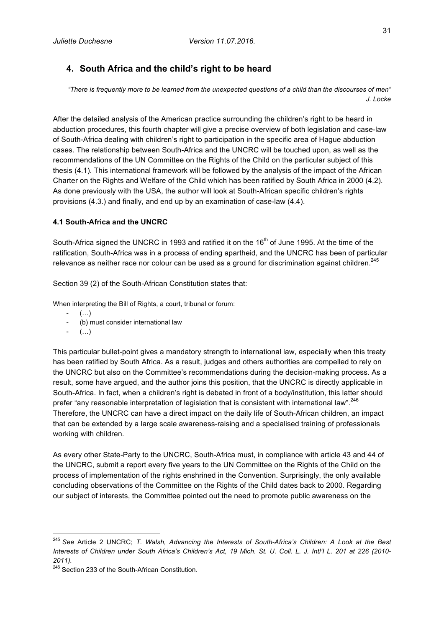## **4. South Africa and the child's right to be heard**

*"There is frequently more to be learned from the unexpected questions of a child than the discourses of men" J. Locke*

After the detailed analysis of the American practice surrounding the children's right to be heard in abduction procedures, this fourth chapter will give a precise overview of both legislation and case-law of South-Africa dealing with children's right to participation in the specific area of Hague abduction cases. The relationship between South-Africa and the UNCRC will be touched upon, as well as the recommendations of the UN Committee on the Rights of the Child on the particular subject of this thesis (4.1). This international framework will be followed by the analysis of the impact of the African Charter on the Rights and Welfare of the Child which has been ratified by South Africa in 2000 (4.2). As done previously with the USA, the author will look at South-African specific children's rights provisions (4.3.) and finally, and end up by an examination of case-law (4.4).

### **4.1 South-Africa and the UNCRC**

South-Africa signed the UNCRC in 1993 and ratified it on the 16<sup>th</sup> of June 1995. At the time of the ratification, South-Africa was in a process of ending apartheid, and the UNCRC has been of particular relevance as neither race nor colour can be used as a ground for discrimination against children.<sup>245</sup>

Section 39 (2) of the South-African Constitution states that:

When interpreting the Bill of Rights, a court, tribunal or forum:

- $(\ldots)$
- (b) must consider international law
- (…)

This particular bullet-point gives a mandatory strength to international law, especially when this treaty has been ratified by South Africa. As a result, judges and others authorities are compelled to rely on the UNCRC but also on the Committee's recommendations during the decision-making process. As a result, some have argued, and the author joins this position, that the UNCRC is directly applicable in South-Africa. In fact, when a children's right is debated in front of a body/institution, this latter should prefer "any reasonable interpretation of legislation that is consistent with international law".<sup>246</sup> Therefore, the UNCRC can have a direct impact on the daily life of South-African children, an impact that can be extended by a large scale awareness-raising and a specialised training of professionals working with children.

As every other State-Party to the UNCRC, South-Africa must, in compliance with article 43 and 44 of the UNCRC, submit a report every five years to the UN Committee on the Rights of the Child on the process of implementation of the rights enshrined in the Convention. Surprisingly, the only available concluding observations of the Committee on the Rights of the Child dates back to 2000. Regarding our subject of interests, the Committee pointed out the need to promote public awareness on the

 <sup>245</sup> *See* Article 2 UNCRC; *T. Walsh, Advancing the Interests of South-Africa's Children: A Look at the Best Interests of Children under South Africa's Children's Act, 19 Mich. St. U. Coll. L. J. Intl'I L. 201 at 226 (2010- 2011).* 

 $246$  Section 233 of the South-African Constitution.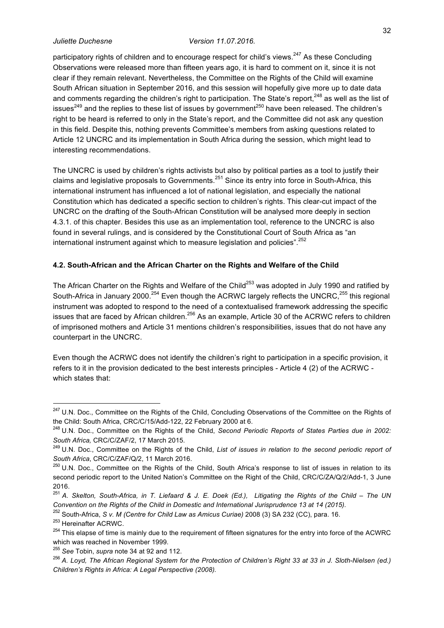participatory rights of children and to encourage respect for child's views.<sup>247</sup> As these Concluding Observations were released more than fifteen years ago, it is hard to comment on it, since it is not clear if they remain relevant. Nevertheless, the Committee on the Rights of the Child will examine South African situation in September 2016, and this session will hopefully give more up to date data and comments regarding the children's right to participation. The State's report,<sup>248</sup> as well as the list of issues<sup>249</sup> and the replies to these list of issues by government<sup>250</sup> have been released. The children's right to be heard is referred to only in the State's report, and the Committee did not ask any question in this field. Despite this, nothing prevents Committee's members from asking questions related to Article 12 UNCRC and its implementation in South Africa during the session, which might lead to interesting recommendations.

The UNCRC is used by children's rights activists but also by political parties as a tool to justify their claims and legislative proposals to Governments.<sup>251</sup> Since its entry into force in South-Africa, this international instrument has influenced a lot of national legislation, and especially the national Constitution which has dedicated a specific section to children's rights. This clear-cut impact of the UNCRC on the drafting of the South-African Constitution will be analysed more deeply in section 4.3.1. of this chapter. Besides this use as an implementation tool, reference to the UNCRC is also found in several rulings, and is considered by the Constitutional Court of South Africa as "an international instrument against which to measure legislation and policies".  $252$ 

## **4.2. South-African and the African Charter on the Rights and Welfare of the Child**

The African Charter on the Rights and Welfare of the Child<sup>253</sup> was adopted in July 1990 and ratified by South-Africa in January 2000.<sup>254</sup> Even though the ACRWC largely reflects the UNCRC,<sup>255</sup> this regional instrument was adopted to respond to the need of a contextualised framework addressing the specific issues that are faced by African children.<sup>256</sup> As an example, Article 30 of the ACRWC refers to children of imprisoned mothers and Article 31 mentions children's responsibilities, issues that do not have any counterpart in the UNCRC.

Even though the ACRWC does not identify the children's right to participation in a specific provision, it refers to it in the provision dedicated to the best interests principles - Article 4 (2) of the ACRWC which states that:

<sup>&</sup>lt;sup>247</sup> U.N. Doc., Committee on the Rights of the Child, Concluding Observations of the Committee on the Rights of the Child: South Africa, CRC/C/15/Add-122, 22 February 2000 at 6.

<sup>248</sup> U.N. Doc., Committee on the Rights of the Child, *Second Periodic Reports of States Parties due in 2002: South Africa,* CRC/C/ZAF/2, 17 March 2015.

<sup>249</sup> U.N. Doc., Committee on the Rights of the Child, *List of issues in relation to the second periodic report of South Africa*, CRC/C/ZAF/Q/2, 11 March 2016.<br><sup>250</sup> U.N. Doc., Committee on the Rights of the Child, South Africa's response to list of issues in relation to its

second periodic report to the United Nation's Committee on the Right of the Child, CRC/C/ZA/Q/2/Add-1, 3 June 2016.

<sup>251</sup> *A. Skelton, South-Africa, in T. Liefaard & J. E. Doek (Ed.), Litigating the Rights of the Child – The UN Convention on the Rights of the Child in Domestic and International Jurisprudence 13 at 14 (2015).*

<sup>&</sup>lt;sup>252</sup> South-Africa, *S v. M (Centre for Child Law as Amicus Curiae)* 2008 (3) SA 232 (CC), para. 16.<br><sup>253</sup> Hereinafter ACRWC.

<sup>&</sup>lt;sup>254</sup> This elapse of time is mainly due to the requirement of fifteen signatures for the entry into force of the ACWRC which was reached in November 1999. 255 *See* Tobin, *supra* note 34 at 92 and 112.

<sup>256</sup> *A. Loyd, The African Regional System for the Protection of Children's Right 33 at 33 in J. Sloth-Nielsen (ed.) Children's Rights in Africa: A Legal Perspective (2008).*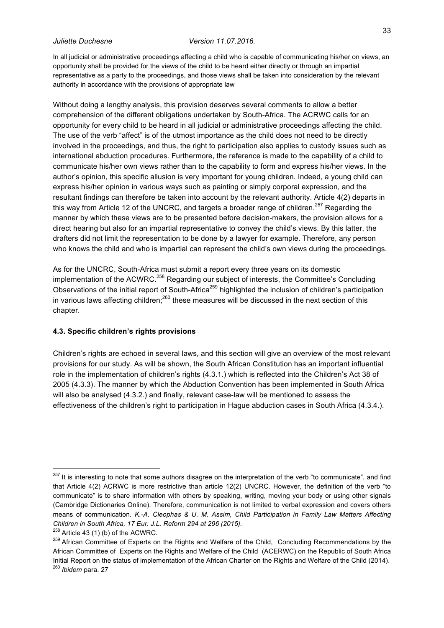In all judicial or administrative proceedings affecting a child who is capable of communicating his/her on views, an opportunity shall be provided for the views of the child to be heard either directly or through an impartial representative as a party to the proceedings, and those views shall be taken into consideration by the relevant authority in accordance with the provisions of appropriate law

Without doing a lengthy analysis, this provision deserves several comments to allow a better comprehension of the different obligations undertaken by South-Africa. The ACRWC calls for an opportunity for every child to be heard in all judicial or administrative proceedings affecting the child. The use of the verb "affect" is of the utmost importance as the child does not need to be directly involved in the proceedings, and thus, the right to participation also applies to custody issues such as international abduction procedures. Furthermore, the reference is made to the capability of a child to communicate his/her own views rather than to the capability to form and express his/her views. In the author's opinion, this specific allusion is very important for young children. Indeed, a young child can express his/her opinion in various ways such as painting or simply corporal expression, and the resultant findings can therefore be taken into account by the relevant authority. Article 4(2) departs in this way from Article 12 of the UNCRC, and targets a broader range of children.<sup>257</sup> Regarding the manner by which these views are to be presented before decision-makers, the provision allows for a direct hearing but also for an impartial representative to convey the child's views. By this latter, the drafters did not limit the representation to be done by a lawyer for example. Therefore, any person who knows the child and who is impartial can represent the child's own views during the proceedings.

As for the UNCRC, South-Africa must submit a report every three years on its domestic implementation of the ACWRC.<sup>258</sup> Regarding our subject of interests, the Committee's Concluding Observations of the initial report of South-Africa<sup>259</sup> highlighted the inclusion of children's participation in various laws affecting children;<sup>260</sup> these measures will be discussed in the next section of this chapter.

#### **4.3. Specific children's rights provisions**

Children's rights are echoed in several laws, and this section will give an overview of the most relevant provisions for our study. As will be shown, the South African Constitution has an important influential role in the implementation of children's rights (4.3.1.) which is reflected into the Children's Act 38 of 2005 (4.3.3). The manner by which the Abduction Convention has been implemented in South Africa will also be analysed (4.3.2.) and finally, relevant case-law will be mentioned to assess the effectiveness of the children's right to participation in Hague abduction cases in South Africa (4.3.4.).

 $257$  It is interesting to note that some authors disagree on the interpretation of the verb "to communicate", and find that Article 4(2) ACRWC is more restrictive than article 12(2) UNCRC. However, the definition of the verb "to communicate" is to share information with others by speaking, writing, moving your body or using other signals (Cambridge Dictionaries Online). Therefore, communication is not limited to verbal expression and covers others means of communication. *K.-A. Cleophas & U. M. Assim, Child Participation in Family Law Matters Affecting Children in South Africa, 17 Eur. J.L. Reform 294 at 296 (2015).*

 $258$  Article 43 (1) (b) of the ACWRC.

<sup>&</sup>lt;sup>259</sup> African Committee of Experts on the Rights and Welfare of the Child, Concluding Recommendations by the African Committee of Experts on the Rights and Welfare of the Child (ACERWC) on the Republic of South Africa Initial Report on the status of implementation of the African Charter on the Rights and Welfare of the Child (2014). <sup>260</sup> *Ibidem* para. 27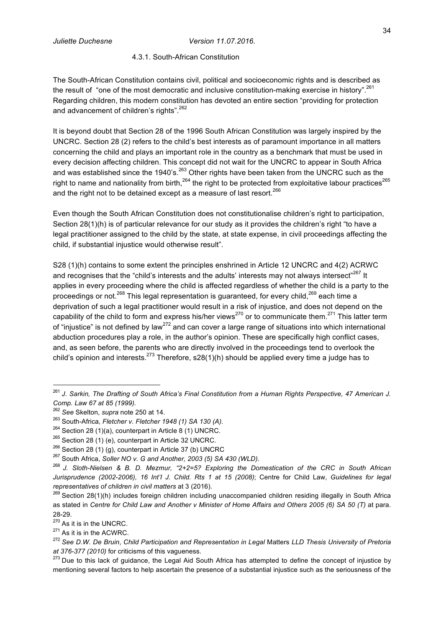#### 4.3.1. South-African Constitution

The South-African Constitution contains civil, political and socioeconomic rights and is described as the result of "one of the most democratic and inclusive constitution-making exercise in history".<sup>261</sup> Regarding children, this modern constitution has devoted an entire section "providing for protection and advancement of children's rights".<sup>262</sup>

It is beyond doubt that Section 28 of the 1996 South African Constitution was largely inspired by the UNCRC. Section 28 (2) refers to the child's best interests as of paramount importance in all matters concerning the child and plays an important role in the country as a benchmark that must be used in every decision affecting children. This concept did not wait for the UNCRC to appear in South Africa and was established since the 1940's.<sup>263</sup> Other rights have been taken from the UNCRC such as the right to name and nationality from birth, $^{264}$  the right to be protected from exploitative labour practices $^{265}$ and the right not to be detained except as a measure of last resort.<sup>266</sup>

Even though the South African Constitution does not constitutionalise children's right to participation, Section 28(1)(h) is of particular relevance for our study as it provides the children's right "to have a legal practitioner assigned to the child by the state, at state expense, in civil proceedings affecting the child, if substantial injustice would otherwise result".

S28 (1)(h) contains to some extent the principles enshrined in Article 12 UNCRC and 4(2) ACRWC and recognises that the "child's interests and the adults' interests may not always intersect"<sup>267</sup> It applies in every proceeding where the child is affected regardless of whether the child is a party to the proceedings or not.<sup>268</sup> This legal representation is guaranteed, for every child,<sup>269</sup> each time a deprivation of such a legal practitioner would result in a risk of injustice, and does not depend on the capability of the child to form and express his/her views $^{270}$  or to communicate them.<sup>271</sup> This latter term of "injustice" is not defined by law<sup>272</sup> and can cover a large range of situations into which international abduction procedures play a role, in the author's opinion. These are specifically high conflict cases, and, as seen before, the parents who are directly involved in the proceedings tend to overlook the child's opinion and interests.<sup>273</sup> Therefore, s28(1)(h) should be applied every time a judge has to

 <sup>261</sup> *J. Sarkin, The Drafting of South Africa's Final Constitution from a Human Rights Perspective, 47 American J. Comp. Law 67 at 85 (1999).*

<sup>262</sup> *See* Skelton, *supra* note 250 at 14. 263 South-Africa, *Fletcher v. Fletcher 1948 (1) SA 130 (A).*

<sup>&</sup>lt;sup>264</sup> Section 28 (1)(a), counterpart in Article 8 (1) UNCRC.<br><sup>265</sup> Section 28 (1) (e), counterpart in Article 32 UNCRC.<br><sup>266</sup> Section 28 (1) (g), counterpart in Article 37 (b) UNCRC

<sup>267</sup> South Africa, *Soller NO v. G and Another, 2003 (5) SA 430 (WLD).*

<sup>268</sup> *J. Sloth-Nielsen & B. D. Mezmur, "2+2=5? Exploring the Domestication of the CRC in South African Jurisprudence (2002-2006), 16 Int'I J. Child. Rts 1 at 15 (2008)*; Centre for Child Law, *Guidelines for legal* 

*representatives of children in civil matters* at 3 (2016).<br><sup>269</sup> Section 28(1)(h) includes foreign children including unaccompanied children residing illegally in South Africa as stated in *Centre for Child Law and Another v Minister of Home Affairs and Others 2005 (6) SA 50 (T)* at para.

<sup>28-29.&</sup>lt;br> $270$  As it is in the UNCRC.<br> $271$  As it is in the ACWRC.

<sup>272</sup> *See D.W. De Bruin*, *Child Participation and Representation in Legal* Matters *LLD Thesis University of Pretoria at 376-377 (2010)* for criticisms of this vagueness.<br><sup>273</sup> Due to this lack of guidance, the Legal Aid South Africa has attempted to define the concept of injustice by

mentioning several factors to help ascertain the presence of a substantial injustice such as the seriousness of the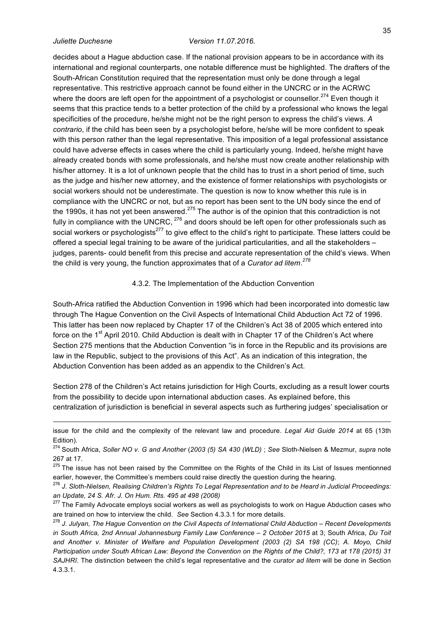l

#### *Juliette Duchesne Version 11.07.2016.*

decides about a Hague abduction case. If the national provision appears to be in accordance with its international and regional counterparts, one notable difference must be highlighted. The drafters of the South-African Constitution required that the representation must only be done through a legal representative. This restrictive approach cannot be found either in the UNCRC or in the ACRWC where the doors are left open for the appointment of a psychologist or counsellor.<sup>274</sup> Even though it seems that this practice tends to a better protection of the child by a professional who knows the legal specificities of the procedure, he/she might not be the right person to express the child's views. *A contrario*, if the child has been seen by a psychologist before, he/she will be more confident to speak with this person rather than the legal representative. This imposition of a legal professional assistance could have adverse effects in cases where the child is particularly young. Indeed, he/she might have already created bonds with some professionals, and he/she must now create another relationship with his/her attorney. It is a lot of unknown people that the child has to trust in a short period of time, such as the judge and his/her new attorney, and the existence of former relationships with psychologists or social workers should not be underestimate. The question is now to know whether this rule is in compliance with the UNCRC or not, but as no report has been sent to the UN body since the end of the 1990s, it has not yet been answered.<sup>275</sup> The author is of the opinion that this contradiction is not fully in compliance with the UNCRC,  $^{276}$  and doors should be left open for other professionals such as social workers or psychologists<sup>277</sup> to give effect to the child's right to participate. These latters could be offered a special legal training to be aware of the juridical particularities, and all the stakeholders – judges, parents- could benefit from this precise and accurate representation of the child's views. When the child is very young, the function approximates that of a *Curator ad litem*. *278*

#### 4.3.2. The Implementation of the Abduction Convention

South-Africa ratified the Abduction Convention in 1996 which had been incorporated into domestic law through The Hague Convention on the Civil Aspects of International Child Abduction Act 72 of 1996. This latter has been now replaced by Chapter 17 of the Children's Act 38 of 2005 which entered into force on the 1<sup>st</sup> April 2010. Child Abduction is dealt with in Chapter 17 of the Children's Act where Section 275 mentions that the Abduction Convention "is in force in the Republic and its provisions are law in the Republic, subject to the provisions of this Act". As an indication of this integration, the Abduction Convention has been added as an appendix to the Children's Act.

Section 278 of the Children's Act retains jurisdiction for High Courts, excluding as a result lower courts from the possibility to decide upon international abduction cases. As explained before, this centralization of jurisdiction is beneficial in several aspects such as furthering judges' specialisation or

issue for the child and the complexity of the relevant law and procedure. *Legal Aid Guide 2014* at 65 (13th Edition).

<sup>274</sup> South Africa, *Soller NO v. G and Another* (*2003 (5) SA 430 (WLD)* ; *See* Sloth-Nielsen & Mezmur, *supra* note 267 at 17.

<sup>&</sup>lt;sup>275</sup> The issue has not been raised by the Committee on the Rights of the Child in its List of Issues mentionned earlier, however, the Committee's members could raise directly the question during the hearing.

<sup>276</sup> *J. Sloth-Nielsen, Realising Children's Rights To Legal Representation and to be Heard in Judicial Proceedings: an Update, 24 S. Afr. J. On Hum. Rts. 495 at 498 (2008)*

<sup>&</sup>lt;sup>277</sup> The Family Advocate employs social workers as well as psychologists to work on Hague Abduction cases who are trained on how to interview the child. *See* Section 4.3.3.1 for more details.

<sup>278</sup> *J. Julyan, The Hague Convention on the Civil Aspects of International Child Abduction – Recent Developments in South Africa, 2nd Annual Johannesburg Family Law Conference – 2 October 2015* at 3; South Africa, *Du Toit and Another v. Minister of Welfare and Population Development (2003 (2) SA 198 (CC)*; *A. Moyo, Child Participation under South African Law: Beyond the Convention on the Rights of the Child?, 173 at 178 (2015) 31 SAJHRî*. The distinction between the child's legal representative and the *curator ad litem* will be done in Section 4.3.3.1.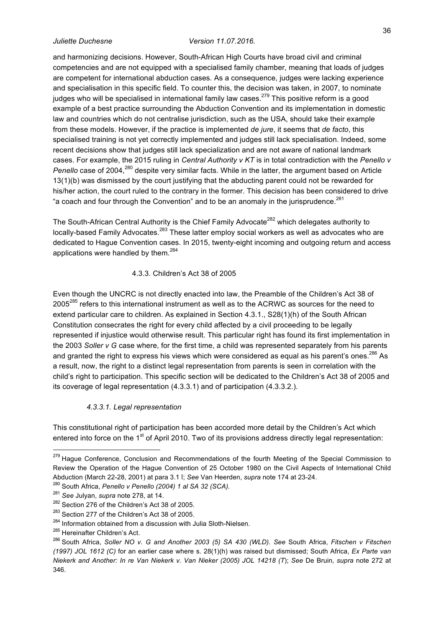and harmonizing decisions. However, South-African High Courts have broad civil and criminal competencies and are not equipped with a specialised family chamber, meaning that loads of judges are competent for international abduction cases. As a consequence, judges were lacking experience and specialisation in this specific field. To counter this, the decision was taken, in 2007, to nominate judges who will be specialised in international family law cases.<sup>279</sup> This positive reform is a good example of a best practice surrounding the Abduction Convention and its implementation in domestic law and countries which do not centralise jurisdiction, such as the USA, should take their example from these models. However, if the practice is implemented *de jure*, it seems that *de facto*, this specialised training is not yet correctly implemented and judges still lack specialisation. Indeed, some recent decisions show that judges still lack specialization and are not aware of national landmark cases. For example, the 2015 ruling in *Central Authority v KT* is in total contradiction with the *Penello v* 

*Penello* case of 2004,<sup>280</sup> despite very similar facts. While in the latter, the argument based on Article 13(1)(b) was dismissed by the court justifying that the abducting parent could not be rewarded for his/her action, the court ruled to the contrary in the former. This decision has been considered to drive "a coach and four through the Convention" and to be an anomaly in the jurisprudence. $^{281}$ 

The South-African Central Authority is the Chief Family Advocate<sup>282</sup> which delegates authority to locally-based Family Advocates.<sup>283</sup> These latter employ social workers as well as advocates who are dedicated to Hague Convention cases. In 2015, twenty-eight incoming and outgoing return and access applications were handled by them. $284$ 

### 4.3.3. Children's Act 38 of 2005

Even though the UNCRC is not directly enacted into law, the Preamble of the Children's Act 38 of 2005<sup>285</sup> refers to this international instrument as well as to the ACRWC as sources for the need to extend particular care to children. As explained in Section 4.3.1., S28(1)(h) of the South African Constitution consecrates the right for every child affected by a civil proceeding to be legally represented if injustice would otherwise result. This particular right has found its first implementation in the 2003 *Soller v G* case where, for the first time, a child was represented separately from his parents and granted the right to express his views which were considered as equal as his parent's ones. $^{286}$  As a result, now, the right to a distinct legal representation from parents is seen in correlation with the child's right to participation. This specific section will be dedicated to the Children's Act 38 of 2005 and its coverage of legal representation (4.3.3.1) and of participation (4.3.3.2.).

#### *4.3.3.1. Legal representation*

This constitutional right of participation has been accorded more detail by the Children's Act which entered into force on the 1<sup>st</sup> of April 2010. Two of its provisions address directly legal representation:

<sup>&</sup>lt;sup>279</sup> Haque Conference, Conclusion and Recommendations of the fourth Meeting of the Special Commission to Review the Operation of the Hague Convention of 25 October 1980 on the Civil Aspects of International Child Abduction (March 22-28, 2001) at para 3.1 î; *See* Van Heerden, *supra* note 174 at 23-24.

<sup>&</sup>lt;sup>280</sup> South Africa, *Penello v Penello (2004) 1 al SA 32 (SCA).* <sup>281</sup> See Julyan, supra note 278, at 14.

<sup>&</sup>lt;sup>282</sup> Section 276 of the Children's Act 38 of 2005.

 $283$  Section 277 of the Children's Act 38 of 2005.<br> $284$  Information obtained from a discussion with Julia Sloth-Nielsen.

<sup>285</sup> Hereinafter Children's Act.

<sup>286</sup> South Africa, *Soller NO v. G and Another 2003 (5) SA 430 (WLD). See* South Africa, *Fitschen v Fitschen (1997) JOL 1612 (C)* for an earlier case where s. 28(1)(h) was raised but dismissed; South Africa, *Ex Parte van Niekerk and Another: In re Van Niekerk v. Van Nieker (2005) JOL 14218 (T*); *See* De Bruin, *supra* note 272 at 346.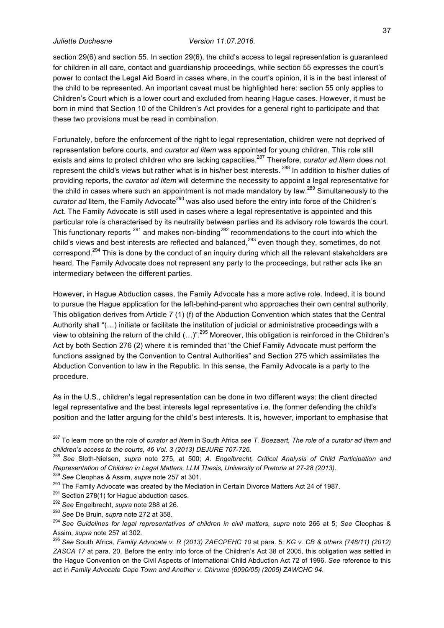section 29(6) and section 55. In section 29(6), the child's access to legal representation is guaranteed for children in all care, contact and guardianship proceedings, while section 55 expresses the court's power to contact the Legal Aid Board in cases where, in the court's opinion, it is in the best interest of the child to be represented. An important caveat must be highlighted here: section 55 only applies to Children's Court which is a lower court and excluded from hearing Hague cases. However, it must be born in mind that Section 10 of the Children's Act provides for a general right to participate and that these two provisions must be read in combination.

Fortunately, before the enforcement of the right to legal representation, children were not deprived of representation before courts, and *curator ad litem* was appointed for young children. This role still exists and aims to protect children who are lacking capacities.<sup>287</sup> Therefore, *curator ad litem* does not represent the child's views but rather what is in his/her best interests. <sup>288</sup> In addition to his/her duties of providing reports, the *curator ad litem* will determine the necessity to appoint a legal representative for the child in cases where such an appointment is not made mandatory by law.<sup>289</sup> Simultaneously to the *curator ad litem, the Family Advocate<sup>290</sup> was also used before the entry into force of the Children's* Act. The Family Advocate is still used in cases where a legal representative is appointed and this particular role is characterised by its neutrality between parties and its advisory role towards the court. This functionary reports  $^{291}$  and makes non-binding<sup>292</sup> recommendations to the court into which the child's views and best interests are reflected and balanced,<sup>293</sup> even though they, sometimes, do not correspond.<sup>294</sup> This is done by the conduct of an inquiry during which all the relevant stakeholders are heard. The Family Advocate does not represent any party to the proceedings, but rather acts like an intermediary between the different parties.

However, in Hague Abduction cases, the Family Advocate has a more active role. Indeed, it is bound to pursue the Hague application for the left-behind-parent who approaches their own central authority. This obligation derives from Article 7 (1) (f) of the Abduction Convention which states that the Central Authority shall "(…) initiate or facilitate the institution of judicial or administrative proceedings with a view to obtaining the return of the child (...)".<sup>295</sup> Moreover, this obligation is reinforced in the Children's Act by both Section 276 (2) where it is reminded that "the Chief Family Advocate must perform the functions assigned by the Convention to Central Authorities" and Section 275 which assimilates the Abduction Convention to law in the Republic. In this sense, the Family Advocate is a party to the procedure.

As in the U.S., children's legal representation can be done in two different ways: the client directed legal representative and the best interests legal representative i.e. the former defending the child's position and the latter arguing for the child's best interests. It is, however, important to emphasise that

 <sup>287</sup> To learn more on the role of *curator ad litem* in South Africa *see T. Boezaart, The role of a curator ad litem and children's access to the courts, 46 Vol. 3 (2013) DEJURE 707-726.*

<sup>288</sup> *See* Sloth-Nielsen, *supra* note 275, at 500; *A. Engelbrecht, Critical Analysis of Child Participation and Representation of Children in Legal Matters, LLM Thesis, University of Pretoria at 27-28 (2013).*

<sup>&</sup>lt;sup>289</sup> See Cleophas & Assim, *supra* note 257 at 301.<br><sup>290</sup> The Family Advocate was created by the Mediation in Certain Divorce Matters Act 24 of 1987.<br><sup>291</sup> Section 278(1) for Hague abduction cases.<br><sup>292</sup> See Engelbrecht, Assim, *supra* note 257 at 302. 295 *See* South Africa, *Family Advocate v. R (2013) ZAECPEHC <sup>10</sup>* at para. 5; *KG v. CB & others (748/11) (2012)* 

*ZASCA 17* at para. 20. Before the entry into force of the Children's Act 38 of 2005, this obligation was settled in the Hague Convention on the Civil Aspects of International Child Abduction Act 72 of 1996. *See* reference to this act in *Family Advocate Cape Town and Another v. Chirume (6090/05) (2005) ZAWCHC 94*.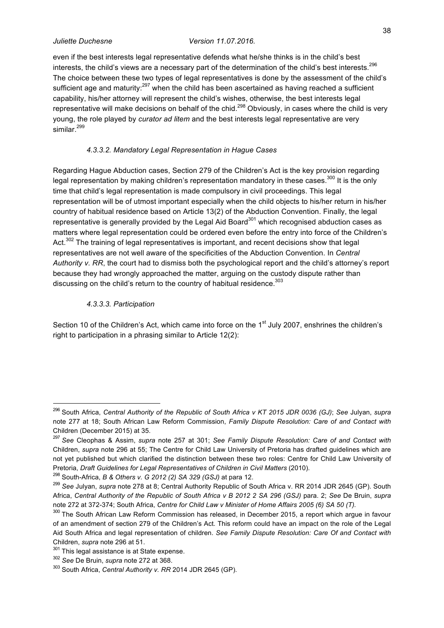even if the best interests legal representative defends what he/she thinks is in the child's best interests, the child's views are a necessary part of the determination of the child's best interests.<sup>296</sup> The choice between these two types of legal representatives is done by the assessment of the child's sufficient age and maturity:<sup>297</sup> when the child has been ascertained as having reached a sufficient capability, his/her attorney will represent the child's wishes, otherwise, the best interests legal representative will make decisions on behalf of the chid.<sup>298</sup> Obviously, in cases where the child is very young, the role played by *curator ad litem* and the best interests legal representative are very similar.<sup>299</sup>

### *4.3.3.2. Mandatory Legal Representation in Hague Cases*

Regarding Hague Abduction cases, Section 279 of the Children's Act is the key provision regarding legal representation by making children's representation mandatory in these cases.<sup>300</sup> It is the only time that child's legal representation is made compulsory in civil proceedings. This legal representation will be of utmost important especially when the child objects to his/her return in his/her country of habitual residence based on Article 13(2) of the Abduction Convention. Finally, the legal representative is generally provided by the Legal Aid Board<sup>301</sup> which recognised abduction cases as matters where legal representation could be ordered even before the entry into force of the Children's Act.<sup>302</sup> The training of legal representatives is important, and recent decisions show that legal representatives are not well aware of the specificities of the Abduction Convention. In *Central Authority v. RR*, the court had to dismiss both the psychological report and the child's attorney's report because they had wrongly approached the matter, arguing on the custody dispute rather than discussing on the child's return to the country of habitual residence.<sup>303</sup>

#### *4.3.3.3. Participation*

Section 10 of the Children's Act, which came into force on the 1<sup>st</sup> July 2007, enshrines the children's right to participation in a phrasing similar to Article 12(2):

 <sup>296</sup> South Africa, *Central Authority of the Republic of South Africa v KT 2015 JDR 0036 (GJ)*; *See* Julyan, *supra*  note 277 at 18; South African Law Reform Commission, *Family Dispute Resolution: Care of and Contact with*  Children (December 2015) at 35.

<sup>297</sup> *See* Cleophas & Assim, *supra* note 257 at 301; *See Family Dispute Resolution: Care of and Contact with*  Children, *supra* note 296 at 55; The Centre for Child Law University of Pretoria has drafted guidelines which are not yet published but which clarified the distinction between these two roles: Centre for Child Law University of Pretoria, *Draft Guidelines for Legal Representatives of Children in Civil Matters* (2010).<br><sup>298</sup> South-Africa, *B & Others v. G 2012 (2) SA 329 (GSJ)* at para 12.<br><sup>299</sup> See Julyan, *supra* note 278 at 8; Central Authority

Africa, *Central Authority of the Republic of South Africa v B 2012 2 SA 296 (GSJ)* para. 2; *See* De Bruin, *supra*  note 272 at 372-374; South Africa, *Centre for Child Law v Minister of Home Affairs 2005 (6) SA 50 (T).*

<sup>&</sup>lt;sup>300</sup> The South African Law Reform Commission has released, in December 2015, a report which argue in favour of an amendment of section 279 of the Children's Act. This reform could have an impact on the role of the Legal Aid South Africa and legal representation of children. *See Family Dispute Resolution: Care Of and Contact with*  Children, *supra* note 296 at 51.<br><sup>301</sup> This legal assistance is at State expense.

<sup>302</sup> *See* De Bruin, *supra* note 272 at 368.

<sup>303</sup> South Africa, *Central Authority v. RR* 2014 JDR 2645 (GP).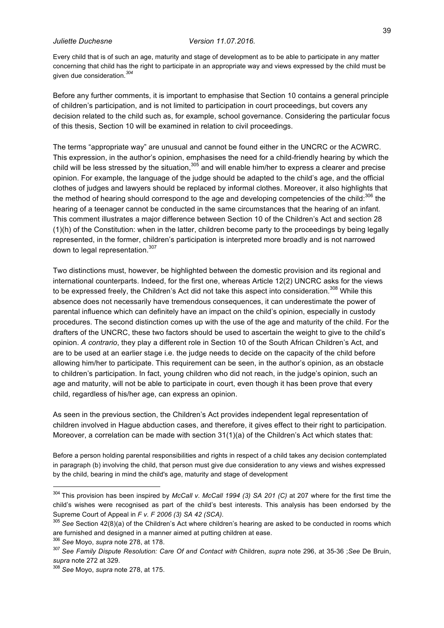Every child that is of such an age, maturity and stage of development as to be able to participate in any matter concerning that child has the right to participate in an appropriate way and views expressed by the child must be given due consideration. *304*

Before any further comments, it is important to emphasise that Section 10 contains a general principle of children's participation, and is not limited to participation in court proceedings, but covers any decision related to the child such as, for example, school governance. Considering the particular focus of this thesis, Section 10 will be examined in relation to civil proceedings.

The terms "appropriate way" are unusual and cannot be found either in the UNCRC or the ACWRC. This expression, in the author's opinion, emphasises the need for a child-friendly hearing by which the child will be less stressed by the situation,  $305$  and will enable him/her to express a clearer and precise opinion. For example, the language of the judge should be adapted to the child's age, and the official clothes of judges and lawyers should be replaced by informal clothes. Moreover, it also highlights that the method of hearing should correspond to the age and developing competencies of the child:<sup>306</sup> the hearing of a teenager cannot be conducted in the same circumstances that the hearing of an infant. This comment illustrates a major difference between Section 10 of the Children's Act and section 28 (1)(h) of the Constitution: when in the latter, children become party to the proceedings by being legally represented, in the former, children's participation is interpreted more broadly and is not narrowed down to legal representation.<sup>307</sup>

Two distinctions must, however, be highlighted between the domestic provision and its regional and international counterparts. Indeed, for the first one, whereas Article 12(2) UNCRC asks for the views to be expressed freely, the Children's Act did not take this aspect into consideration.<sup>308</sup> While this absence does not necessarily have tremendous consequences, it can underestimate the power of parental influence which can definitely have an impact on the child's opinion, especially in custody procedures. The second distinction comes up with the use of the age and maturity of the child. For the drafters of the UNCRC, these two factors should be used to ascertain the weight to give to the child's opinion. *A contrario*, they play a different role in Section 10 of the South African Children's Act, and are to be used at an earlier stage i.e. the judge needs to decide on the capacity of the child before allowing him/her to participate. This requirement can be seen, in the author's opinion, as an obstacle to children's participation. In fact, young children who did not reach, in the judge's opinion, such an age and maturity, will not be able to participate in court, even though it has been prove that every child, regardless of his/her age, can express an opinion.

As seen in the previous section, the Children's Act provides independent legal representation of children involved in Hague abduction cases, and therefore, it gives effect to their right to participation. Moreover, a correlation can be made with section 31(1)(a) of the Children's Act which states that:

Before a person holding parental responsibilities and rights in respect of a child takes any decision contemplated in paragraph (b) involving the child, that person must give due consideration to any views and wishes expressed by the child, bearing in mind the child's age, maturity and stage of development

 <sup>304</sup> This provision has been inspired by *McCall v. McCall 1994 (3) SA 201 (C)* at 207 where for the first time the child's wishes were recognised as part of the child's best interests. This analysis has been endorsed by the Supreme Court of Appeal in *F v. F 2006 (3) SA 42 (SCA).*

<sup>305</sup> *See* Section 42(8)(a) of the Children's Act where children's hearing are asked to be conducted in rooms which are furnished and designed in a manner aimed at putting children at ease.<br><sup>306</sup> See Moyo, supra note 278, at 178.<br><sup>307</sup> See Family Dispute Resolution: Care Of and Contact with Children, supra note 296, at 35-36 ;See De Bru

*supra* note 272 at 329.

<sup>308</sup> *See* Moyo, *supra* note 278, at 175.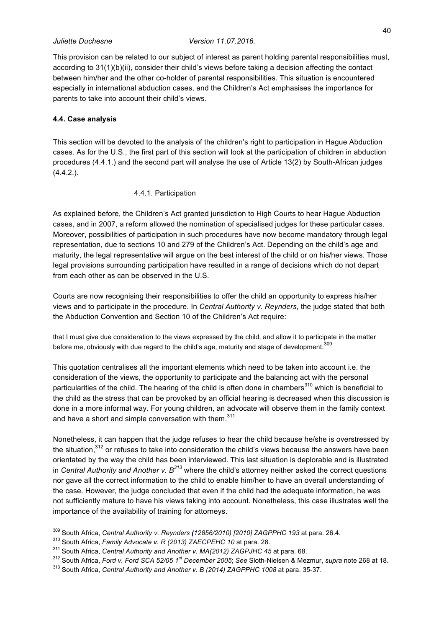This provision can be related to our subject of interest as parent holding parental responsibilities must, according to 31(1)(b)(ii), consider their child's views before taking a decision affecting the contact between him/her and the other co-holder of parental responsibilities. This situation is encountered especially in international abduction cases, and the Children's Act emphasises the importance for parents to take into account their child's views.

### **4.4. Case analysis**

This section will be devoted to the analysis of the children's right to participation in Hague Abduction cases. As for the U.S., the first part of this section will look at the participation of children in abduction procedures (4.4.1.) and the second part will analyse the use of Article 13(2) by South-African judges (4.4.2.).

#### 4.4.1. Participation

As explained before, the Children's Act granted jurisdiction to High Courts to hear Hague Abduction cases, and in 2007, a reform allowed the nomination of specialised judges for these particular cases. Moreover, possibilities of participation in such procedures have now become mandatory through legal representation, due to sections 10 and 279 of the Children's Act. Depending on the child's age and maturity, the legal representative will argue on the best interest of the child or on his/her views. Those legal provisions surrounding participation have resulted in a range of decisions which do not depart from each other as can be observed in the U.S.

Courts are now recognising their responsibilities to offer the child an opportunity to express his/her views and to participate in the procedure. In *Central Authority v. Reynders*, the judge stated that both the Abduction Convention and Section 10 of the Children's Act require:

that I must give due consideration to the views expressed by the child, and allow it to participate in the matter before me, obviously with due regard to the child's age, maturity and stage of development. $^{\rm 309}$ 

This quotation centralises all the important elements which need to be taken into account i.e. the consideration of the views, the opportunity to participate and the balancing act with the personal particularities of the child. The hearing of the child is often done in chambers<sup>310</sup> which is beneficial to the child as the stress that can be provoked by an official hearing is decreased when this discussion is done in a more informal way. For young children, an advocate will observe them in the family context and have a short and simple conversation with them.<sup>311</sup>

Nonetheless, it can happen that the judge refuses to hear the child because he/she is overstressed by the situation,<sup>312</sup> or refuses to take into consideration the child's views because the answers have been orientated by the way the child has been interviewed. This last situation is deplorable and is illustrated in *Central Authority and Another v. B<sup>313</sup>* where the child's attorney neither asked the correct questions nor gave all the correct information to the child to enable him/her to have an overall understanding of the case. However, the judge concluded that even if the child had the adequate information, he was not sufficiently mature to have his views taking into account. Nonetheless, this case illustrates well the importance of the availability of training for attorneys.

<sup>309</sup> South Africa, *Central Authority v. Reynders (12856/2010) [2010] ZAGPPHC 193* at para. 26.4. 310 South Africa, *Family Advocate v. R (2013) ZAECPEHC <sup>10</sup>* at para. 28.

<sup>311</sup> South Africa, *Central Authority and Another v. MA(2012) ZAGPJHC 45* at para. 68.

<sup>312</sup> South Africa, *Ford v. Ford SCA 52/05 1st December 2005*; *See* Sloth-Nielsen & Mezmur, *supra* note 268 at 18.

<sup>313</sup> South Africa, *Central Authority and Another v. B (2014) ZAGPPHC 1008* at para. 35-37.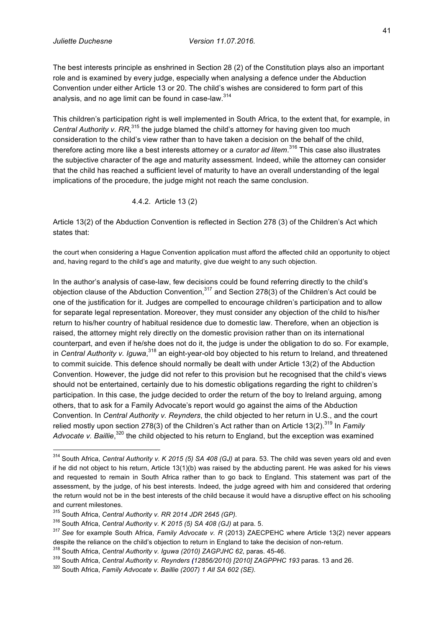The best interests principle as enshrined in Section 28 (2) of the Constitution plays also an important role and is examined by every judge, especially when analysing a defence under the Abduction Convention under either Article 13 or 20. The child's wishes are considered to form part of this analysis, and no age limit can be found in case-law.<sup>314</sup>

This children's participation right is well implemented in South Africa, to the extent that, for example, in Central Authority v. RR,<sup>315</sup> the judge blamed the child's attorney for having given too much consideration to the child's view rather than to have taken a decision on the behalf of the child, therefore acting more like a best interests attorney or a *curator ad litem*. <sup>316</sup> This case also illustrates the subjective character of the age and maturity assessment. Indeed, while the attorney can consider that the child has reached a sufficient level of maturity to have an overall understanding of the legal implications of the procedure, the judge might not reach the same conclusion.

## 4.4.2. Article 13 (2)

Article 13(2) of the Abduction Convention is reflected in Section 278 (3) of the Children's Act which states that:

the court when considering a Hague Convention application must afford the affected child an opportunity to object and, having regard to the child's age and maturity, give due weight to any such objection.

In the author's analysis of case-law, few decisions could be found referring directly to the child's objection clause of the Abduction Convention,<sup>317</sup> and Section 278(3) of the Children's Act could be one of the justification for it. Judges are compelled to encourage children's participation and to allow for separate legal representation. Moreover, they must consider any objection of the child to his/her return to his/her country of habitual residence due to domestic law. Therefore, when an objection is raised, the attorney might rely directly on the domestic provision rather than on its international counterpart, and even if he/she does not do it, the judge is under the obligation to do so. For example, in *Central Authority v. Iguwa*, <sup>318</sup> an eight-year-old boy objected to his return to Ireland, and threatened to commit suicide. This defence should normally be dealt with under Article 13(2) of the Abduction Convention. However, the judge did not refer to this provision but he recognised that the child's views should not be entertained, certainly due to his domestic obligations regarding the right to children's participation. In this case, the judge decided to order the return of the boy to Ireland arguing, among others, that to ask for a Family Advocate's report would go against the aims of the Abduction Convention. In *Central Authority v. Reynders*, the child objected to her return in U.S., and the court relied mostly upon section 278(3) of the Children's Act rather than on Article 13(2).<sup>319</sup> In *Family* Advocate v. Baillie,<sup>320</sup> the child objected to his return to England, but the exception was examined

 <sup>314</sup> South Africa, *Central Authority v. K 2015 (5) SA 408 (GJ)* at para. 53. The child was seven years old and even if he did not object to his return, Article 13(1)(b) was raised by the abducting parent. He was asked for his views and requested to remain in South Africa rather than to go back to England. This statement was part of the assessment, by the judge, of his best interests. Indeed, the judge agreed with him and considered that ordering the return would not be in the best interests of the child because it would have a disruptive effect on his schooling and current milestones.

<sup>315</sup> South Africa, *Central Authority v. RR 2014 JDR 2645 (GP).*

<sup>316</sup> South Africa, *Central Authority v. K 2015 (5) SA 408 (GJ)* at para. 5.

<sup>317</sup> *See* for example South Africa, *Family Advocate v. R* (2013) ZAECPEHC where Article 13(2) never appears despite the reliance on the child's objection to return in England to take the decision of non-return.<br><sup>318</sup> South Africa, *Central Authority v. Iguwa (2010) ZAGPJHC 62*, paras. 45-46.<br><sup>319</sup> South Africa, *Central Authorit*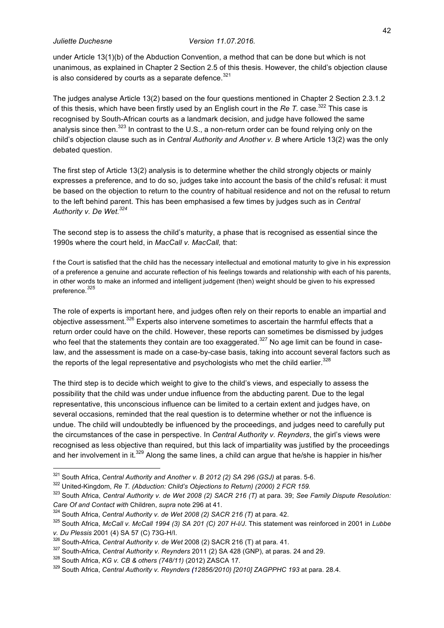under Article 13(1)(b) of the Abduction Convention, a method that can be done but which is not unanimous, as explained in Chapter 2 Section 2.5 of this thesis. However, the child's objection clause is also considered by courts as a separate defence. $321$ 

The judges analyse Article 13(2) based on the four questions mentioned in Chapter 2 Section 2.3.1.2 of this thesis, which have been firstly used by an English court in the *Re T.* case.<sup>322</sup> This case is recognised by South-African courts as a landmark decision, and judge have followed the same analysis since then.<sup>323</sup> In contrast to the U.S., a non-return order can be found relying only on the child's objection clause such as in *Central Authority and Another v. B* where Article 13(2) was the only debated question.

The first step of Article 13(2) analysis is to determine whether the child strongly objects or mainly expresses a preference, and to do so, judges take into account the basis of the child's refusal: it must be based on the objection to return to the country of habitual residence and not on the refusal to return to the left behind parent. This has been emphasised a few times by judges such as in *Central Authority v. De Wet.324*

The second step is to assess the child's maturity, a phase that is recognised as essential since the 1990s where the court held, in *MacCall v. MacCall,* that:

f the Court is satisfied that the child has the necessary intellectual and emotional maturity to give in his expression of a preference a genuine and accurate reflection of his feelings towards and relationship with each of his parents, in other words to make an informed and intelligent judgement (then) weight should be given to his expressed preference. *325*

The role of experts is important here, and judges often rely on their reports to enable an impartial and objective assessment.<sup>326</sup> Experts also intervene sometimes to ascertain the harmful effects that a return order could have on the child. However, these reports can sometimes be dismissed by judges who feel that the statements they contain are too exaggerated.<sup>327</sup> No age limit can be found in caselaw, and the assessment is made on a case-by-case basis, taking into account several factors such as the reports of the legal representative and psychologists who met the child earlier. $^{328}$ 

The third step is to decide which weight to give to the child's views, and especially to assess the possibility that the child was under undue influence from the abducting parent. Due to the legal representative, this unconscious influence can be limited to a certain extent and judges have, on several occasions, reminded that the real question is to determine whether or not the influence is undue. The child will undoubtedly be influenced by the proceedings, and judges need to carefully put the circumstances of the case in perspective. In *Central Authority v. Reynders*, the girl's views were recognised as less objective than required, but this lack of impartiality was justified by the proceedings and her involvement in it.<sup>329</sup> Along the same lines, a child can arque that he/she is happier in his/her

<sup>&</sup>lt;sup>321</sup> South Africa, *Central Authority and Another v. B 2012 (2) SA 296 (GSJ)* at paras. 5-6.<br><sup>322</sup> United-Kingdom, *Re T. (Abduction: Child's Objections to Return) (2000) 2 FCR 159.* 

<sup>323</sup> South Africa, *Central Authority v. de Wet 2008 (2) SACR 216 (T)* at para. 39; *See Family Dispute Resolution: Care Of and Contact with* Children, *supra* note 296 at 41.

 $324$  South Africa, Central Authority v. de Wet 2008 (2) SACR 216 (T) at para. 42.<br> $325$  South Africa, McCall v. McCall 1994 (3) SA 201 (C) 207 H-I/J. This statement was reinforced in 2001 in Lubbe *v. Du Plessis* 2001 (4) SA 57 (C) 73G-H/I.

<sup>326</sup> South-Africa, *Central Authority v. de Wet* 2008 (2) SACR 216 (T) at para. 41.

<sup>327</sup> South-Africa, *Central Authority v. Reynders* 2011 (2) SA 428 (GNP), at paras. 24 and 29. 328 South Africa, *KG v. CB & others (748/11)* (2012) ZASCA 17.

<sup>329</sup> South Africa, *Central Authority v. Reynders (12856/2010) [2010] ZAGPPHC 193* at para. 28.4.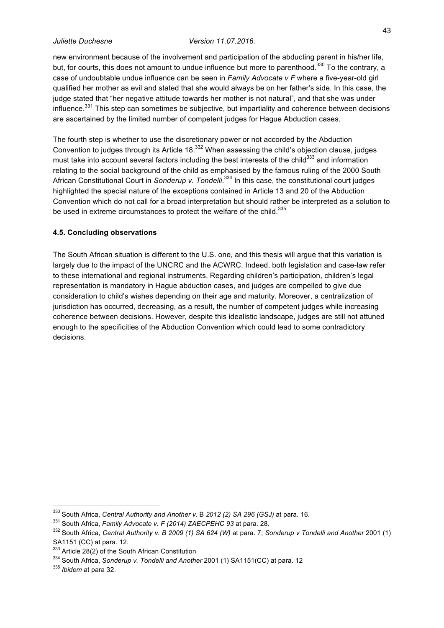new environment because of the involvement and participation of the abducting parent in his/her life, but, for courts, this does not amount to undue influence but more to parenthood.<sup>330</sup> To the contrary, a case of undoubtable undue influence can be seen in *Family Advocate v F* where a five-year-old girl qualified her mother as evil and stated that she would always be on her father's side. In this case, the judge stated that "her negative attitude towards her mother is not natural", and that she was under influence.<sup>331</sup> This step can sometimes be subjective, but impartiality and coherence between decisions are ascertained by the limited number of competent judges for Hague Abduction cases.

The fourth step is whether to use the discretionary power or not accorded by the Abduction Convention to judges through its Article  $18^{332}$  When assessing the child's objection clause, judges must take into account several factors including the best interests of the child<sup>333</sup> and information relating to the social background of the child as emphasised by the famous ruling of the 2000 South African Constitutional Court in *Sonderup v. Tondelli*. <sup>334</sup> In this case, the constitutional court judges highlighted the special nature of the exceptions contained in Article 13 and 20 of the Abduction Convention which do not call for a broad interpretation but should rather be interpreted as a solution to be used in extreme circumstances to protect the welfare of the child.<sup>335</sup>

#### **4.5. Concluding observations**

The South African situation is different to the U.S. one, and this thesis will argue that this variation is largely due to the impact of the UNCRC and the ACWRC. Indeed, both legislation and case-law refer to these international and regional instruments. Regarding children's participation, children's legal representation is mandatory in Hague abduction cases, and judges are compelled to give due consideration to child's wishes depending on their age and maturity. Moreover, a centralization of jurisdiction has occurred, decreasing, as a result, the number of competent judges while increasing coherence between decisions. However, despite this idealistic landscape, judges are still not attuned enough to the specificities of the Abduction Convention which could lead to some contradictory decisions.

<sup>&</sup>lt;sup>330</sup> South Africa, Central Authority and Another v. B 2012 (2) SA 296 (GSJ) at para. 16.<br><sup>331</sup> South Africa, *Family Advocate v. F (2014) ZAECPEHC 93* at para. 28.<br><sup>332</sup> South Africa, *Central Authority v. B 2009 (1) SA 6* SA1151 (CC) at para. 12.<br><sup>333</sup> Article 28(2) of the South African Constitution

<sup>&</sup>lt;sup>334</sup> South Africa, *Sonderup v. Tondelli and Another* 2001 (1) SA1151(CC) at para. 12<br><sup>335</sup> *Ibidem* at para 32.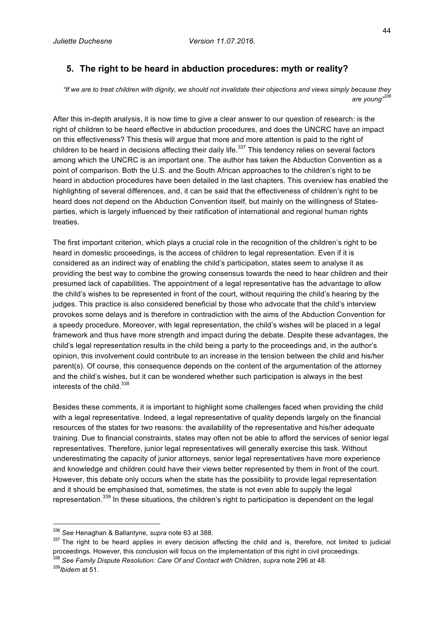## **5. The right to be heard in abduction procedures: myth or reality?**

*"If we are to treat children with dignity, we should not invalidate their objections and views simply because they are young"<sup>336</sup>*

After this in-depth analysis, it is now time to give a clear answer to our question of research: is the right of children to be heard effective in abduction procedures, and does the UNCRC have an impact on this effectiveness? This thesis will argue that more and more attention is paid to the right of children to be heard in decisions affecting their daily life. $337$  This tendency relies on several factors among which the UNCRC is an important one. The author has taken the Abduction Convention as a point of comparison. Both the U.S. and the South African approaches to the children's right to be heard in abduction procedures have been detailed in the last chapters. This overview has enabled the highlighting of several differences, and, it can be said that the effectiveness of children's right to be heard does not depend on the Abduction Convention itself, but mainly on the willingness of Statesparties, which is largely influenced by their ratification of international and regional human rights treaties.

The first important criterion, which plays a crucial role in the recognition of the children's right to be heard in domestic proceedings, is the access of children to legal representation. Even if it is considered as an indirect way of enabling the child's participation, states seem to analyse it as providing the best way to combine the growing consensus towards the need to hear children and their presumed lack of capabilities. The appointment of a legal representative has the advantage to allow the child's wishes to be represented in front of the court, without requiring the child's hearing by the judges. This practice is also considered beneficial by those who advocate that the child's interview provokes some delays and is therefore in contradiction with the aims of the Abduction Convention for a speedy procedure. Moreover, with legal representation, the child's wishes will be placed in a legal framework and thus have more strength and impact during the debate. Despite these advantages, the child's legal representation results in the child being a party to the proceedings and, in the author's opinion, this involvement could contribute to an increase in the tension between the child and his/her parent(s). Of course, this consequence depends on the content of the argumentation of the attorney and the child's wishes, but it can be wondered whether such participation is always in the best interests of the child.<sup>338</sup>

Besides these comments, it is important to highlight some challenges faced when providing the child with a legal representative. Indeed, a legal representative of quality depends largely on the financial resources of the states for two reasons: the availability of the representative and his/her adequate training. Due to financial constraints, states may often not be able to afford the services of senior legal representatives. Therefore, junior legal representatives will generally exercise this task. Without underestimating the capacity of junior attorneys, senior legal representatives have more experience and knowledge and children could have their views better represented by them in front of the court. However, this debate only occurs when the state has the possibility to provide legal representation and it should be emphasised that, sometimes, the state is not even able to supply the legal representation.<sup>339</sup> In these situations, the children's right to participation is dependent on the legal

 <sup>336</sup> *See* Henaghan & Ballantyne, *supra* note 63 at 388.

<sup>337</sup> The right to be heard applies in every decision affecting the child and is, therefore, not limited to judicial proceedings. However, this conclusion will focus on the implementation of this right in civil proceedings. <sup>338</sup> *See Family Dispute Resolution: Care Of and Contact with* Children, *supra* note 296 at 48. <sup>339</sup>*Ibidem* at 51.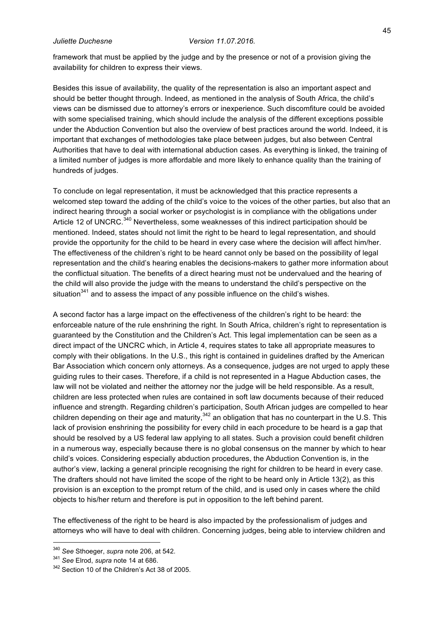framework that must be applied by the judge and by the presence or not of a provision giving the availability for children to express their views.

Besides this issue of availability, the quality of the representation is also an important aspect and should be better thought through. Indeed, as mentioned in the analysis of South Africa, the child's views can be dismissed due to attorney's errors or inexperience. Such discomfiture could be avoided with some specialised training, which should include the analysis of the different exceptions possible under the Abduction Convention but also the overview of best practices around the world. Indeed, it is important that exchanges of methodologies take place between judges, but also between Central Authorities that have to deal with international abduction cases. As everything is linked, the training of a limited number of judges is more affordable and more likely to enhance quality than the training of hundreds of judges.

To conclude on legal representation, it must be acknowledged that this practice represents a welcomed step toward the adding of the child's voice to the voices of the other parties, but also that an indirect hearing through a social worker or psychologist is in compliance with the obligations under Article 12 of UNCRC.<sup>340</sup> Nevertheless, some weaknesses of this indirect participation should be mentioned. Indeed, states should not limit the right to be heard to legal representation, and should provide the opportunity for the child to be heard in every case where the decision will affect him/her. The effectiveness of the children's right to be heard cannot only be based on the possibility of legal representation and the child's hearing enables the decisions-makers to gather more information about the conflictual situation. The benefits of a direct hearing must not be undervalued and the hearing of the child will also provide the judge with the means to understand the child's perspective on the situation $341$  and to assess the impact of any possible influence on the child's wishes.

A second factor has a large impact on the effectiveness of the children's right to be heard: the enforceable nature of the rule enshrining the right. In South Africa, children's right to representation is guaranteed by the Constitution and the Children's Act. This legal implementation can be seen as a direct impact of the UNCRC which, in Article 4, requires states to take all appropriate measures to comply with their obligations. In the U.S., this right is contained in guidelines drafted by the American Bar Association which concern only attorneys. As a consequence, judges are not urged to apply these guiding rules to their cases. Therefore, if a child is not represented in a Hague Abduction cases, the law will not be violated and neither the attorney nor the judge will be held responsible. As a result, children are less protected when rules are contained in soft law documents because of their reduced influence and strength. Regarding children's participation, South African judges are compelled to hear children depending on their age and maturity,  $342$  an obligation that has no counterpart in the U.S. This lack of provision enshrining the possibility for every child in each procedure to be heard is a gap that should be resolved by a US federal law applying to all states. Such a provision could benefit children in a numerous way, especially because there is no global consensus on the manner by which to hear child's voices. Considering especially abduction procedures, the Abduction Convention is, in the author's view, lacking a general principle recognising the right for children to be heard in every case. The drafters should not have limited the scope of the right to be heard only in Article 13(2), as this provision is an exception to the prompt return of the child, and is used only in cases where the child objects to his/her return and therefore is put in opposition to the left behind parent.

The effectiveness of the right to be heard is also impacted by the professionalism of judges and attorneys who will have to deal with children. Concerning judges, being able to interview children and

<sup>340</sup> *See* Sthoeger, *supra* note 206, at 542. 341 *See* Elrod, *supra* note 14 at 686. 342 Section 10 of the Children's Act 38 of 2005.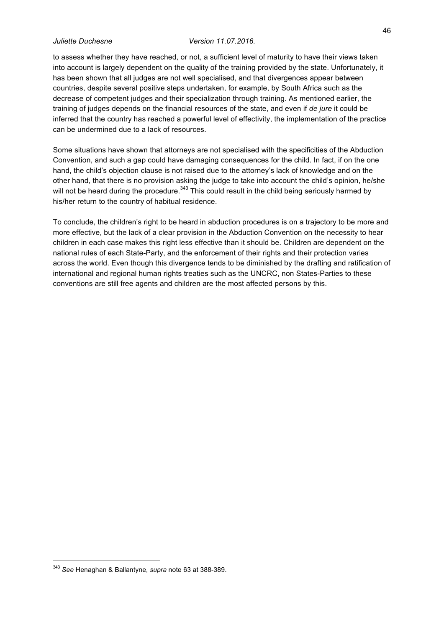to assess whether they have reached, or not, a sufficient level of maturity to have their views taken into account is largely dependent on the quality of the training provided by the state. Unfortunately, it has been shown that all judges are not well specialised, and that divergences appear between countries, despite several positive steps undertaken, for example, by South Africa such as the decrease of competent judges and their specialization through training. As mentioned earlier, the training of judges depends on the financial resources of the state, and even if *de jure* it could be inferred that the country has reached a powerful level of effectivity, the implementation of the practice can be undermined due to a lack of resources.

Some situations have shown that attorneys are not specialised with the specificities of the Abduction Convention, and such a gap could have damaging consequences for the child. In fact, if on the one hand, the child's objection clause is not raised due to the attorney's lack of knowledge and on the other hand, that there is no provision asking the judge to take into account the child's opinion, he/she will not be heard during the procedure. $343$  This could result in the child being seriously harmed by his/her return to the country of habitual residence.

To conclude, the children's right to be heard in abduction procedures is on a trajectory to be more and more effective, but the lack of a clear provision in the Abduction Convention on the necessity to hear children in each case makes this right less effective than it should be. Children are dependent on the national rules of each State-Party, and the enforcement of their rights and their protection varies across the world. Even though this divergence tends to be diminished by the drafting and ratification of international and regional human rights treaties such as the UNCRC, non States-Parties to these conventions are still free agents and children are the most affected persons by this.

 <sup>343</sup> *See* Henaghan & Ballantyne, *supra* note 63 at 388-389.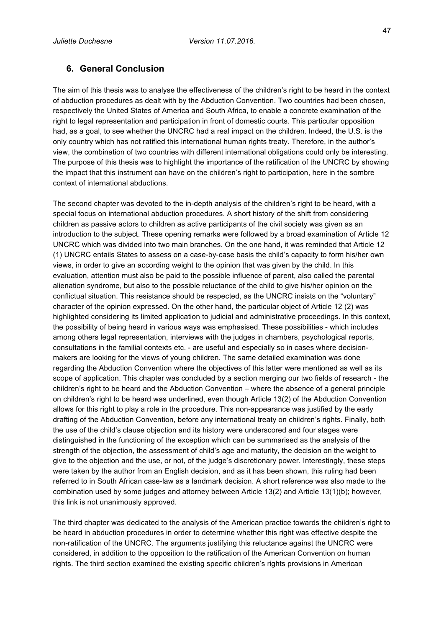## **6. General Conclusion**

The aim of this thesis was to analyse the effectiveness of the children's right to be heard in the context of abduction procedures as dealt with by the Abduction Convention. Two countries had been chosen, respectively the United States of America and South Africa, to enable a concrete examination of the right to legal representation and participation in front of domestic courts. This particular opposition had, as a goal, to see whether the UNCRC had a real impact on the children. Indeed, the U.S. is the only country which has not ratified this international human rights treaty. Therefore, in the author's view, the combination of two countries with different international obligations could only be interesting. The purpose of this thesis was to highlight the importance of the ratification of the UNCRC by showing the impact that this instrument can have on the children's right to participation, here in the sombre context of international abductions.

The second chapter was devoted to the in-depth analysis of the children's right to be heard, with a special focus on international abduction procedures. A short history of the shift from considering children as passive actors to children as active participants of the civil society was given as an introduction to the subject. These opening remarks were followed by a broad examination of Article 12 UNCRC which was divided into two main branches. On the one hand, it was reminded that Article 12 (1) UNCRC entails States to assess on a case-by-case basis the child's capacity to form his/her own views, in order to give an according weight to the opinion that was given by the child. In this evaluation, attention must also be paid to the possible influence of parent, also called the parental alienation syndrome, but also to the possible reluctance of the child to give his/her opinion on the conflictual situation. This resistance should be respected, as the UNCRC insists on the "voluntary" character of the opinion expressed. On the other hand, the particular object of Article 12 (2) was highlighted considering its limited application to judicial and administrative proceedings. In this context, the possibility of being heard in various ways was emphasised. These possibilities - which includes among others legal representation, interviews with the judges in chambers, psychological reports, consultations in the familial contexts etc. - are useful and especially so in cases where decisionmakers are looking for the views of young children. The same detailed examination was done regarding the Abduction Convention where the objectives of this latter were mentioned as well as its scope of application. This chapter was concluded by a section merging our two fields of research - the children's right to be heard and the Abduction Convention – where the absence of a general principle on children's right to be heard was underlined, even though Article 13(2) of the Abduction Convention allows for this right to play a role in the procedure. This non-appearance was justified by the early drafting of the Abduction Convention, before any international treaty on children's rights. Finally, both the use of the child's clause objection and its history were underscored and four stages were distinguished in the functioning of the exception which can be summarised as the analysis of the strength of the objection, the assessment of child's age and maturity, the decision on the weight to give to the objection and the use, or not, of the judge's discretionary power. Interestingly, these steps were taken by the author from an English decision, and as it has been shown, this ruling had been referred to in South African case-law as a landmark decision. A short reference was also made to the combination used by some judges and attorney between Article 13(2) and Article 13(1)(b); however, this link is not unanimously approved.

The third chapter was dedicated to the analysis of the American practice towards the children's right to be heard in abduction procedures in order to determine whether this right was effective despite the non-ratification of the UNCRC. The arguments justifying this reluctance against the UNCRC were considered, in addition to the opposition to the ratification of the American Convention on human rights. The third section examined the existing specific children's rights provisions in American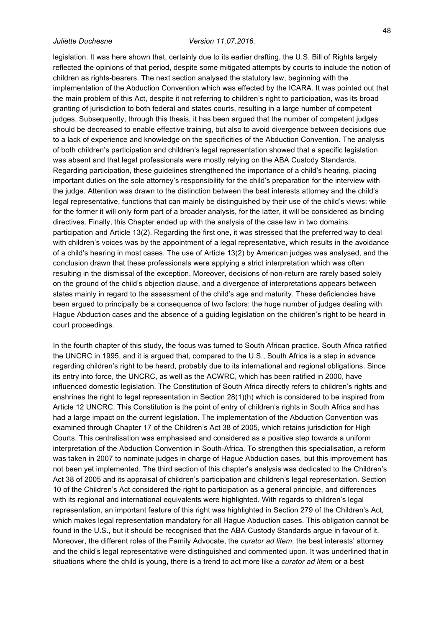legislation. It was here shown that, certainly due to its earlier drafting, the U.S. Bill of Rights largely

reflected the opinions of that period, despite some mitigated attempts by courts to include the notion of children as rights-bearers. The next section analysed the statutory law, beginning with the implementation of the Abduction Convention which was effected by the ICARA. It was pointed out that the main problem of this Act, despite it not referring to children's right to participation, was its broad granting of jurisdiction to both federal and states courts, resulting in a large number of competent judges. Subsequently, through this thesis, it has been argued that the number of competent judges should be decreased to enable effective training, but also to avoid divergence between decisions due to a lack of experience and knowledge on the specificities of the Abduction Convention. The analysis of both children's participation and children's legal representation showed that a specific legislation was absent and that legal professionals were mostly relying on the ABA Custody Standards. Regarding participation, these guidelines strengthened the importance of a child's hearing, placing important duties on the sole attorney's responsibility for the child's preparation for the interview with the judge. Attention was drawn to the distinction between the best interests attorney and the child's legal representative, functions that can mainly be distinguished by their use of the child's views: while for the former it will only form part of a broader analysis, for the latter, it will be considered as binding directives. Finally, this Chapter ended up with the analysis of the case law in two domains: participation and Article 13(2). Regarding the first one, it was stressed that the preferred way to deal with children's voices was by the appointment of a legal representative, which results in the avoidance of a child's hearing in most cases. The use of Article 13(2) by American judges was analysed, and the conclusion drawn that these professionals were applying a strict interpretation which was often resulting in the dismissal of the exception. Moreover, decisions of non-return are rarely based solely on the ground of the child's objection clause, and a divergence of interpretations appears between states mainly in regard to the assessment of the child's age and maturity. These deficiencies have been argued to principally be a consequence of two factors: the huge number of judges dealing with Hague Abduction cases and the absence of a guiding legislation on the children's right to be heard in court proceedings.

In the fourth chapter of this study, the focus was turned to South African practice. South Africa ratified the UNCRC in 1995, and it is argued that, compared to the U.S., South Africa is a step in advance regarding children's right to be heard, probably due to its international and regional obligations. Since its entry into force, the UNCRC, as well as the ACWRC, which has been ratified in 2000, have influenced domestic legislation. The Constitution of South Africa directly refers to children's rights and enshrines the right to legal representation in Section 28(1)(h) which is considered to be inspired from Article 12 UNCRC. This Constitution is the point of entry of children's rights in South Africa and has had a large impact on the current legislation. The implementation of the Abduction Convention was examined through Chapter 17 of the Children's Act 38 of 2005, which retains jurisdiction for High Courts. This centralisation was emphasised and considered as a positive step towards a uniform interpretation of the Abduction Convention in South-Africa. To strengthen this specialisation, a reform was taken in 2007 to nominate judges in charge of Hague Abduction cases, but this improvement has not been yet implemented. The third section of this chapter's analysis was dedicated to the Children's Act 38 of 2005 and its appraisal of children's participation and children's legal representation. Section 10 of the Children's Act considered the right to participation as a general principle, and differences with its regional and international equivalents were highlighted. With regards to children's legal representation, an important feature of this right was highlighted in Section 279 of the Children's Act, which makes legal representation mandatory for all Hague Abduction cases. This obligation cannot be found in the U.S., but it should be recognised that the ABA Custody Standards argue in favour of it. Moreover, the different roles of the Family Advocate, the *curator ad litem*, the best interests' attorney and the child's legal representative were distinguished and commented upon. It was underlined that in situations where the child is young, there is a trend to act more like a *curator ad litem* or a best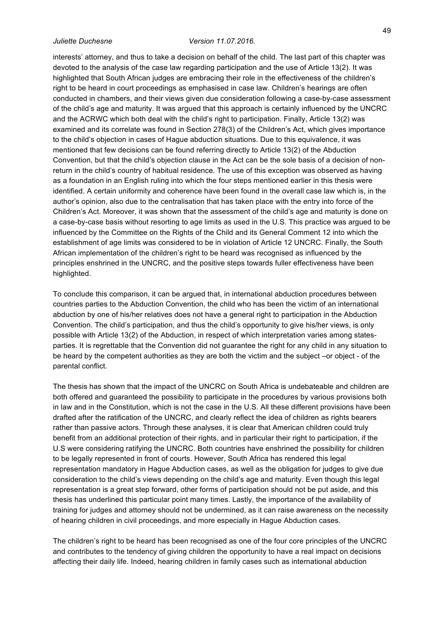interests' attorney, and thus to take a decision on behalf of the child. The last part of this chapter was devoted to the analysis of the case law regarding participation and the use of Article 13(2). It was highlighted that South African judges are embracing their role in the effectiveness of the children's right to be heard in court proceedings as emphasised in case law. Children's hearings are often conducted in chambers, and their views given due consideration following a case-by-case assessment of the child's age and maturity. It was argued that this approach is certainly influenced by the UNCRC and the ACRWC which both deal with the child's right to participation. Finally, Article 13(2) was examined and its correlate was found in Section 278(3) of the Children's Act, which gives importance to the child's objection in cases of Hague abduction situations. Due to this equivalence, it was mentioned that few decisions can be found referring directly to Article 13(2) of the Abduction Convention, but that the child's objection clause in the Act can be the sole basis of a decision of nonreturn in the child's country of habitual residence. The use of this exception was observed as having as a foundation in an English ruling into which the four steps mentioned earlier in this thesis were identified. A certain uniformity and coherence have been found in the overall case law which is, in the author's opinion, also due to the centralisation that has taken place with the entry into force of the Children's Act. Moreover, it was shown that the assessment of the child's age and maturity is done on a case-by-case basis without resorting to age limits as used in the U.S. This practice was argued to be influenced by the Committee on the Rights of the Child and its General Comment 12 into which the establishment of age limits was considered to be in violation of Article 12 UNCRC. Finally, the South African implementation of the children's right to be heard was recognised as influenced by the principles enshrined in the UNCRC, and the positive steps towards fuller effectiveness have been highlighted.

To conclude this comparison, it can be argued that, in international abduction procedures between countries parties to the Abduction Convention, the child who has been the victim of an international abduction by one of his/her relatives does not have a general right to participation in the Abduction Convention. The child's participation, and thus the child's opportunity to give his/her views, is only possible with Article 13(2) of the Abduction, in respect of which interpretation varies among statesparties. It is regrettable that the Convention did not guarantee the right for any child in any situation to be heard by the competent authorities as they are both the victim and the subject –or object - of the parental conflict.

The thesis has shown that the impact of the UNCRC on South Africa is undebateable and children are both offered and guaranteed the possibility to participate in the procedures by various provisions both in law and in the Constitution, which is not the case in the U.S. All these different provisions have been drafted after the ratification of the UNCRC, and clearly reflect the idea of children as rights bearers rather than passive actors. Through these analyses, it is clear that American children could truly benefit from an additional protection of their rights, and in particular their right to participation, if the U.S were considering ratifying the UNCRC. Both countries have enshrined the possibility for children to be legally represented in front of courts. However, South Africa has rendered this legal representation mandatory in Hague Abduction cases, as well as the obligation for judges to give due consideration to the child's views depending on the child's age and maturity. Even though this legal representation is a great step forward, other forms of participation should not be put aside, and this thesis has underlined this particular point many times. Lastly, the importance of the availability of training for judges and attorney should not be undermined, as it can raise awareness on the necessity of hearing children in civil proceedings, and more especially in Hague Abduction cases.

The children's right to be heard has been recognised as one of the four core principles of the UNCRC and contributes to the tendency of giving children the opportunity to have a real impact on decisions affecting their daily life. Indeed, hearing children in family cases such as international abduction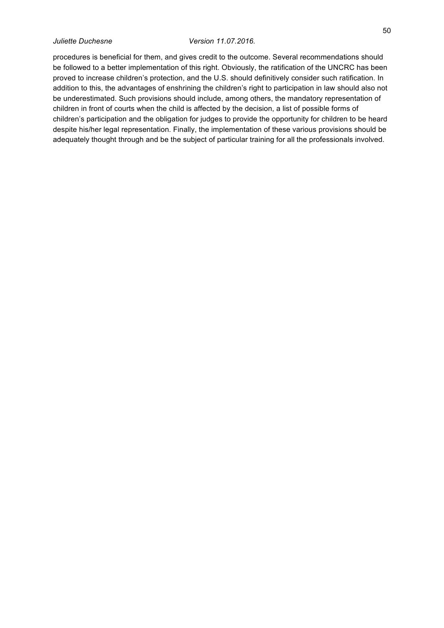procedures is beneficial for them, and gives credit to the outcome. Several recommendations should be followed to a better implementation of this right. Obviously, the ratification of the UNCRC has been proved to increase children's protection, and the U.S. should definitively consider such ratification. In addition to this, the advantages of enshrining the children's right to participation in law should also not be underestimated. Such provisions should include, among others, the mandatory representation of children in front of courts when the child is affected by the decision, a list of possible forms of children's participation and the obligation for judges to provide the opportunity for children to be heard despite his/her legal representation. Finally, the implementation of these various provisions should be adequately thought through and be the subject of particular training for all the professionals involved.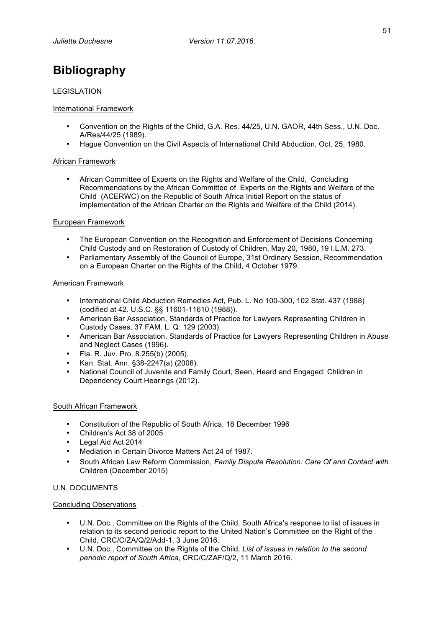# **Bibliography**

### LEGISLATION

### International Framework

- Convention on the Rights of the Child, G.A. Res. 44/25, U.N. GAOR, 44th Sess., U.N. Doc. A/Res/44/25 (1989).
- Hague Convention on the Civil Aspects of International Child Abduction, Oct. 25, 1980.

### African Framework

• African Committee of Experts on the Rights and Welfare of the Child, Concluding Recommendations by the African Committee of Experts on the Rights and Welfare of the Child (ACERWC) on the Republic of South Africa Initial Report on the status of implementation of the African Charter on the Rights and Welfare of the Child (2014).

### European Framework

- The European Convention on the Recognition and Enforcement of Decisions Concerning Child Custody and on Restoration of Custody of Children, May 20, 1980, 19 I.L.M. 273.
- Parliamentary Assembly of the Council of Europe, 31st Ordinary Session, Recommendation on a European Charter on the Rights of the Child, 4 October 1979.

#### American Framework

- International Child Abduction Remedies Act, Pub. L. No 100-300, 102 Stat. 437 (1988) (codified at 42. U.S.C. §§ 11601-11610 (1988)).
- American Bar Association, Standards of Practice for Lawyers Representing Children in Custody Cases, 37 FAM. L. Q. 129 (2003).
- American Bar Association, Standards of Practice for Lawyers Representing Children in Abuse and Neglect Cases (1996).
- Fla. R. Juv. Pro. 8.255(b) (2005).
- Kan. Stat. Ann. §38-2247(a) (2006).
- National Council of Juvenile and Family Court, Seen, Heard and Engaged: Children in Dependency Court Hearings (2012).

#### South African Framework

- Constitution of the Republic of South Africa, 18 December 1996
- Children's Act 38 of 2005
- Legal Aid Act 2014
- Mediation in Certain Divorce Matters Act 24 of 1987.
- South African Law Reform Commission, *Family Dispute Resolution: Care Of and Contact with*  Children (December 2015)

### U.N. DOCUMENTS

#### Concluding Observations

- U.N. Doc., Committee on the Rights of the Child, South Africa's response to list of issues in relation to its second periodic report to the United Nation's Committee on the Right of the Child, CRC/C/ZA/Q/2/Add-1, 3 June 2016.
- U.N. Doc., Committee on the Rights of the Child, *List of issues in relation to the second periodic report of South Africa*, CRC/C/ZAF/Q/2, 11 March 2016.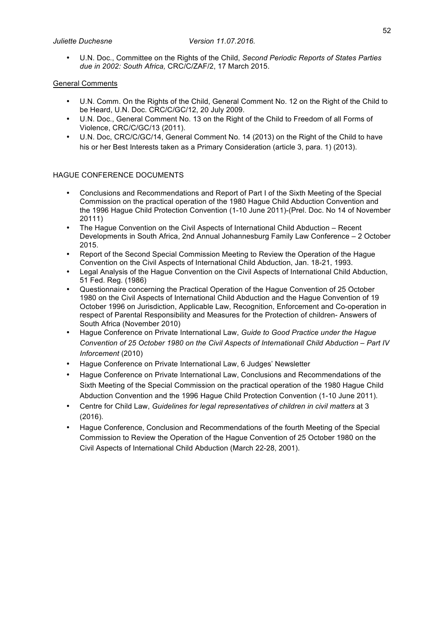• U.N. Doc., Committee on the Rights of the Child, *Second Periodic Reports of States Parties due in 2002: South Africa,* CRC/C/ZAF/2, 17 March 2015.

### General Comments

- U.N. Comm. On the Rights of the Child, General Comment No. 12 on the Right of the Child to be Heard, U.N. Doc. CRC/C/GC/12, 20 July 2009.
- U.N. Doc., General Comment No. 13 on the Right of the Child to Freedom of all Forms of Violence, CRC/C/GC/13 (2011).
- U.N. Doc, CRC/C/GC/14, General Comment No. 14 (2013) on the Right of the Child to have his or her Best Interests taken as a Primary Consideration (article 3, para. 1) (2013).

### HAGUE CONFERENCE DOCUMENTS

- Conclusions and Recommendations and Report of Part I of the Sixth Meeting of the Special Commission on the practical operation of the 1980 Hague Child Abduction Convention and the 1996 Hague Child Protection Convention (1-10 June 2011)-(Prel. Doc. No 14 of November 20111)
- The Hague Convention on the Civil Aspects of International Child Abduction Recent Developments in South Africa, 2nd Annual Johannesburg Family Law Conference – 2 October 2015.
- Report of the Second Special Commission Meeting to Review the Operation of the Hague Convention on the Civil Aspects of International Child Abduction, Jan. 18-21, 1993.
- Legal Analysis of the Hague Convention on the Civil Aspects of International Child Abduction, 51 Fed. Reg. (1986)
- Questionnaire concerning the Practical Operation of the Hague Convention of 25 October 1980 on the Civil Aspects of International Child Abduction and the Hague Convention of 19 October 1996 on Jurisdiction, Applicable Law, Recognition, Enforcement and Co-operation in respect of Parental Responsibility and Measures for the Protection of children- Answers of South Africa (November 2010)
- Hague Conference on Private International Law, *Guide to Good Practice under the Hague Convention of 25 October 1980 on the Civil Aspects of Internationall Child Abduction – Part IV Inforcement* (2010)
- Hague Conference on Private International Law, 6 Judges' Newsletter
- Hague Conference on Private International Law, Conclusions and Recommendations of the Sixth Meeting of the Special Commission on the practical operation of the 1980 Hague Child Abduction Convention and the 1996 Hague Child Protection Convention (1-10 June 2011).
- Centre for Child Law, *Guidelines for legal representatives of children in civil matters* at 3 (2016).
- Hague Conference, Conclusion and Recommendations of the fourth Meeting of the Special Commission to Review the Operation of the Hague Convention of 25 October 1980 on the Civil Aspects of International Child Abduction (March 22-28, 2001).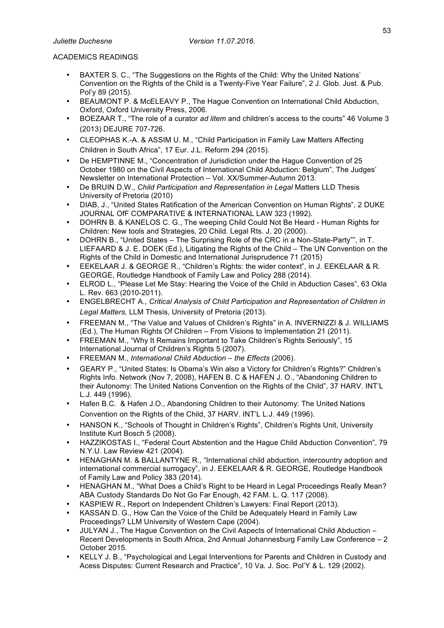## ACADEMICS READINGS

- BAXTER S. C., "The Suggestions on the Rights of the Child: Why the United Nations' Convention on the Rights of the Child is a Twenty-Five Year Failure", 2 J. Glob. Just. & Pub. Pol'y 89 (2015).
- BEAUMONT P. & McELEAVY P., The Hague Convention on International Child Abduction, Oxford, Oxford University Press, 2006.
- BOEZAAR T., "The role of a curator *ad litem* and children's access to the courts" 46 Volume 3 (2013) DEJURE 707-726.
- CLEOPHAS K.-A. & ASSIM U. M., "Child Participation in Family Law Matters Affecting Children in South Africa", 17 Eur. J.L. Reform 294 (2015).
- De HEMPTINNE M., "Concentration of Jurisdiction under the Hague Convention of 25 October 1980 on the Civil Aspects of International Child Abduction: Belgium", The Judges' Newsletter on International Protection – Vol. XX/Summer-Autumn 2013.
- De BRUIN D.W., *Child Participation and Representation in Legal* Matters LLD Thesis University of Pretoria (2010)
- DIAB, J., "United States Ratification of the American Convention on Human Rights", 2 DUKE JOURNAL OfF COMPARATIVE & INTERNATIONAL LAW 323 (1992).
- DOHRN B. & KANELOS C. G., The weeping Child Could Not Be Heard Human Rights for Children: New tools and Strategies, 20 Child. Legal Rts. J. 20 (2000).
- DOHRN B., "United States The Surprising Role of the CRC in a Non-State-Party"", in T. LIEFAARD & J. E. DOEK (Ed.), Litigating the Rights of the Child – The UN Convention on the Rights of the Child in Domestic and International Jurisprudence 71 (2015)
- EEKELAAR J. & GEORGE R., "Children's Rights: the wider context", in J. EEKELAAR & R. GEORGE, Routledge Handbook of Family Law and Policy 288 (2014).
- ELROD L., "Please Let Me Stay: Hearing the Voice of the Child in Abduction Cases", 63 Okla L. Rev. 663 (2010-2011).
- ENGELBRECHT A., *Critical Analysis of Child Participation and Representation of Children in Legal Matters,* LLM Thesis, University of Pretoria (2013).
- FREEMAN M., "The Value and Values of Children's Rights" in A. INVERNIZZI & J. WILLIAMS (Ed.), The Human Rights Of Children – From Visions to Implementation 21 (2011).
- FREEMAN M., "Why It Remains Important to Take Children's Rights Seriously", 15 International Journal of Children's Rights 5 (2007).
- FREEMAN M., *International Child Abduction – the Effects* (2006).
- GEARY P., "United States: Is Obama's Win also a Victory for Children's Rights?" Children's Rights Info. Network (Nov 7, 2008), HAFEN B. C & HAFEN J. O., "Abandoning Children to their Autonomy: The United Nations Convention on the Rights of the Child", 37 HARV. INT'L L.J. 449 (1996).
- Hafen B.C. & Hafen J.O., Abandoning Children to their Autonomy: The United Nations Convention on the Rights of the Child, 37 HARV. INT'L L.J. 449 (1996).
- HANSON K., "Schools of Thought in Children's Rights", Children's Rights Unit, University Institute Kurt Bosch 5 (2008).
- HAZZIKOSTAS I., "Federal Court Abstention and the Hague Child Abduction Convention", 79 N.Y.U. Law Review 421 (2004).
- HENAGHAN M. & BALLANTYNE R., "International child abduction, intercountry adoption and international commercial surrogacy", in J. EEKELAAR & R. GEORGE, Routledge Handbook of Family Law and Policy 383 (2014).
- HENAGHAN M., "What Does a Child's Right to be Heard in Legal Proceedings Really Mean? ABA Custody Standards Do Not Go Far Enough, 42 FAM. L. Q. 117 (2008).
- KASPIEW R., Report on Independent Children's Lawyers: Final Report (2013).
- KASSAN D. G., How Can the Voice of the Child be Adequately Heard in Family Law Proceedings? LLM University of Western Cape (2004).
- JULYAN J., The Hague Convention on the Civil Aspects of International Child Abduction Recent Developments in South Africa, 2nd Annual Johannesburg Family Law Conference – 2 October 2015.
- KELLY J. B., "Psychological and Legal Interventions for Parents and Children in Custody and Acess Disputes: Current Research and Practice", 10 Va. J. Soc. Pol'Y & L. 129 (2002).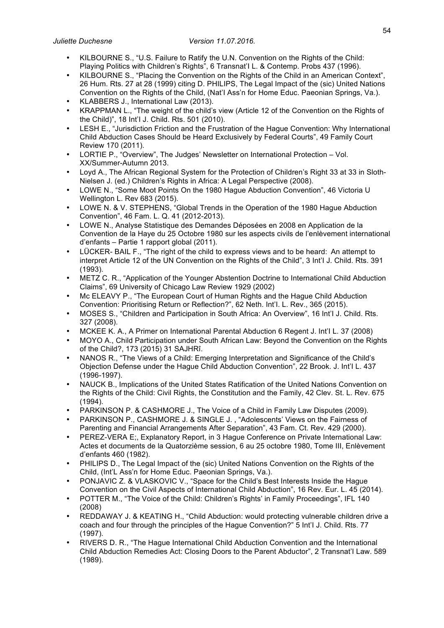- KILBOURNE S., "U.S. Failure to Ratify the U.N. Convention on the Rights of the Child: Playing Politics with Children's Rights", 6 Transnat'I L. & Contemp. Probs 437 (1996).
- KILBOURNE S., "Placing the Convention on the Rights of the Child in an American Context", 26 Hum. Rts. 27 at 28 (1999) citing D. PHILIPS, The Legal Impact of the (sic) United Nations Convention on the Rights of the Child, (Nat'I Ass'n for Home Educ. Paeonian Springs, Va.).
- KLABBERS J., International Law (2013).
- KRAPPMAN L., "The weight of the child's view (Article 12 of the Convention on the Rights of the Child)", 18 Int'I J. Child. Rts. 501 (2010).
- LESH E., "Jurisdiction Friction and the Frustration of the Hague Convention: Why International Child Abduction Cases Should be Heard Exclusively by Federal Courts", 49 Family Court Review 170 (2011).
- LORTIE P., "Overview", The Judges' Newsletter on International Protection Vol. XX/Summer-Autumn 2013.
- Loyd A., The African Regional System for the Protection of Children's Right 33 at 33 in Sloth-Nielsen J. (ed.) Children's Rights in Africa: A Legal Perspective (2008).
- LOWE N., "Some Moot Points On the 1980 Hague Abduction Convention", 46 Victoria U Wellington L. Rev 683 (2015).
- LOWE N. & V. STEPHENS, "Global Trends in the Operation of the 1980 Hague Abduction Convention", 46 Fam. L. Q. 41 (2012-2013).
- LOWE N., Analyse Statistique des Demandes Déposées en 2008 en Application de la Convention de la Haye du 25 Octobre 1980 sur les aspects civils de l'enlèvement international d'enfants – Partie 1 rapport global (2011).
- LÜCKER- BAIL F., "The right of the child to express views and to be heard: An attempt to interpret Article 12 of the UN Convention on the Rights of the Child", 3 Int'I J. Child. Rts. 391 (1993).
- METZ C. R., "Application of the Younger Abstention Doctrine to International Child Abduction Claims", 69 University of Chicago Law Review 1929 (2002)
- Mc ELEAVY P., "The European Court of Human Rights and the Hague Child Abduction Convention: Prioritising Return or Reflection?", 62 Neth. Int'I. L. Rev., 365 (2015).
- MOSES S., "Children and Participation in South Africa: An Overview", 16 Int'I J. Child. Rts. 327 (2008).
- MCKEE K. A., A Primer on International Parental Abduction 6 Regent J. Int'I L. 37 (2008)
- MOYO A., Child Participation under South African Law: Beyond the Convention on the Rights of the Child?, 173 (2015) 31 SAJHRî.
- NANOS R., "The Views of a Child: Emerging Interpretation and Significance of the Child's Objection Defense under the Hague Child Abduction Convention", 22 Brook. J. Int'I L. 437 (1996-1997).
- NAUCK B., Implications of the United States Ratification of the United Nations Convention on the Rights of the Child: Civil Rights, the Constitution and the Family, 42 Clev. St. L. Rev. 675 (1994).
- PARKINSON P. & CASHMORE J., The Voice of a Child in Family Law Disputes (2009).
- PARKINSON P., CASHMORE J. & SINGLE J. , "Adolescents' Views on the Fairness of Parenting and Financial Arrangements After Separation", 43 Fam. Ct. Rev. 429 (2000).
- PEREZ-VERA E;, Explanatory Report, in 3 Hague Conference on Private International Law: Actes et documents de la Quatorzième session, 6 au 25 octobre 1980, Tome III, Enlèvement d'enfants 460 (1982).
- PHILIPS D., The Legal Impact of the (sic) United Nations Convention on the Rights of the Child, (Int'L Ass'n for Home Educ. Paeonian Springs, Va.).
- PONJAVIC Z. & VLASKOVIC V., "Space for the Child's Best Interests Inside the Hague Convention on the Civil Aspects of International Child Abduction", 16 Rev. Eur. L. 45 (2014).
- POTTER M., "The Voice of the Child: Children's Rights' in Family Proceedings", IFL 140 (2008)
- REDDAWAY J. & KEATING H., "Child Abduction: would protecting vulnerable children drive a coach and four through the principles of the Hague Convention?" 5 Int'I J. Child. Rts. 77 (1997).
- RIVERS D. R., "The Hague International Child Abduction Convention and the International Child Abduction Remedies Act: Closing Doors to the Parent Abductor", 2 Transnat'I Law. 589 (1989).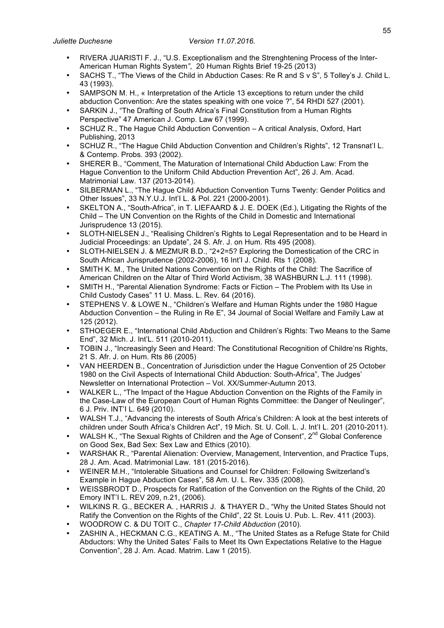- RIVERA JUARISTI F. J., "U.S. Exceptionalism and the Strenghtening Process of the Inter-American Human Rights System*"*, 20 Human Rights Brief 19-25 (2013)
- SACHS T., "The Views of the Child in Abduction Cases: Re R and S v S", 5 Tolley's J. Child L. 43 (1993).
- SAMPSON M. H., « Interpretation of the Article 13 exceptions to return under the child abduction Convention: Are the states speaking with one voice ?", 54 RHDI 527 (2001).
- SARKIN J., "The Drafting of South Africa's Final Constitution from a Human Rights Perspective" 47 American J. Comp. Law 67 (1999).
- SCHUZ R., The Hague Child Abduction Convention A critical Analysis, Oxford, Hart Publishing, 2013
- SCHUZ R., "The Hague Child Abduction Convention and Children's Rights", 12 Transnat'I L. & Contemp. Probs. 393 (2002).
- SHERER B., "Comment, The Maturation of International Child Abduction Law: From the Hague Convention to the Uniform Child Abduction Prevention Act", 26 J. Am. Acad. Matrimonial Law. 137 (2013-2014).
- SILBERMAN L., "The Hague Child Abduction Convention Turns Twenty: Gender Politics and Other Issues", 33 N.Y.U.J. Int'I L. & Pol. 221 (2000-2001).
- SKELTON A., "South-Africa", in T. LIEFAARD & J. E. DOEK (Ed.), Litigating the Rights of the Child – The UN Convention on the Rights of the Child in Domestic and International Jurisprudence 13 (2015).
- SLOTH-NIELSEN J., "Realising Children's Rights to Legal Representation and to be Heard in Judicial Proceedings: an Update", 24 S. Afr. J. on Hum. Rts 495 (2008).
- SLOTH-NIELSEN J. & MEZMUR B.D., "2+2=5? Exploring the Domestication of the CRC in South African Jurisprudence (2002-2006), 16 Int'I J. Child. Rts 1 (2008).
- SMITH K. M., The United Nations Convention on the Rights of the Child: The Sacrifice of American Children on the Altar of Third World Activism, 38 WASHBURN L.J. 111 (1998).
- SMITH H., "Parental Alienation Syndrome: Facts or Fiction The Problem with Its Use in Child Custody Cases" 11 U. Mass. L. Rev. 64 (2016).
- STEPHENS V. & LOWE N., "Children's Welfare and Human Rights under the 1980 Hague Abduction Convention – the Ruling in Re E", 34 Journal of Social Welfare and Family Law at 125 (2012).
- STHOEGER E., "International Child Abduction and Children's Rights: Two Means to the Same End", 32 Mich. J. Int'L. 511 (2010-2011).
- TOBIN J., "Increasingly Seen and Heard: The Constitutional Recognition of Childre'ns Rights, 21 S. Afr. J. on Hum. Rts 86 (2005)
- VAN HEERDEN B., Concentration of Jurisdiction under the Hague Convention of 25 October 1980 on the Civil Aspects of International Child Abduction: South-Africa", The Judges' Newsletter on International Protection – Vol. XX/Summer-Autumn 2013.
- WALKER L., "The Impact of the Hague Abduction Convention on the Rights of the Family in the Case-Law of the European Court of Human Rights Committee: the Danger of Neulinger", 6 J. Priv. INT'I L. 649 (2010).
- WALSH T.J., "Advancing the interests of South Africa's Children: A look at the best interets of children under South Africa's Children Act", 19 Mich. St. U. Coll. L. J. Int'I L. 201 (2010-2011).
- WALSH K., "The Sexual Rights of Children and the Age of Consent",  $2^{nd}$  Global Conference on Good Sex, Bad Sex: Sex Law and Ethics (2010).
- WARSHAK R., "Parental Alienation: Overview, Management, Intervention, and Practice Tups, 28 J. Am. Acad. Matrimonial Law. 181 (2015-2016).
- WEINER M.H., "Intolerable Situations and Counsel for Children: Following Switzerland's Example in Hague Abduction Cases", 58 Am. U. L. Rev. 335 (2008).
- WEISSBRODT D., Prospects for Ratification of the Convention on the Rights of the Child, 20 Emory INT'I L. REV 209, n.21, (2006).
- WILKINS R. G., BECKER A. , HARRIS J. & THAYER D., "Why the United States Should not Ratify the Convention on the Rights of the Child", 22 St. Louis U. Pub. L. Rev. 411 (2003).
- WOODROW C. & DU TOIT C., *Chapter 17-Child Abduction* (2010).
- ZASHIN A., HECKMAN C.G., KEATING A. M., "The United States as a Refuge State for Child Abductors: Why the United Sates' Fails to Meet Its Own Expectations Relative to the Hague Convention", 28 J. Am. Acad. Matrim. Law 1 (2015).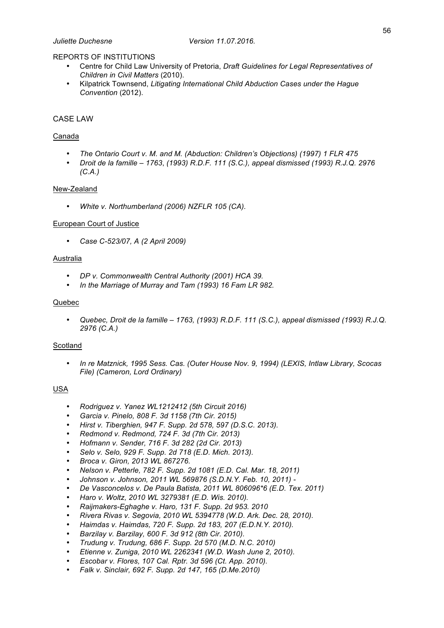### REPORTS OF INSTITUTIONS

- Centre for Child Law University of Pretoria, *Draft Guidelines for Legal Representatives of Children in Civil Matters* (2010).
- Kilpatrick Townsend, *Litigating International Child Abduction Cases under the Hague Convention* (2012).

### CASE LAW

### Canada

- *The Ontario Court v. M. and M. (Abduction: Children's Objections) (1997) 1 FLR 475*
- *Droit de la famille – 1763*, *(1993) R.D.F. 111 (S.C.), appeal dismissed (1993) R.J.Q. 2976 (C.A.)*

### New-Zealand

• *White v. Northumberland (2006) NZFLR 105 (CA).*

#### European Court of Justice

• *Case C-523/07, A (2 April 2009)*

#### Australia

- *DP v. Commonwealth Central Authority (2001) HCA 39.*
- *In the Marriage of Murray and Tam (1993) 16 Fam LR 982.*

#### Quebec

• *Quebec, Droit de la famille – 1763, (1993) R.D.F. 111 (S.C.), appeal dismissed (1993) R.J.Q. 2976 (C.A.)* 

#### Scotland

• *In re Matznick, 1995 Sess. Cas. (Outer House Nov. 9, 1994) (LEXIS, Intlaw Library, Scocas File) (Cameron, Lord Ordinary)*

### USA

- *Rodriguez v. Yanez WL1212412 (5th Circuit 2016)*
- *Garcia v. Pinelo, 808 F. 3d 1158 (7th Cir. 2015)*
- *Hirst v. Tiberghien, 947 F. Supp. 2d 578, 597 (D.S.C. 2013).*
- *Redmond v. Redmond, 724 F. 3d (7th Cir. 2013)*
- *Hofmann v. Sender, 716 F. 3d 282 (2d Cir. 2013)*
- *Selo v. Selo, 929 F. Supp. 2d 718 (E.D. Mich. 2013).*
- *Broca v. Giron, 2013 WL 867276.*
- *Nelson v. Petterle, 782 F. Supp. 2d 1081 (E.D. Cal. Mar. 18, 2011)*
- *Johnson v. Johnson, 2011 WL 569876 (S.D.N.Y. Feb. 10, 2011) -*
- *De Vasconcelos v. De Paula Batista, 2011 WL 806096\*6 (E.D. Tex. 2011)*
- *Haro v. Woltz, 2010 WL 3279381 (E.D. Wis. 2010).*
- *Raijmakers-Eghaghe v. Haro, 131 F. Supp. 2d 953. 2010*
- *Rivera Rivas v. Segovia, 2010 WL 5394778 (W.D. Ark. Dec. 28, 2010).*
- *Haimdas v. Haimdas, 720 F. Supp. 2d 183, 207 (E.D.N.Y. 2010).*
- *Barzilay v. Barzilay, 600 F. 3d 912 (8th Cir. 2010).*
- *Trudung v. Trudung, 686 F. Supp. 2d 570 (M.D. N.C. 2010)*
- *Etienne v. Zuniga, 2010 WL 2262341 (W.D. Wash June 2, 2010).*
- *Escobar v. Flores, 107 Cal. Rptr. 3d 596 (Ct. App. 2010).*
- *Falk v. Sinclair, 692 F. Supp. 2d 147, 165 (D.Me.2010)*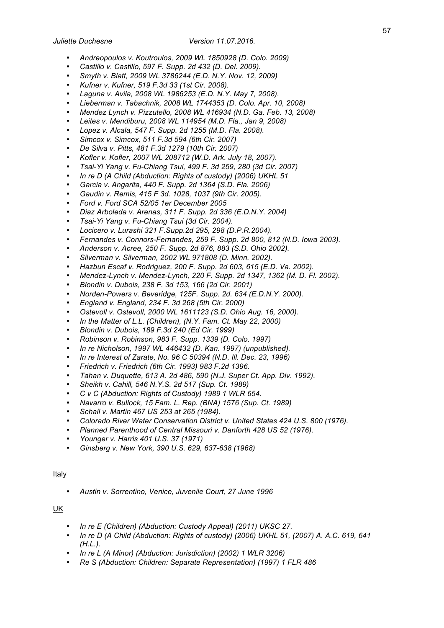- *Andreopoulos v. Koutroulos, 2009 WL 1850928 (D. Colo. 2009)*
- *Castillo v. Castillo, 597 F. Supp. 2d 432 (D. Del. 2009).*
- *Smyth v. Blatt, 2009 WL 3786244 (E.D. N.Y. Nov. 12, 2009)*
- *Kufner v. Kufner, 519 F.3d 33 (1st Cir. 2008).*
- *Laguna v. Avila, 2008 WL 1986253 (E.D. N.Y. May 7, 2008).*
- *Lieberman v. Tabachnik, 2008 WL 1744353 (D. Colo. Apr. 10, 2008)*
- *Mendez Lynch v. Pizzutello, 2008 WL 416934 (N.D. Ga. Feb. 13, 2008)*
- *Leites v. Mendiburu, 2008 WL 114954 (M.D. Fla., Jan 9, 2008)*
- *Lopez v. Alcala, 547 F. Supp. 2d 1255 (M.D. Fla. 2008).*
- *Simcox v. Simcox, 511 F.3d 594 (6th Cir. 2007)*
- *De Silva v. Pitts, 481 F.3d 1279 (10th Cir. 2007)*
- *Kofler v. Kofler, 2007 WL 208712 (W.D. Ark. July 18, 2007).*
- *Tsai-Yi Yang v. Fu-Chiang Tsui, 499 F. 3d 259, 280 (3d Cir. 2007)*
- *In re D (A Child (Abduction: Rights of custody) (2006) UKHL 51*
- *Garcia v. Angarita, 440 F. Supp. 2d 1364 (S.D. Fla. 2006)*
- *Gaudin v. Remis, 415 F 3d. 1028, 1037 (9th Cir. 2005).*
- *Ford v. Ford SCA 52/05 1er December 2005*
- *Diaz Arboleda v. Arenas, 311 F. Supp. 2d 336 (E.D.N.Y. 2004)*
- *Tsai-Yi Yang v. Fu-Chiang Tsui (3d Cir. 2004).*
- *Locicero v. Lurashi 321 F.Supp.2d 295, 298 (D.P.R.2004).*
- *Fernandes v. Connors-Fernandes, 259 F. Supp. 2d 800, 812 (N.D. Iowa 2003).*
- *Anderson v. Acree, 250 F. Supp. 2d 876, 883 (S.D. Ohio 2002).*
- *Silverman v. Silverman, 2002 WL 971808 (D. Minn. 2002).*
- *Hazbun Escaf v. Rodriguez, 200 F. Supp. 2d 603, 615 (E.D. Va. 2002).*
- *Mendez-Lynch v. Mendez-Lynch, 220 F. Supp. 2d 1347, 1362 (M. D. Fl. 2002).*
- *Blondin v. Dubois, 238 F. 3d 153, 166 (2d Cir. 2001)*
- *Norden-Powers v. Beveridge, 125F. Supp. 2d. 634 (E.D.N.Y. 2000).*
- *England v. England, 234 F. 3d 268 (5th Cir. 2000)*
- *Ostevoll v. Ostevoll, 2000 WL 1611123 (S.D. Ohio Aug. 16, 2000).*
- *In the Matter of L.L. (Children), (N.Y. Fam. Ct. May 22, 2000)*
- *Blondin v. Dubois, 189 F.3d 240 (Ed Cir. 1999)*
- *Robinson v. Robinson, 983 F. Supp. 1339 (D. Colo. 1997)*
- *In re Nicholson, 1997 WL 446432 (D. Kan. 1997) (unpublished).*
- *In re Interest of Zarate, No. 96 C 50394 (N.D. Ill. Dec. 23, 1996)*
- *Friedrich v. Friedrich (6th Cir. 1993) 983 F.2d 1396.*
- *Tahan v. Duquette, 613 A. 2d 486, 590 (N.J. Super Ct. App. Div. 1992).*
- *Sheikh v. Cahill, 546 N.Y.S. 2d 517 (Sup. Ct. 1989)*
- *C v C (Abduction: Rights of Custody) 1989 1 WLR 654.*
- *Navarro v. Bullock, 15 Fam. L. Rep. (BNA) 1576 (Sup. Ct. 1989)*
- *Schall v. Martin 467 US 253 at 265 (1984).*
- *Colorado River Water Conservation District v. United States 424 U.S. 800 (1976).*
- *Planned Parenthood of Central Missouri v. Danforth 428 US 52 (1976).*
- *Younger v. Harris 401 U.S. 37 (1971)*
- *Ginsberg v. New York, 390 U.S. 629, 637-638 (1968)*

### Italy

• *Austin v. Sorrentino, Venice, Juvenile Court, 27 June 1996*

### UK

- *In re E (Children) (Abduction: Custody Appeal) (2011) UKSC 27.*
- *In re D (A Child (Abduction: Rights of custody) (2006) UKHL 51, (2007) A. A.C. 619, 641 (H.L.).*
- *In re L (A Minor) (Abduction: Jurisdiction) (2002) 1 WLR 3206)*
- *Re S (Abduction: Children: Separate Representation) (1997) 1 FLR 486*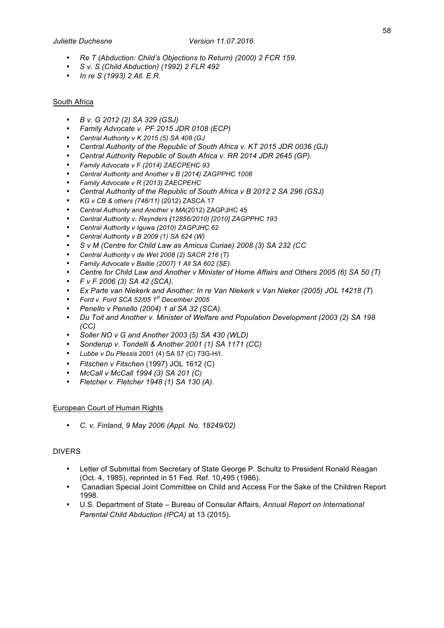- *Re T (Abduction: Child's Objections to Return) (2000) 2 FCR 159.*
- *S v. S (Child Abduction) (1992) 2 FLR 492*
- *In re S (1993) 2 All. E.R.*

### South Africa

- *B v. G 2012 (2) SA 329 (GSJ)*
- *Family Advocate v. PF 2015 JDR 0108 (ECP)*
- *Central Authority v K 2015 (5) SA 408 (GJ*
- *Central Authority of the Republic of South Africa v. KT 2015 JDR 0036 (GJ)*
- *Central Authority Republic of South Africa v. RR 2014 JDR 2645 (GP).*
- *Family Advocate v F (2014) ZAECPEHC 93*
- *Central Authority and Another v B (2014) ZAGPPHC 1008*
- *Family Advocate v R (2013) ZAECPEHC*
- *Central Authority of the Republic of South Africa v B 2012 2 SA 296 (GSJ)*
- *KG v CB & others (748/11)* (2012) ZASCA 17
- *Central Authority and Another v MA*(2012) ZAGPJHC 45
- *Central Authority v. Reynders (12856/2010) [2010] ZAGPPHC 193*
- *Central Authority v Iguwa (2010) ZAGPJHC 62*
- *Central Authority v B 2009 (1) SA 624 (W)*
- *S v M (Centre for Child Law as Amicus Curiae) 2008 (3) SA 232 (CC*
- *Central Authority v de Wet 2008 (2) SACR 216 (T)*
- *Family Advocate v Baillie (2007) 1 All SA 602 (SE).*
- *Centre for Child Law and Another v Minister of Home Affairs and Others 2005 (6) SA 50 (T)*
- *F v F 2006 (3) SA 42 (SCA).*
- *Ex Parte van Niekerk and Another: In re Van Niekerk v Van Nieker (2005) JOL 14218 (T*)
- *Ford v. Ford SCA 52/05 1st December 2005*
- *Penello v Penello (2004) 1 al SA 32 (SCA).*
- *Du Toit and Another v. Minister of Welfare and Population Development (2003 (2) SA 198 (CC)*
- *Soller NO v G and Another 2003 (5) SA 430 (WLD)*
- *Sonderup v. Tondelli & Another 2001 (1) SA 1171 (CC)*
- *Lubbe v Du Plessis* 2001 (4) SA 57 (C) 73G-H/I.
- *Fitschen v Fitschen* (1997) JOL 1612 (C)
- *McCall v McCall 1994 (3) SA 201 (C)*
- *Fletcher v. Fletcher 1948 (1) SA 130 (A).*

#### European Court of Human Rights

• *C. v. Finland, 9 May 2006 (Appl. No. 18249/02)*

#### DIVERS

- Letter of Submittal from Secretary of State George P. Schultz to President Ronald Reagan (Oct. 4, 1985), reprinted in 51 Fed. Ref. 10,495 (1986).
- Canadian Special Joint Committee on Child and Access For the Sake of the Children Report 1998.
- U.S. Department of State Bureau of Consular Affairs, *Annual Report on International Parental Child Abduction (IPCA)* at 13 (2015).